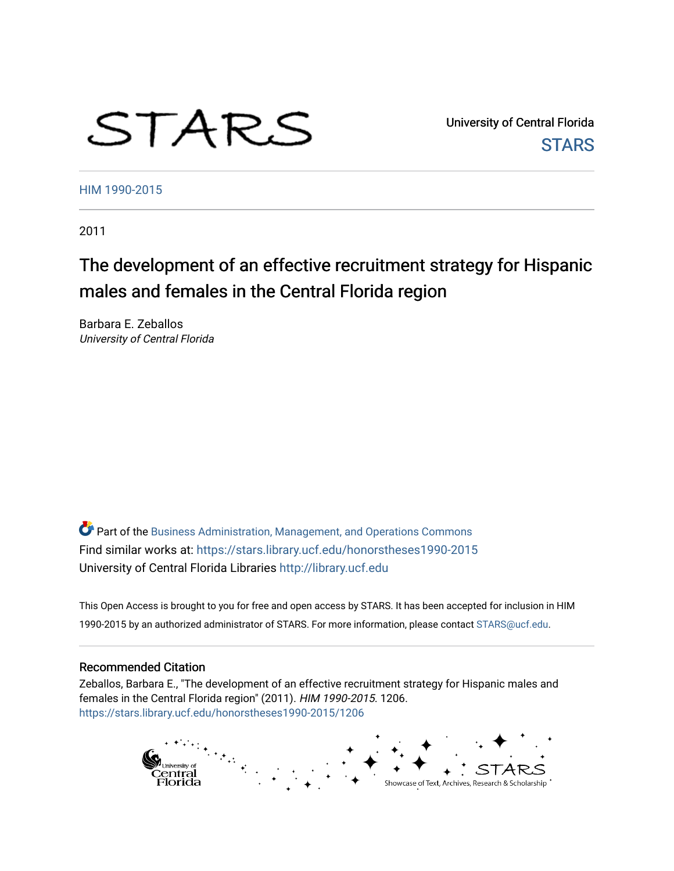# STARS

University of Central Florida **STARS** 

[HIM 1990-2015](https://stars.library.ucf.edu/honorstheses1990-2015) 

2011

# The development of an effective recruitment strategy for Hispanic males and females in the Central Florida region

Barbara E. Zeballos University of Central Florida

Part of the [Business Administration, Management, and Operations Commons](http://network.bepress.com/hgg/discipline/623?utm_source=stars.library.ucf.edu%2Fhonorstheses1990-2015%2F1206&utm_medium=PDF&utm_campaign=PDFCoverPages) Find similar works at: <https://stars.library.ucf.edu/honorstheses1990-2015> University of Central Florida Libraries [http://library.ucf.edu](http://library.ucf.edu/) 

This Open Access is brought to you for free and open access by STARS. It has been accepted for inclusion in HIM 1990-2015 by an authorized administrator of STARS. For more information, please contact [STARS@ucf.edu](mailto:STARS@ucf.edu).

# Recommended Citation

Zeballos, Barbara E., "The development of an effective recruitment strategy for Hispanic males and females in the Central Florida region" (2011). HIM 1990-2015. 1206. [https://stars.library.ucf.edu/honorstheses1990-2015/1206](https://stars.library.ucf.edu/honorstheses1990-2015/1206?utm_source=stars.library.ucf.edu%2Fhonorstheses1990-2015%2F1206&utm_medium=PDF&utm_campaign=PDFCoverPages) 

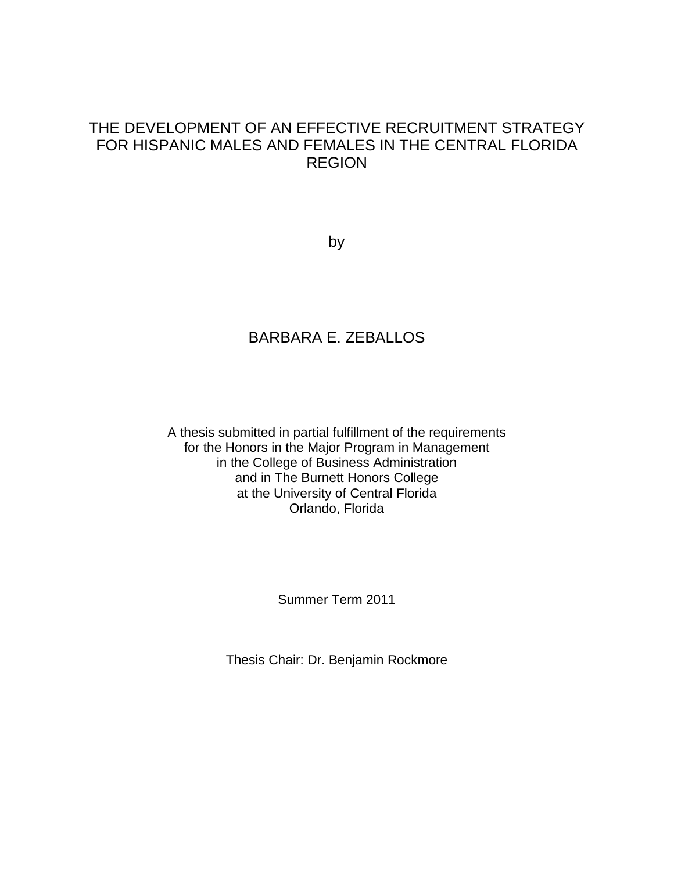# THE DEVELOPMENT OF AN EFFECTIVE RECRUITMENT STRATEGY FOR HISPANIC MALES AND FEMALES IN THE CENTRAL FLORIDA REGION

by

# BARBARA E. ZEBALLOS

A thesis submitted in partial fulfillment of the requirements for the Honors in the Major Program in Management in the College of Business Administration and in The Burnett Honors College at the University of Central Florida Orlando, Florida

Summer Term 2011

Thesis Chair: Dr. Benjamin Rockmore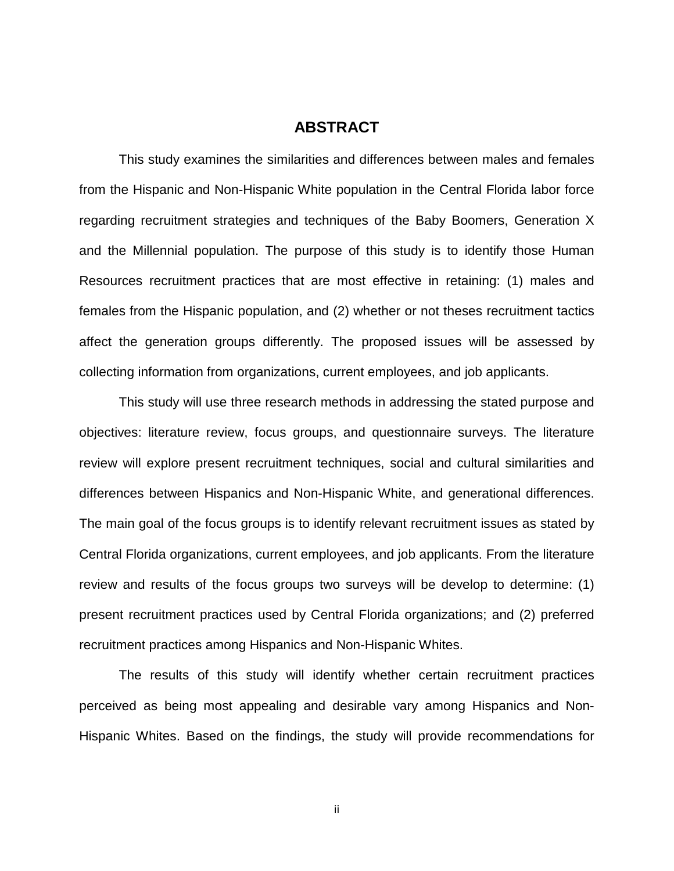# **ABSTRACT**

This study examines the similarities and differences between males and females from the Hispanic and Non-Hispanic White population in the Central Florida labor force regarding recruitment strategies and techniques of the Baby Boomers, Generation X and the Millennial population. The purpose of this study is to identify those Human Resources recruitment practices that are most effective in retaining: (1) males and females from the Hispanic population, and (2) whether or not theses recruitment tactics affect the generation groups differently. The proposed issues will be assessed by collecting information from organizations, current employees, and job applicants.

This study will use three research methods in addressing the stated purpose and objectives: literature review, focus groups, and questionnaire surveys. The literature review will explore present recruitment techniques, social and cultural similarities and differences between Hispanics and Non-Hispanic White, and generational differences. The main goal of the focus groups is to identify relevant recruitment issues as stated by Central Florida organizations, current employees, and job applicants. From the literature review and results of the focus groups two surveys will be develop to determine: (1) present recruitment practices used by Central Florida organizations; and (2) preferred recruitment practices among Hispanics and Non-Hispanic Whites.

The results of this study will identify whether certain recruitment practices perceived as being most appealing and desirable vary among Hispanics and Non-Hispanic Whites. Based on the findings, the study will provide recommendations for

ii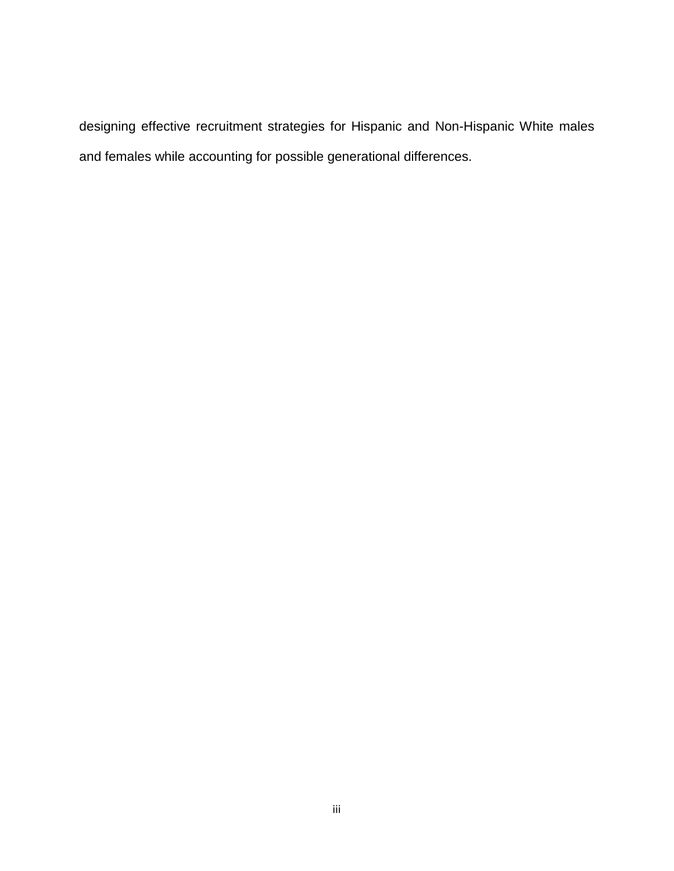designing effective recruitment strategies for Hispanic and Non-Hispanic White males and females while accounting for possible generational differences.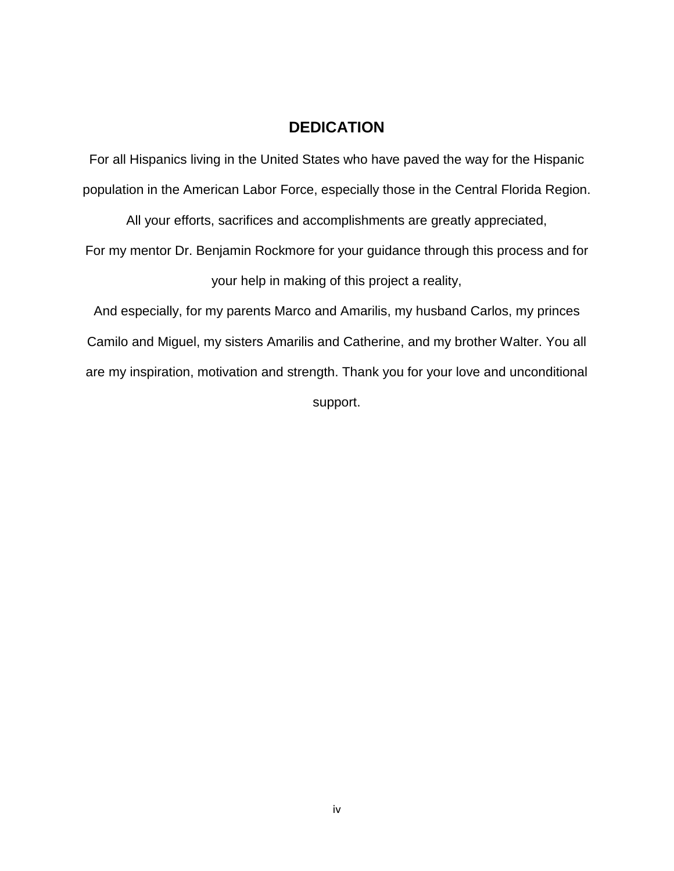# **DEDICATION**

For all Hispanics living in the United States who have paved the way for the Hispanic population in the American Labor Force, especially those in the Central Florida Region.

All your efforts, sacrifices and accomplishments are greatly appreciated,

For my mentor Dr. Benjamin Rockmore for your guidance through this process and for your help in making of this project a reality,

And especially, for my parents Marco and Amarilis, my husband Carlos, my princes Camilo and Miguel, my sisters Amarilis and Catherine, and my brother Walter. You all are my inspiration, motivation and strength. Thank you for your love and unconditional support.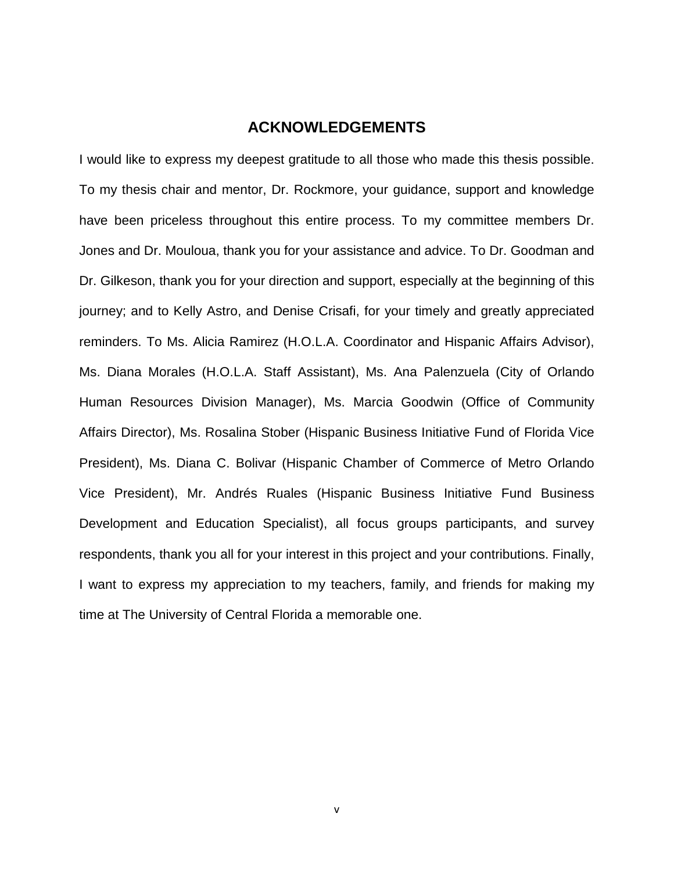# **ACKNOWLEDGEMENTS**

I would like to express my deepest gratitude to all those who made this thesis possible. To my thesis chair and mentor, Dr. Rockmore, your guidance, support and knowledge have been priceless throughout this entire process. To my committee members Dr. Jones and Dr. Mouloua, thank you for your assistance and advice. To Dr. Goodman and Dr. Gilkeson, thank you for your direction and support, especially at the beginning of this journey; and to Kelly Astro, and Denise Crisafi, for your timely and greatly appreciated reminders. To Ms. Alicia Ramirez (H.O.L.A. Coordinator and Hispanic Affairs Advisor), Ms. Diana Morales (H.O.L.A. Staff Assistant), Ms. Ana Palenzuela (City of Orlando Human Resources Division Manager), Ms. Marcia Goodwin (Office of Community Affairs Director), Ms. Rosalina Stober (Hispanic Business Initiative Fund of Florida Vice President), Ms. Diana C. Bolivar (Hispanic Chamber of Commerce of Metro Orlando Vice President), Mr. Andrés Ruales (Hispanic Business Initiative Fund Business Development and Education Specialist), all focus groups participants, and survey respondents, thank you all for your interest in this project and your contributions. Finally, I want to express my appreciation to my teachers, family, and friends for making my time at The University of Central Florida a memorable one.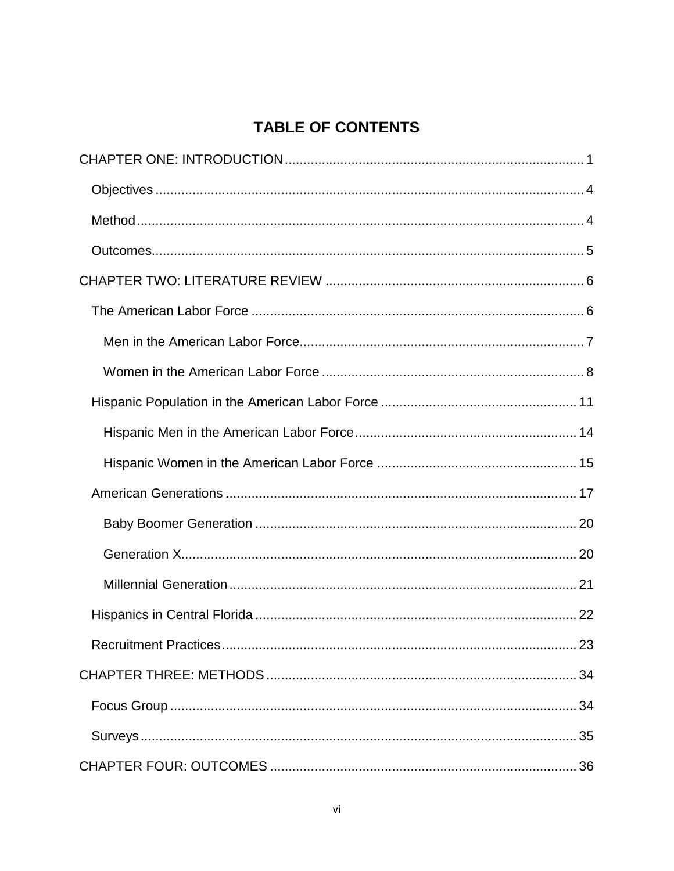# **TABLE OF CONTENTS**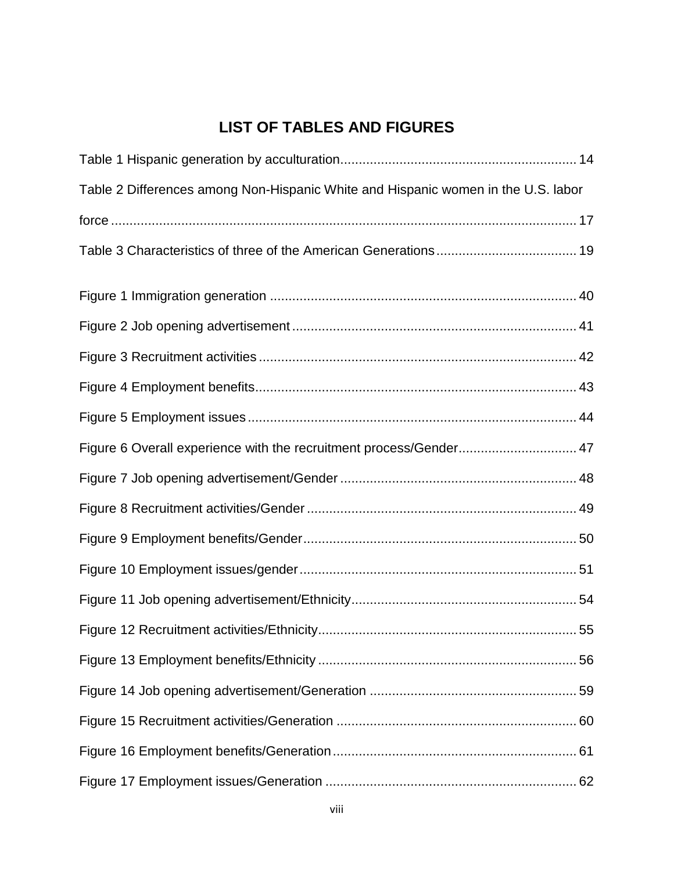# **LIST OF TABLES AND FIGURES**

| Table 2 Differences among Non-Hispanic White and Hispanic women in the U.S. labor |  |
|-----------------------------------------------------------------------------------|--|
|                                                                                   |  |
|                                                                                   |  |
|                                                                                   |  |
|                                                                                   |  |
|                                                                                   |  |
|                                                                                   |  |
|                                                                                   |  |
| Figure 6 Overall experience with the recruitment process/Gender 47                |  |
|                                                                                   |  |
|                                                                                   |  |
|                                                                                   |  |
|                                                                                   |  |
|                                                                                   |  |
|                                                                                   |  |
|                                                                                   |  |
|                                                                                   |  |
|                                                                                   |  |
|                                                                                   |  |
|                                                                                   |  |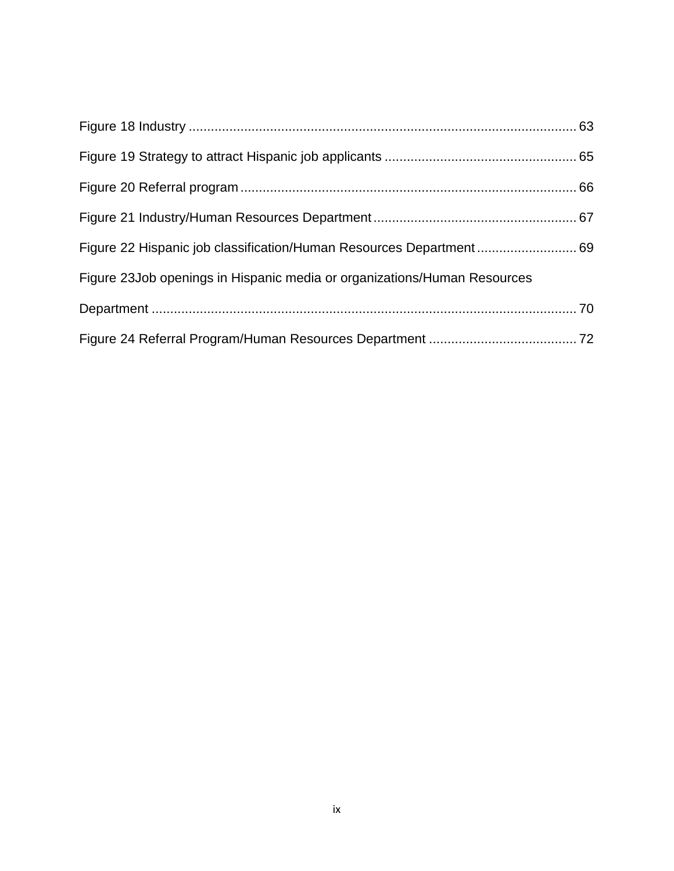| Figure 23 Job openings in Hispanic media or organizations/Human Resources |  |
|---------------------------------------------------------------------------|--|
|                                                                           |  |
|                                                                           |  |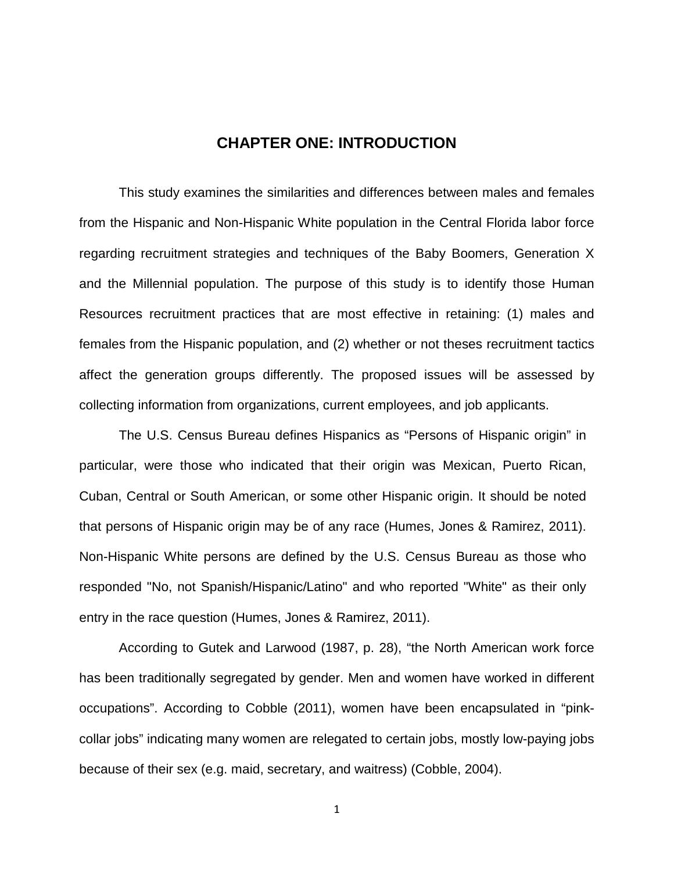# **CHAPTER ONE: INTRODUCTION**

<span id="page-10-0"></span>This study examines the similarities and differences between males and females from the Hispanic and Non-Hispanic White population in the Central Florida labor force regarding recruitment strategies and techniques of the Baby Boomers, Generation X and the Millennial population. The purpose of this study is to identify those Human Resources recruitment practices that are most effective in retaining: (1) males and females from the Hispanic population, and (2) whether or not theses recruitment tactics affect the generation groups differently. The proposed issues will be assessed by collecting information from organizations, current employees, and job applicants.

The U.S. Census Bureau defines Hispanics as "Persons of Hispanic origin" in particular, were those who indicated that their origin was Mexican, Puerto Rican, Cuban, Central or South American, or some other Hispanic origin. It should be noted that persons of Hispanic origin may be of any race (Humes, Jones & Ramirez, 2011). Non-Hispanic White persons are defined by the U.S. Census Bureau as those who responded "No, not Spanish/Hispanic/Latino" and who reported "White" as their only entry in the race question (Humes, Jones & Ramirez, 2011).

According to Gutek and Larwood (1987, p. 28), "the North American work force has been traditionally segregated by gender. Men and women have worked in different occupations". According to Cobble (2011), women have been encapsulated in "pinkcollar jobs" indicating many women are relegated to certain jobs, mostly low-paying jobs because of their sex (e.g. maid, secretary, and waitress) (Cobble, 2004).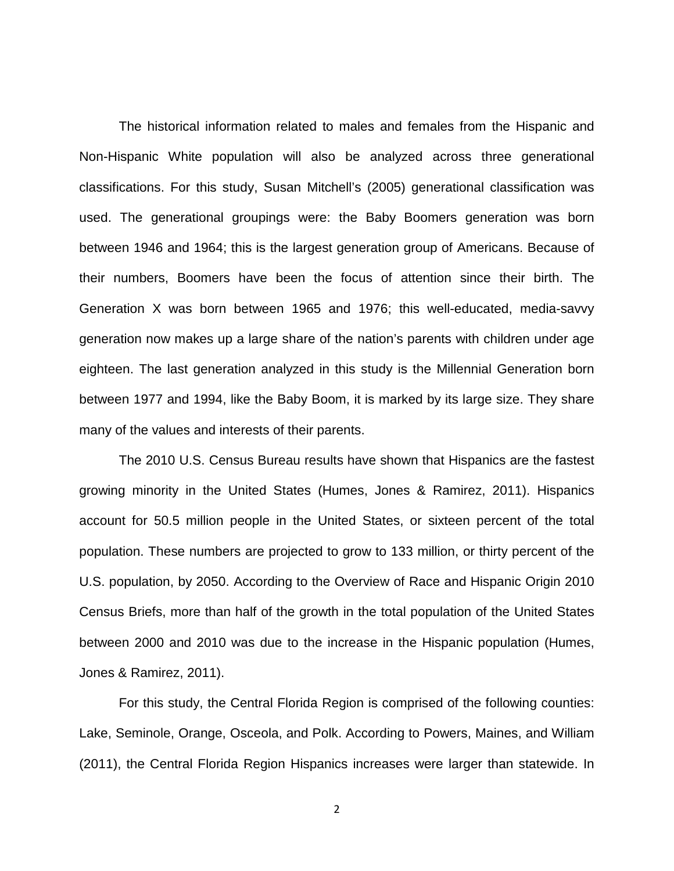The historical information related to males and females from the Hispanic and Non-Hispanic White population will also be analyzed across three generational classifications. For this study, Susan Mitchell's (2005) generational classification was used. The generational groupings were: the Baby Boomers generation was born between 1946 and 1964; this is the largest generation group of Americans. Because of their numbers, Boomers have been the focus of attention since their birth. The Generation X was born between 1965 and 1976; this well-educated, media-savvy generation now makes up a large share of the nation's parents with children under age eighteen. The last generation analyzed in this study is the Millennial Generation born between 1977 and 1994, like the Baby Boom, it is marked by its large size. They share many of the values and interests of their parents.

The 2010 U.S. Census Bureau results have shown that Hispanics are the fastest growing minority in the United States (Humes, Jones & Ramirez, 2011). Hispanics account for 50.5 million people in the United States, or sixteen percent of the total population. These numbers are projected to grow to 133 million, or thirty percent of the U.S. population, by 2050. According to the Overview of Race and Hispanic Origin 2010 Census Briefs, more than half of the growth in the total population of the United States between 2000 and 2010 was due to the increase in the Hispanic population (Humes, Jones & Ramirez, 2011).

For this study, the Central Florida Region is comprised of the following counties: [Lake,](http://www.floridacountiesmap.com/lake_county.shtml) [Seminole,](http://www.floridacountiesmap.com/seminole_county.shtml) [Orange,](http://www.floridacountiesmap.com/orange_county.shtml) [Osceola,](http://www.floridacountiesmap.com/osceola_county.shtml) and Polk. According to Powers, Maines, and William (2011), the Central Florida Region Hispanics increases were larger than statewide. In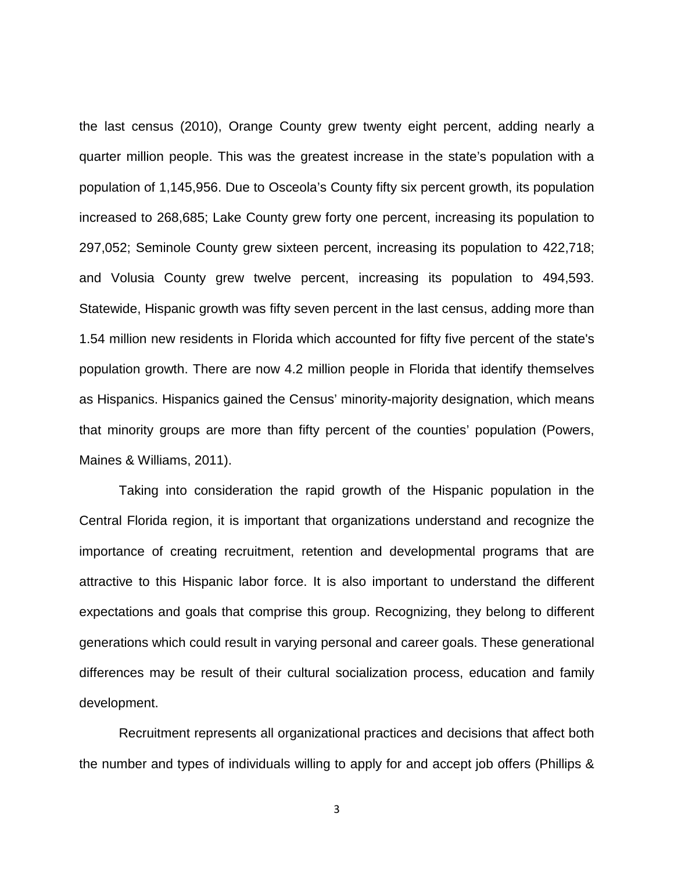the last census (2010), Orange County grew twenty eight percent, adding nearly a quarter million people. This was the greatest increase in the state's population with a population of 1,145,956. Due to Osceola's County fifty six percent growth, its population increased to 268,685; Lake County grew forty one percent, increasing its population to 297,052; Seminole County grew sixteen percent, increasing its population to 422,718; and Volusia County grew twelve percent, increasing its population to 494,593. Statewide, Hispanic growth was fifty seven percent in the last census, adding more than 1.54 million new residents in Florida which accounted for fifty five percent of the state's population growth. There are now 4.2 million people in Florida that identify themselves as Hispanics. Hispanics gained the Census' minority-majority designation, which means that minority groups are more than fifty percent of the counties' population (Powers, Maines & Williams, 2011).

Taking into consideration the rapid growth of the Hispanic population in the Central Florida region, it is important that organizations understand and recognize the importance of creating recruitment, retention and developmental programs that are attractive to this Hispanic labor force. It is also important to understand the different expectations and goals that comprise this group. Recognizing, they belong to different generations which could result in varying personal and career goals. These generational differences may be result of their cultural socialization process, education and family development.

Recruitment represents all organizational practices and decisions that affect both the number and types of individuals willing to apply for and accept job offers (Phillips &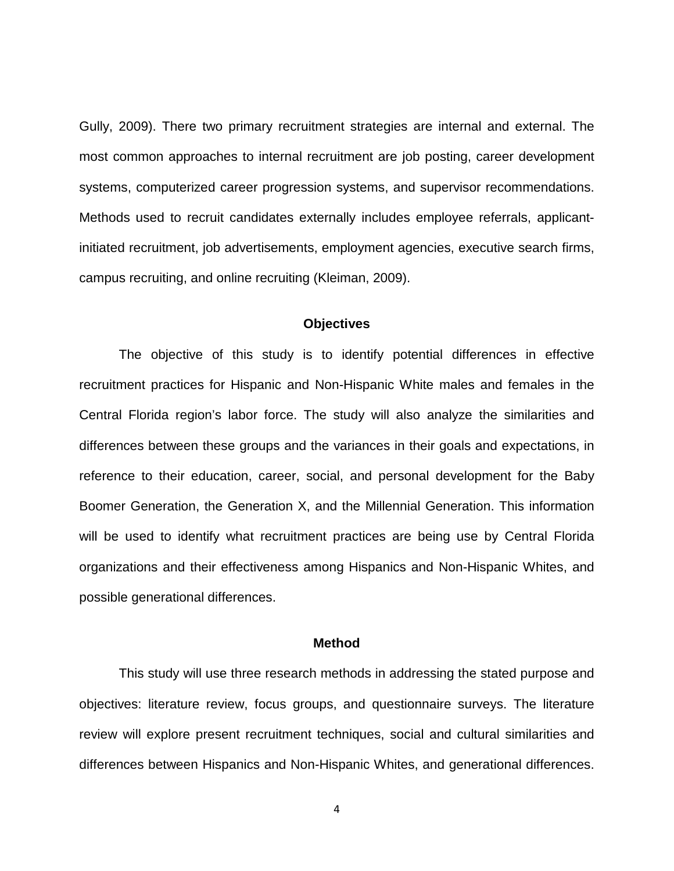Gully, 2009). There two primary recruitment strategies are internal and external. The most common approaches to internal recruitment are job posting, career development systems, computerized career progression systems, and supervisor recommendations. Methods used to recruit candidates externally includes employee referrals, applicantinitiated recruitment, job advertisements, employment agencies, executive search firms, campus recruiting, and online recruiting (Kleiman, 2009).

#### **Objectives**

<span id="page-13-0"></span>The objective of this study is to identify potential differences in effective recruitment practices for Hispanic and Non-Hispanic White males and females in the Central Florida region's labor force. The study will also analyze the similarities and differences between these groups and the variances in their goals and expectations, in reference to their education, career, social, and personal development for the Baby Boomer Generation, the Generation X, and the Millennial Generation. This information will be used to identify what recruitment practices are being use by Central Florida organizations and their effectiveness among Hispanics and Non-Hispanic Whites, and possible generational differences.

# **Method**

<span id="page-13-1"></span>This study will use three research methods in addressing the stated purpose and objectives: literature review, focus groups, and questionnaire surveys. The literature review will explore present recruitment techniques, social and cultural similarities and differences between Hispanics and Non-Hispanic Whites, and generational differences.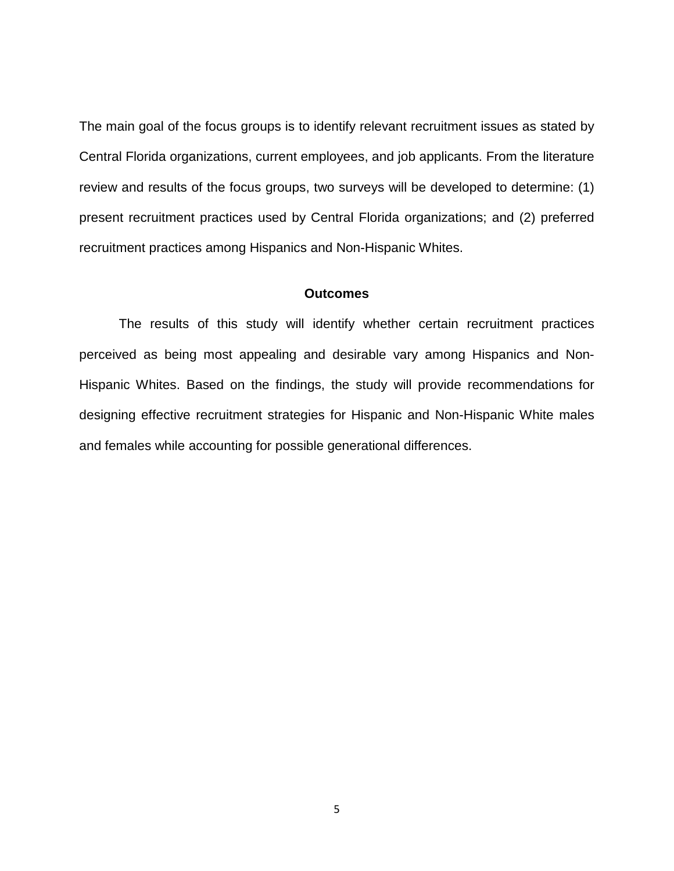The main goal of the focus groups is to identify relevant recruitment issues as stated by Central Florida organizations, current employees, and job applicants. From the literature review and results of the focus groups, two surveys will be developed to determine: (1) present recruitment practices used by Central Florida organizations; and (2) preferred recruitment practices among Hispanics and Non-Hispanic Whites.

#### **Outcomes**

<span id="page-14-0"></span>The results of this study will identify whether certain recruitment practices perceived as being most appealing and desirable vary among Hispanics and Non-Hispanic Whites. Based on the findings, the study will provide recommendations for designing effective recruitment strategies for Hispanic and Non-Hispanic White males and females while accounting for possible generational differences.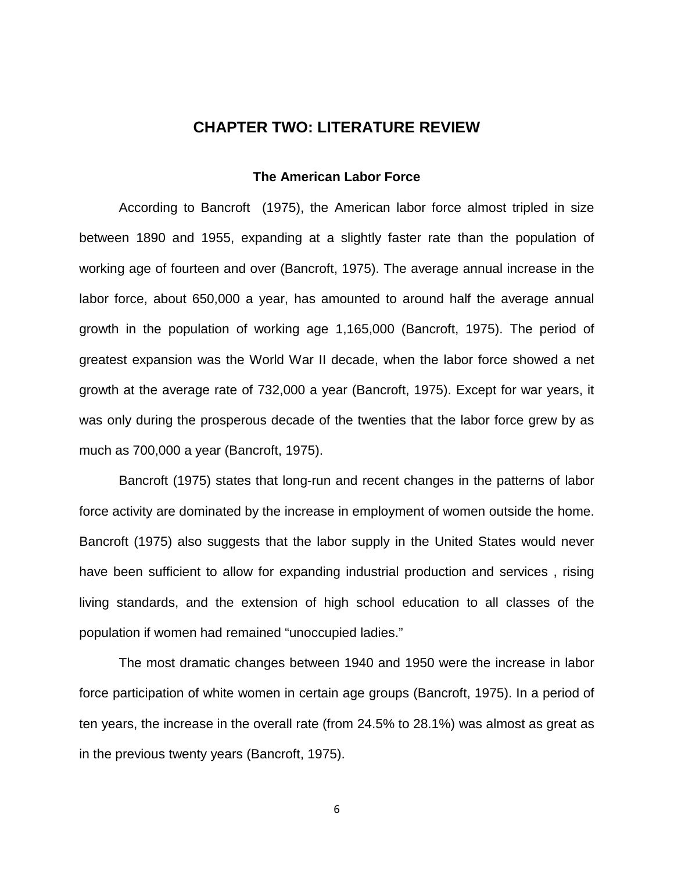# **CHAPTER TWO: LITERATURE REVIEW**

## **The American Labor Force**

<span id="page-15-1"></span><span id="page-15-0"></span>According to Bancroft (1975), the American labor force almost tripled in size between 1890 and 1955, expanding at a slightly faster rate than the population of working age of fourteen and over (Bancroft, 1975). The average annual increase in the labor force, about 650,000 a year, has amounted to around half the average annual growth in the population of working age 1,165,000 (Bancroft, 1975). The period of greatest expansion was the World War II decade, when the labor force showed a net growth at the average rate of 732,000 a year (Bancroft, 1975). Except for war years, it was only during the prosperous decade of the twenties that the labor force grew by as much as 700,000 a year (Bancroft, 1975).

Bancroft (1975) states that long-run and recent changes in the patterns of labor force activity are dominated by the increase in employment of women outside the home. Bancroft (1975) also suggests that the labor supply in the United States would never have been sufficient to allow for expanding industrial production and services , rising living standards, and the extension of high school education to all classes of the population if women had remained "unoccupied ladies."

The most dramatic changes between 1940 and 1950 were the increase in labor force participation of white women in certain age groups (Bancroft, 1975). In a period of ten years, the increase in the overall rate (from 24.5% to 28.1%) was almost as great as in the previous twenty years (Bancroft, 1975).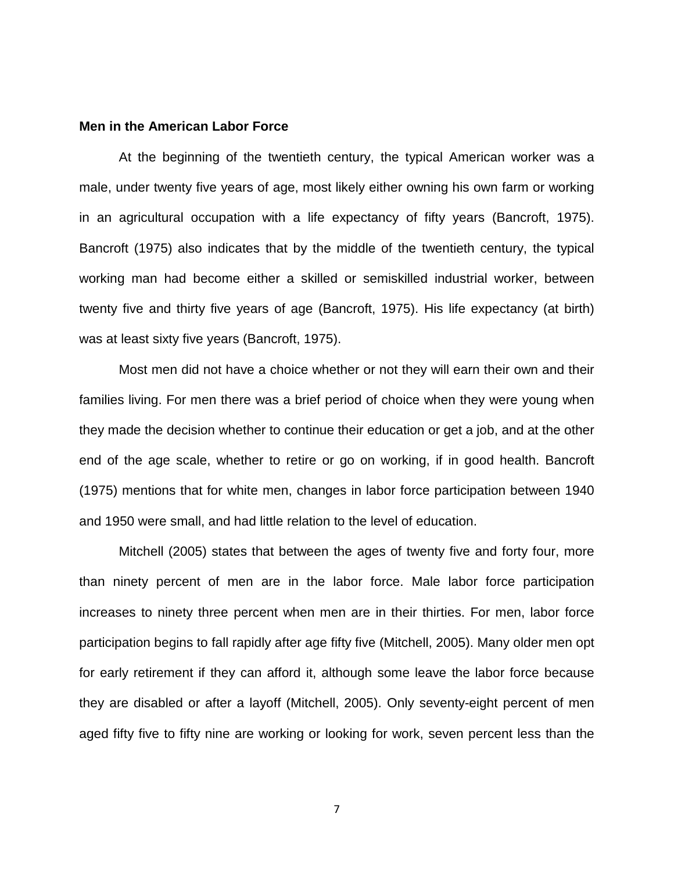# <span id="page-16-0"></span>**Men in the American Labor Force**

At the beginning of the twentieth century, the typical American worker was a male, under twenty five years of age, most likely either owning his own farm or working in an agricultural occupation with a life expectancy of fifty years (Bancroft, 1975). Bancroft (1975) also indicates that by the middle of the twentieth century, the typical working man had become either a skilled or semiskilled industrial worker, between twenty five and thirty five years of age (Bancroft, 1975). His life expectancy (at birth) was at least sixty five years (Bancroft, 1975).

Most men did not have a choice whether or not they will earn their own and their families living. For men there was a brief period of choice when they were young when they made the decision whether to continue their education or get a job, and at the other end of the age scale, whether to retire or go on working, if in good health. Bancroft (1975) mentions that for white men, changes in labor force participation between 1940 and 1950 were small, and had little relation to the level of education.

Mitchell (2005) states that between the ages of twenty five and forty four, more than ninety percent of men are in the labor force. Male labor force participation increases to ninety three percent when men are in their thirties. For men, labor force participation begins to fall rapidly after age fifty five (Mitchell, 2005). Many older men opt for early retirement if they can afford it, although some leave the labor force because they are disabled or after a layoff (Mitchell, 2005). Only seventy-eight percent of men aged fifty five to fifty nine are working or looking for work, seven percent less than the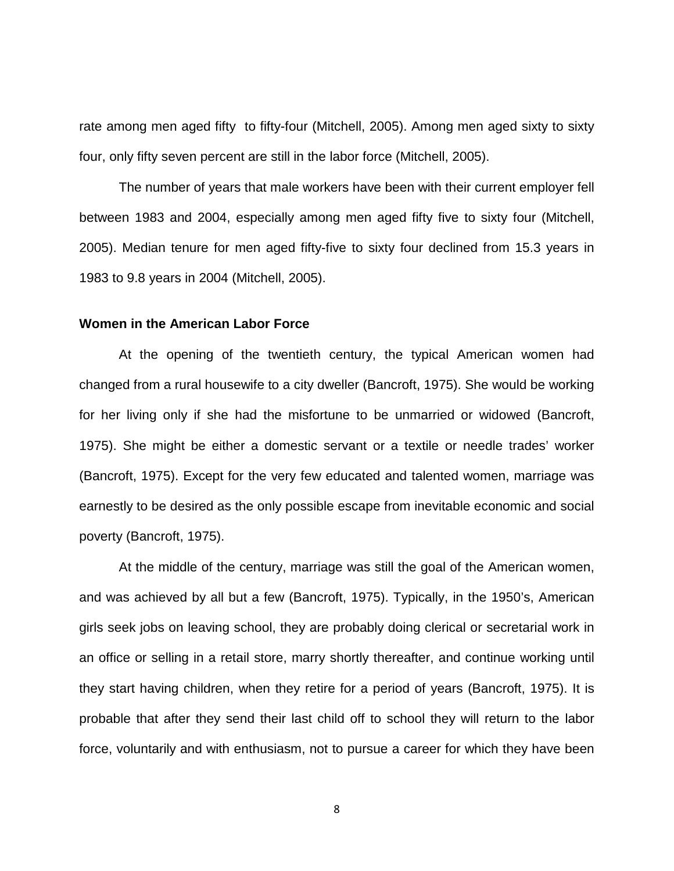rate among men aged fifty to fifty-four (Mitchell, 2005). Among men aged sixty to sixty four, only fifty seven percent are still in the labor force (Mitchell, 2005).

The number of years that male workers have been with their current employer fell between 1983 and 2004, especially among men aged fifty five to sixty four (Mitchell, 2005). Median tenure for men aged fifty-five to sixty four declined from 15.3 years in 1983 to 9.8 years in 2004 (Mitchell, 2005).

#### <span id="page-17-0"></span>**Women in the American Labor Force**

At the opening of the twentieth century, the typical American women had changed from a rural housewife to a city dweller (Bancroft, 1975). She would be working for her living only if she had the misfortune to be unmarried or widowed (Bancroft, 1975). She might be either a domestic servant or a textile or needle trades' worker (Bancroft, 1975). Except for the very few educated and talented women, marriage was earnestly to be desired as the only possible escape from inevitable economic and social poverty (Bancroft, 1975).

At the middle of the century, marriage was still the goal of the American women, and was achieved by all but a few (Bancroft, 1975). Typically, in the 1950's, American girls seek jobs on leaving school, they are probably doing clerical or secretarial work in an office or selling in a retail store, marry shortly thereafter, and continue working until they start having children, when they retire for a period of years (Bancroft, 1975). It is probable that after they send their last child off to school they will return to the labor force, voluntarily and with enthusiasm, not to pursue a career for which they have been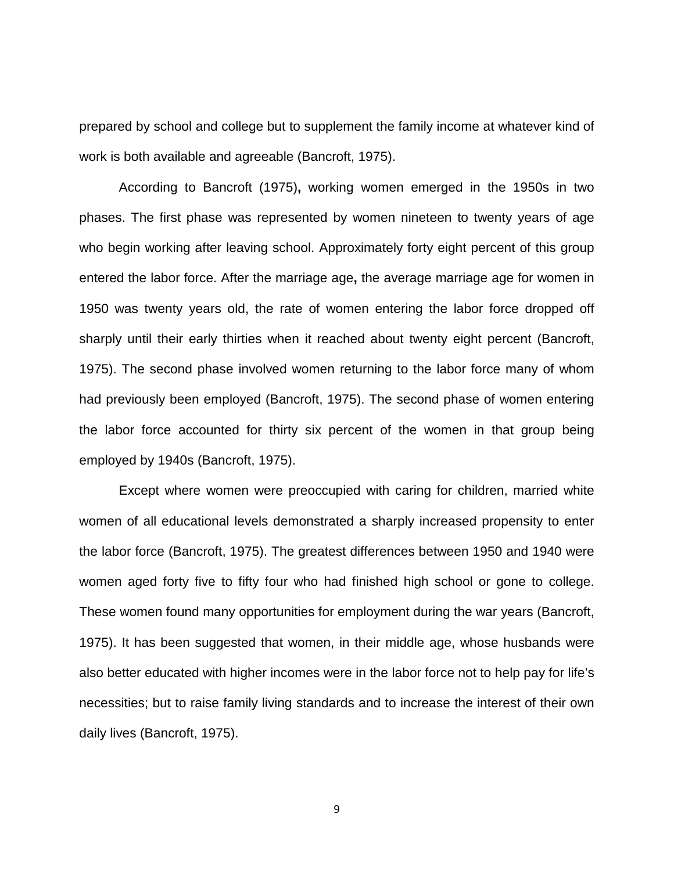prepared by school and college but to supplement the family income at whatever kind of work is both available and agreeable (Bancroft, 1975).

According to Bancroft (1975)**,** working women emerged in the 1950s in two phases. The first phase was represented by women nineteen to twenty years of age who begin working after leaving school. Approximately forty eight percent of this group entered the labor force. After the marriage age**,** the average marriage age for women in 1950 was twenty years old, the rate of women entering the labor force dropped off sharply until their early thirties when it reached about twenty eight percent (Bancroft, 1975). The second phase involved women returning to the labor force many of whom had previously been employed (Bancroft, 1975). The second phase of women entering the labor force accounted for thirty six percent of the women in that group being employed by 1940s (Bancroft, 1975).

Except where women were preoccupied with caring for children, married white women of all educational levels demonstrated a sharply increased propensity to enter the labor force (Bancroft, 1975). The greatest differences between 1950 and 1940 were women aged forty five to fifty four who had finished high school or gone to college. These women found many opportunities for employment during the war years (Bancroft, 1975). It has been suggested that women, in their middle age, whose husbands were also better educated with higher incomes were in the labor force not to help pay for life's necessities; but to raise family living standards and to increase the interest of their own daily lives (Bancroft, 1975).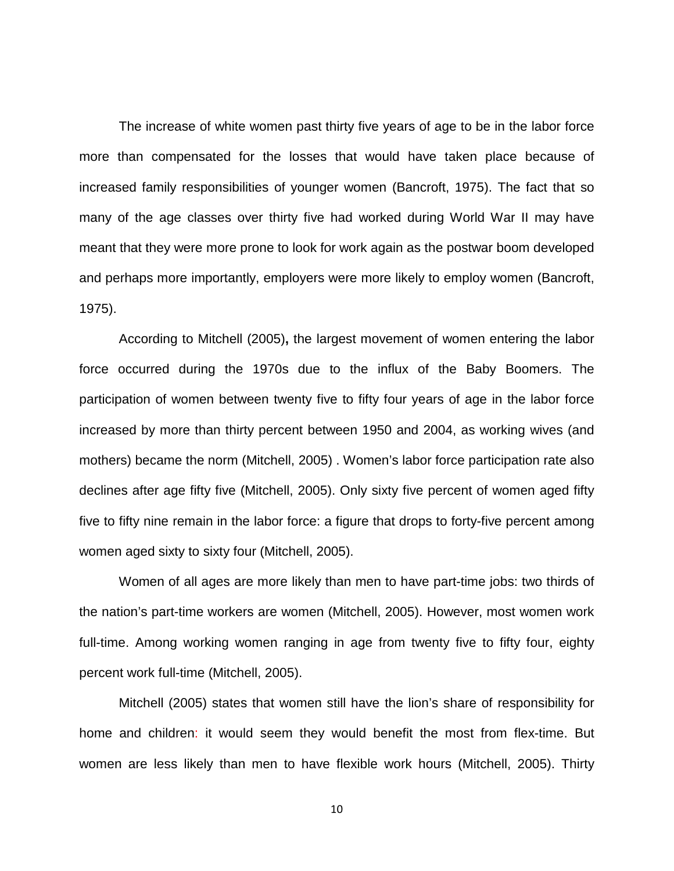The increase of white women past thirty five years of age to be in the labor force more than compensated for the losses that would have taken place because of increased family responsibilities of younger women (Bancroft, 1975). The fact that so many of the age classes over thirty five had worked during World War II may have meant that they were more prone to look for work again as the postwar boom developed and perhaps more importantly, employers were more likely to employ women (Bancroft, 1975).

According to Mitchell (2005)**,** the largest movement of women entering the labor force occurred during the 1970s due to the influx of the Baby Boomers. The participation of women between twenty five to fifty four years of age in the labor force increased by more than thirty percent between 1950 and 2004, as working wives (and mothers) became the norm (Mitchell, 2005) . Women's labor force participation rate also declines after age fifty five (Mitchell, 2005). Only sixty five percent of women aged fifty five to fifty nine remain in the labor force: a figure that drops to forty-five percent among women aged sixty to sixty four (Mitchell, 2005).

Women of all ages are more likely than men to have part-time jobs: two thirds of the nation's part-time workers are women (Mitchell, 2005). However, most women work full-time. Among working women ranging in age from twenty five to fifty four, eighty percent work full-time (Mitchell, 2005).

Mitchell (2005) states that women still have the lion's share of responsibility for home and children: it would seem they would benefit the most from flex-time. But women are less likely than men to have flexible work hours (Mitchell, 2005). Thirty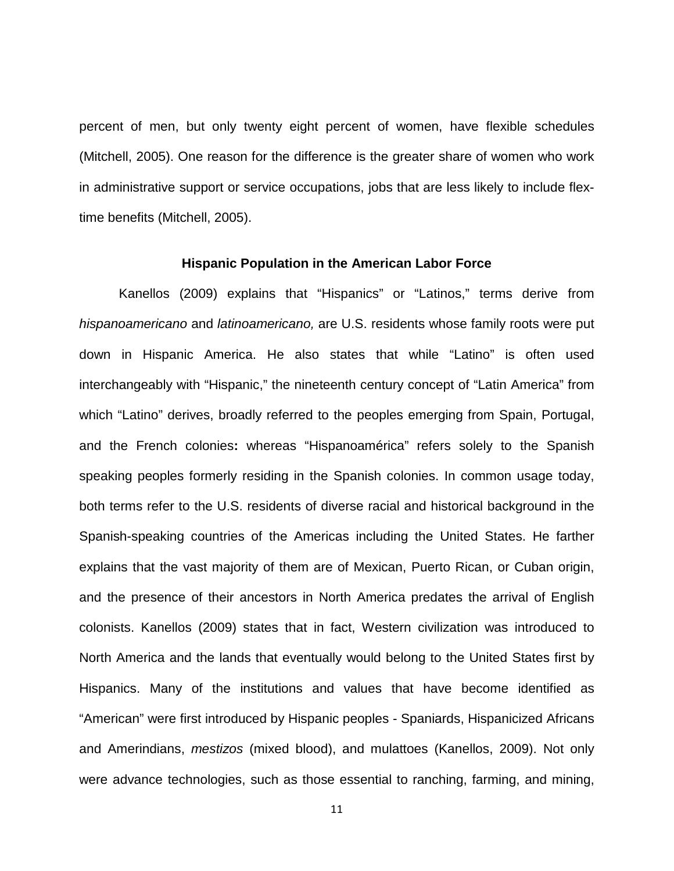percent of men, but only twenty eight percent of women, have flexible schedules (Mitchell, 2005). One reason for the difference is the greater share of women who work in administrative support or service occupations, jobs that are less likely to include flextime benefits (Mitchell, 2005).

#### **Hispanic Population in the American Labor Force**

<span id="page-20-0"></span>Kanellos (2009) explains that "Hispanics" or "Latinos," terms derive from *hispanoamericano* and *latinoamericano,* are U.S. residents whose family roots were put down in Hispanic America. He also states that while "Latino" is often used interchangeably with "Hispanic," the nineteenth century concept of "Latin America" from which "Latino" derives, broadly referred to the peoples emerging from Spain, Portugal, and the French colonies**:** whereas "Hispanoamérica" refers solely to the Spanish speaking peoples formerly residing in the Spanish colonies. In common usage today, both terms refer to the U.S. residents of diverse racial and historical background in the Spanish-speaking countries of the Americas including the United States. He farther explains that the vast majority of them are of Mexican, Puerto Rican, or Cuban origin, and the presence of their ancestors in North America predates the arrival of English colonists. Kanellos (2009) states that in fact, Western civilization was introduced to North America and the lands that eventually would belong to the United States first by Hispanics. Many of the institutions and values that have become identified as "American" were first introduced by Hispanic peoples - Spaniards, Hispanicized Africans and Amerindians, *mestizos* (mixed blood), and mulattoes (Kanellos, 2009). Not only were advance technologies, such as those essential to ranching, farming, and mining,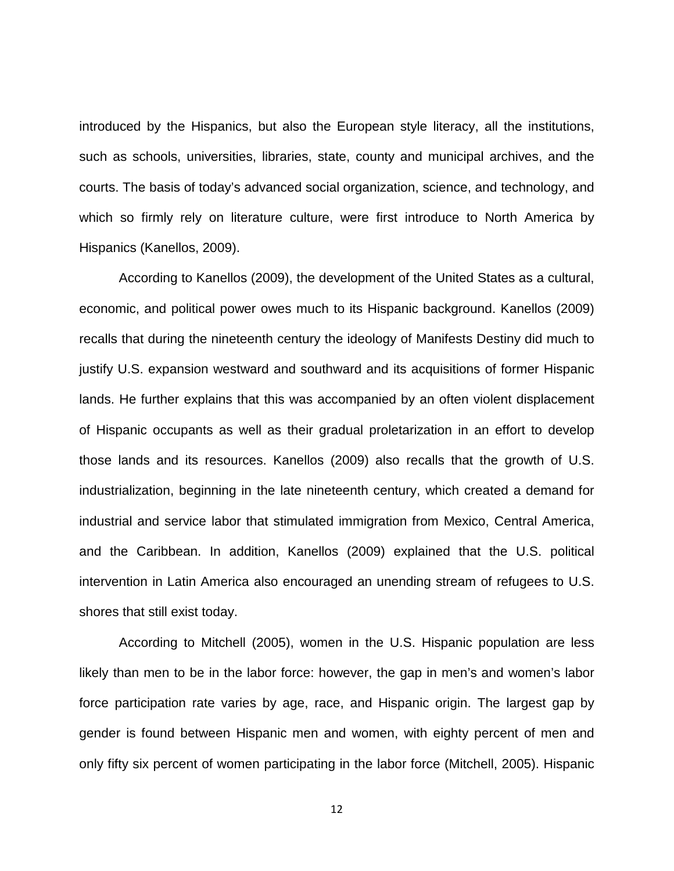introduced by the Hispanics, but also the European style literacy, all the institutions, such as schools, universities, libraries, state, county and municipal archives, and the courts. The basis of today's advanced social organization, science, and technology, and which so firmly rely on literature culture, were first introduce to North America by Hispanics (Kanellos, 2009).

According to Kanellos (2009), the development of the United States as a cultural, economic, and political power owes much to its Hispanic background. Kanellos (2009) recalls that during the nineteenth century the ideology of Manifests Destiny did much to justify U.S. expansion westward and southward and its acquisitions of former Hispanic lands. He further explains that this was accompanied by an often violent displacement of Hispanic occupants as well as their gradual proletarization in an effort to develop those lands and its resources. Kanellos (2009) also recalls that the growth of U.S. industrialization, beginning in the late nineteenth century, which created a demand for industrial and service labor that stimulated immigration from Mexico, Central America, and the Caribbean. In addition, Kanellos (2009) explained that the U.S. political intervention in Latin America also encouraged an unending stream of refugees to U.S. shores that still exist today.

According to Mitchell (2005), women in the U.S. Hispanic population are less likely than men to be in the labor force: however, the gap in men's and women's labor force participation rate varies by age, race, and Hispanic origin. The largest gap by gender is found between Hispanic men and women, with eighty percent of men and only fifty six percent of women participating in the labor force (Mitchell, 2005). Hispanic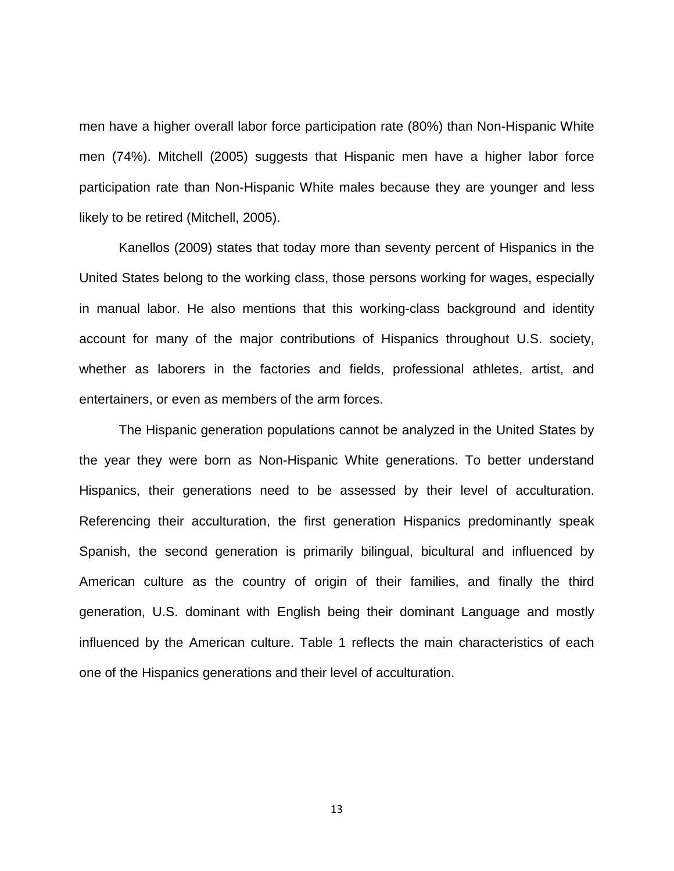men have a higher overall labor force participation rate (80%) than Non-Hispanic White men (74%). Mitchell (2005) suggests that Hispanic men have a higher labor force participation rate than Non-Hispanic White males because they are younger and less likely to be retired (Mitchell, 2005).

Kanellos (2009) states that today more than seventy percent of Hispanics in the United States belong to the working class, those persons working for wages, especially in manual labor. He also mentions that this working-class background and identity account for many of the major contributions of Hispanics throughout U.S. society, whether as laborers in the factories and fields, professional athletes, artist, and entertainers, or even as members of the arm forces.

The Hispanic generation populations cannot be analyzed in the United States by the year they were born as Non-Hispanic White generations. To better understand Hispanics, their generations need to be assessed by their level of acculturation. Referencing their acculturation, the first generation Hispanics predominantly speak Spanish, the second generation is primarily bilingual, bicultural and influenced by American culture as the country of origin of their families, and finally the third generation, U.S. dominant with English being their dominant Language and mostly influenced by the American culture. Table 1 reflects the main characteristics of each one of the Hispanics generations and their level of acculturation.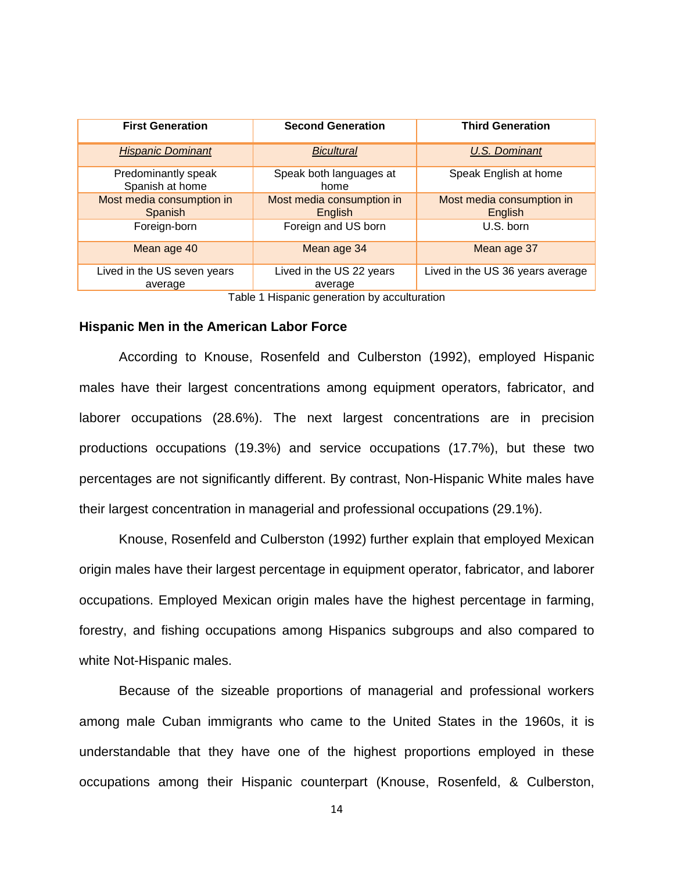| <b>First Generation</b>                     | <b>Second Generation</b>             | <b>Third Generation</b>              |
|---------------------------------------------|--------------------------------------|--------------------------------------|
| <b>Hispanic Dominant</b>                    | <b>Bicultural</b>                    | <b>U.S. Dominant</b>                 |
| Predominantly speak<br>Spanish at home      | Speak both languages at<br>home      | Speak English at home                |
| Most media consumption in<br><b>Spanish</b> | Most media consumption in<br>English | Most media consumption in<br>English |
| Foreign-born                                | Foreign and US born                  | U.S. born                            |
| Mean age 40                                 | Mean age 34                          | Mean age 37                          |
| Lived in the US seven years<br>average      | Lived in the US 22 years<br>average  | Lived in the US 36 years average     |

Table 1 Hispanic generation by acculturation

# <span id="page-23-1"></span><span id="page-23-0"></span>**Hispanic Men in the American Labor Force**

According to Knouse, Rosenfeld and Culberston (1992), employed Hispanic males have their largest concentrations among equipment operators, fabricator, and laborer occupations (28.6%). The next largest concentrations are in precision productions occupations (19.3%) and service occupations (17.7%), but these two percentages are not significantly different. By contrast, Non-Hispanic White males have their largest concentration in managerial and professional occupations (29.1%).

Knouse, Rosenfeld and Culberston (1992) further explain that employed Mexican origin males have their largest percentage in equipment operator, fabricator, and laborer occupations. Employed Mexican origin males have the highest percentage in farming, forestry, and fishing occupations among Hispanics subgroups and also compared to white Not-Hispanic males.

Because of the sizeable proportions of managerial and professional workers among male Cuban immigrants who came to the United States in the 1960s, it is understandable that they have one of the highest proportions employed in these occupations among their Hispanic counterpart (Knouse, Rosenfeld, & Culberston,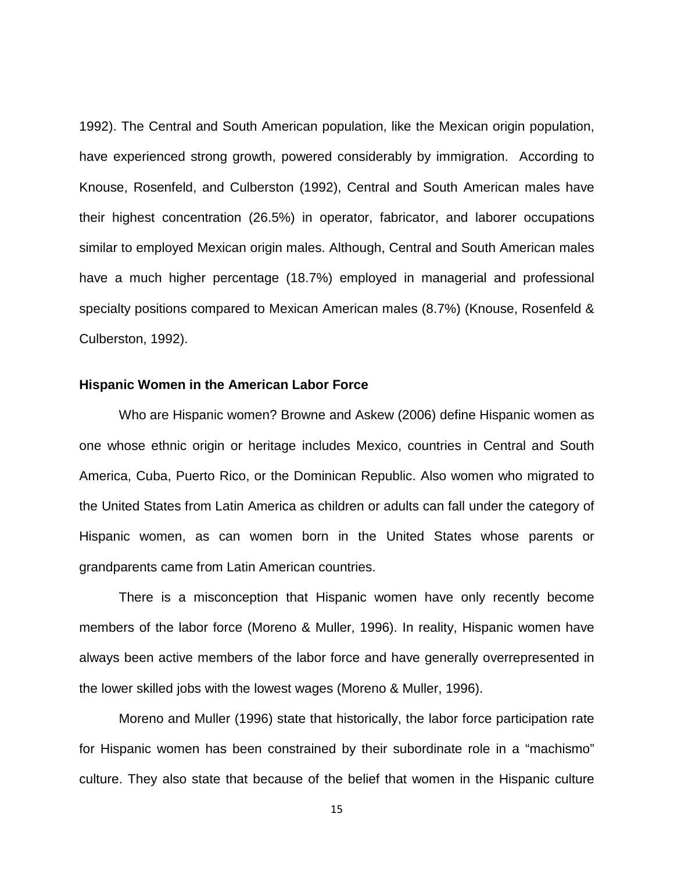1992). The Central and South American population, like the Mexican origin population, have experienced strong growth, powered considerably by immigration. According to Knouse, Rosenfeld, and Culberston (1992), Central and South American males have their highest concentration (26.5%) in operator, fabricator, and laborer occupations similar to employed Mexican origin males. Although, Central and South American males have a much higher percentage (18.7%) employed in managerial and professional specialty positions compared to Mexican American males (8.7%) (Knouse, Rosenfeld & Culberston, 1992).

#### <span id="page-24-0"></span>**Hispanic Women in the American Labor Force**

Who are Hispanic women? Browne and Askew (2006) define Hispanic women as one whose ethnic origin or heritage includes Mexico, countries in Central and South America, Cuba, Puerto Rico, or the Dominican Republic. Also women who migrated to the United States from Latin America as children or adults can fall under the category of Hispanic women, as can women born in the United States whose parents or grandparents came from Latin American countries.

There is a misconception that Hispanic women have only recently become members of the labor force (Moreno & Muller, 1996). In reality, Hispanic women have always been active members of the labor force and have generally overrepresented in the lower skilled jobs with the lowest wages (Moreno & Muller, 1996).

Moreno and Muller (1996) state that historically, the labor force participation rate for Hispanic women has been constrained by their subordinate role in a "machismo" culture. They also state that because of the belief that women in the Hispanic culture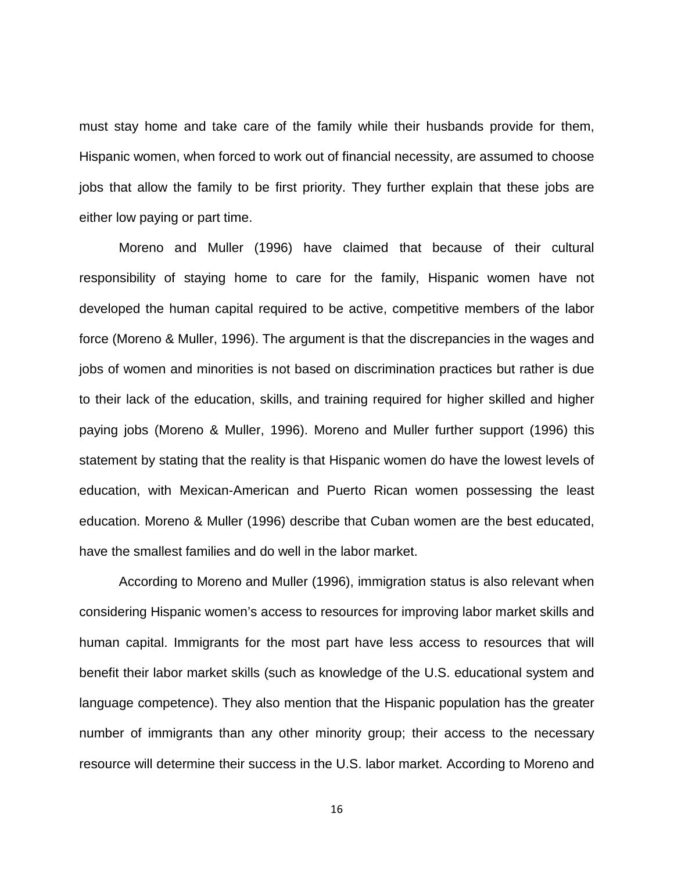must stay home and take care of the family while their husbands provide for them, Hispanic women, when forced to work out of financial necessity, are assumed to choose jobs that allow the family to be first priority. They further explain that these jobs are either low paying or part time.

Moreno and Muller (1996) have claimed that because of their cultural responsibility of staying home to care for the family, Hispanic women have not developed the human capital required to be active, competitive members of the labor force (Moreno & Muller, 1996). The argument is that the discrepancies in the wages and jobs of women and minorities is not based on discrimination practices but rather is due to their lack of the education, skills, and training required for higher skilled and higher paying jobs (Moreno & Muller, 1996). Moreno and Muller further support (1996) this statement by stating that the reality is that Hispanic women do have the lowest levels of education, with Mexican-American and Puerto Rican women possessing the least education. Moreno & Muller (1996) describe that Cuban women are the best educated, have the smallest families and do well in the labor market.

According to Moreno and Muller (1996), immigration status is also relevant when considering Hispanic women's access to resources for improving labor market skills and human capital. Immigrants for the most part have less access to resources that will benefit their labor market skills (such as knowledge of the U.S. educational system and language competence). They also mention that the Hispanic population has the greater number of immigrants than any other minority group; their access to the necessary resource will determine their success in the U.S. labor market. According to Moreno and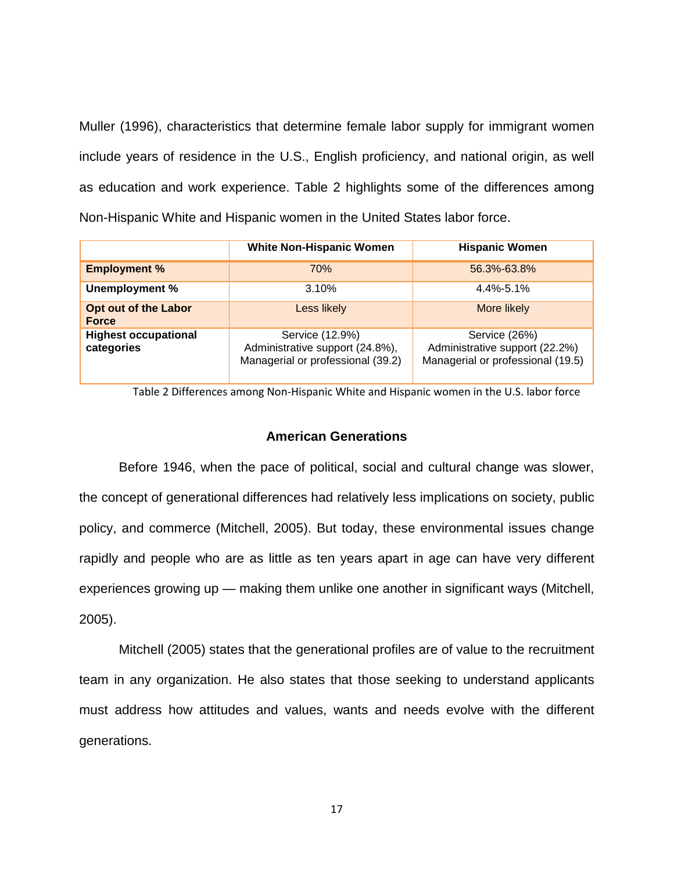Muller (1996), characteristics that determine female labor supply for immigrant women include years of residence in the U.S., English proficiency, and national origin, as well as education and work experience. Table 2 highlights some of the differences among Non-Hispanic White and Hispanic women in the United States labor force.

|                                           | <b>White Non-Hispanic Women</b>                                                         | <b>Hispanic Women</b>                                                                |
|-------------------------------------------|-----------------------------------------------------------------------------------------|--------------------------------------------------------------------------------------|
| <b>Employment %</b>                       | 70%                                                                                     | 56.3%-63.8%                                                                          |
| Unemployment %                            | 3.10%                                                                                   | $4.4\% - 5.1\%$                                                                      |
| Opt out of the Labor<br><b>Force</b>      | Less likely                                                                             | More likely                                                                          |
| <b>Highest occupational</b><br>categories | Service (12.9%)<br>Administrative support (24.8%),<br>Managerial or professional (39.2) | Service (26%)<br>Administrative support (22.2%)<br>Managerial or professional (19.5) |

<span id="page-26-1"></span>Table 2 Differences among Non-Hispanic White and Hispanic women in the U.S. labor force

## **American Generations**

<span id="page-26-0"></span>Before 1946, when the pace of political, social and cultural change was slower, the concept of generational differences had relatively less implications on society, public policy, and commerce (Mitchell, 2005). But today, these environmental issues change rapidly and people who are as little as ten years apart in age can have very different experiences growing up — making them unlike one another in significant ways (Mitchell, 2005).

Mitchell (2005) states that the generational profiles are of value to the recruitment team in any organization. He also states that those seeking to understand applicants must address how attitudes and values, wants and needs evolve with the different generations.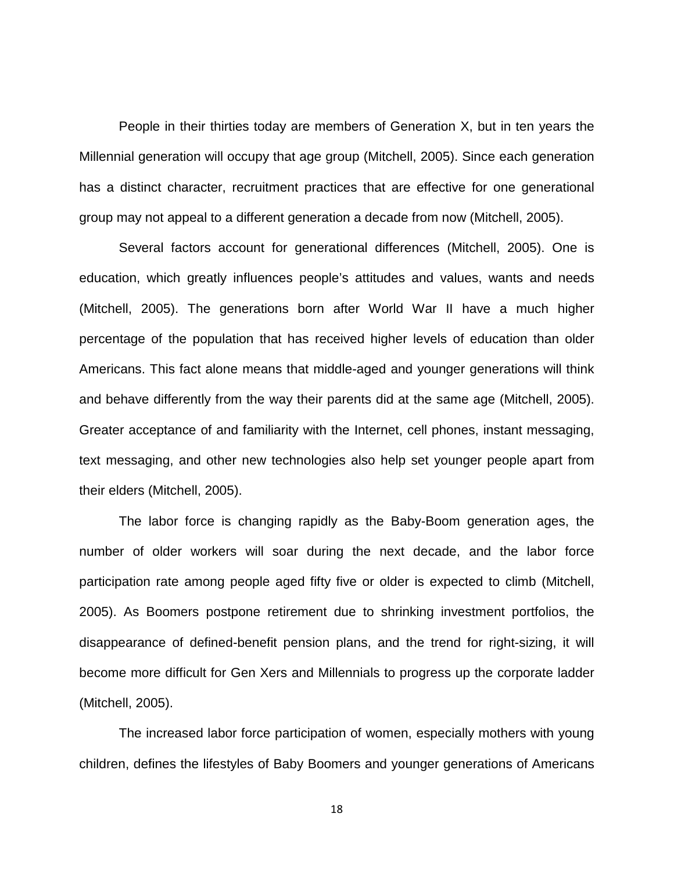People in their thirties today are members of Generation X, but in ten years the Millennial generation will occupy that age group (Mitchell, 2005). Since each generation has a distinct character, recruitment practices that are effective for one generational group may not appeal to a different generation a decade from now (Mitchell, 2005).

Several factors account for generational differences (Mitchell, 2005). One is education, which greatly influences people's attitudes and values, wants and needs (Mitchell, 2005). The generations born after World War II have a much higher percentage of the population that has received higher levels of education than older Americans. This fact alone means that middle-aged and younger generations will think and behave differently from the way their parents did at the same age (Mitchell, 2005). Greater acceptance of and familiarity with the Internet, cell phones, instant messaging, text messaging, and other new technologies also help set younger people apart from their elders (Mitchell, 2005).

The labor force is changing rapidly as the Baby-Boom generation ages, the number of older workers will soar during the next decade, and the labor force participation rate among people aged fifty five or older is expected to climb (Mitchell, 2005). As Boomers postpone retirement due to shrinking investment portfolios, the disappearance of defined-benefit pension plans, and the trend for right-sizing, it will become more difficult for Gen Xers and Millennials to progress up the corporate ladder (Mitchell, 2005).

The increased labor force participation of women, especially mothers with young children, defines the lifestyles of Baby Boomers and younger generations of Americans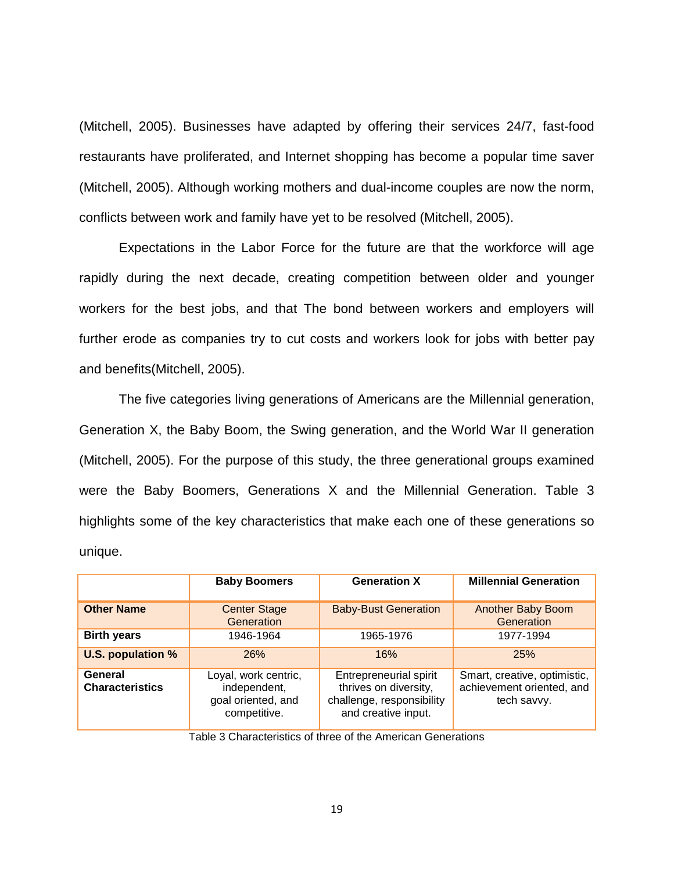(Mitchell, 2005). Businesses have adapted by offering their services 24/7, fast-food restaurants have proliferated, and Internet shopping has become a popular time saver (Mitchell, 2005). Although working mothers and dual-income couples are now the norm, conflicts between work and family have yet to be resolved (Mitchell, 2005).

Expectations in the Labor Force for the future are that the workforce will age rapidly during the next decade, creating competition between older and younger workers for the best jobs, and that The bond between workers and employers will further erode as companies try to cut costs and workers look for jobs with better pay and benefits(Mitchell, 2005).

The five categories living generations of Americans are the Millennial generation, Generation X, the Baby Boom, the Swing generation, and the World War II generation (Mitchell, 2005). For the purpose of this study, the three generational groups examined were the Baby Boomers, Generations X and the Millennial Generation. Table 3 highlights some of the key characteristics that make each one of these generations so unique.

|                                   | <b>Baby Boomers</b>                                                        | <b>Generation X</b>                                                                                        | <b>Millennial Generation</b>                                             |
|-----------------------------------|----------------------------------------------------------------------------|------------------------------------------------------------------------------------------------------------|--------------------------------------------------------------------------|
| <b>Other Name</b>                 | <b>Center Stage</b><br>Generation                                          | <b>Baby-Bust Generation</b>                                                                                | <b>Another Baby Boom</b><br>Generation                                   |
| <b>Birth years</b>                | 1946-1964                                                                  | 1965-1976                                                                                                  | 1977-1994                                                                |
| <b>U.S. population %</b>          | 26%                                                                        | 16%                                                                                                        | <b>25%</b>                                                               |
| General<br><b>Characteristics</b> | Loyal, work centric,<br>independent,<br>goal oriented, and<br>competitive. | <b>Entrepreneurial spirit</b><br>thrives on diversity,<br>challenge, responsibility<br>and creative input. | Smart, creative, optimistic,<br>achievement oriented, and<br>tech savvy. |

<span id="page-28-0"></span>Table 3 Characteristics of three of the American Generations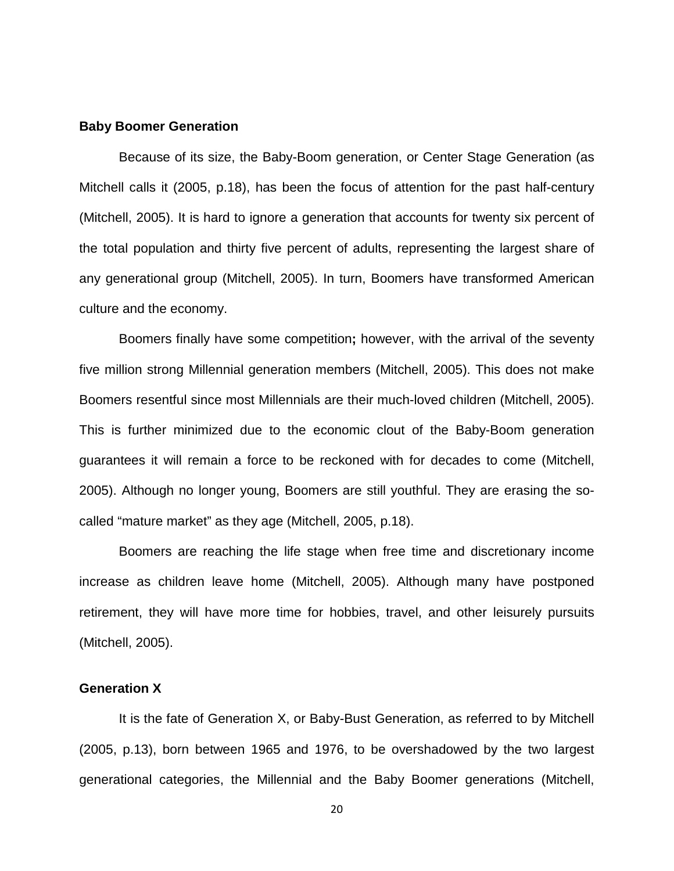# <span id="page-29-0"></span>**Baby Boomer Generation**

Because of its size, the Baby-Boom generation, or Center Stage Generation (as Mitchell calls it (2005, p.18), has been the focus of attention for the past half-century (Mitchell, 2005). It is hard to ignore a generation that accounts for twenty six percent of the total population and thirty five percent of adults, representing the largest share of any generational group (Mitchell, 2005). In turn, Boomers have transformed American culture and the economy.

Boomers finally have some competition**;** however, with the arrival of the seventy five million strong Millennial generation members (Mitchell, 2005). This does not make Boomers resentful since most Millennials are their much-loved children (Mitchell, 2005). This is further minimized due to the economic clout of the Baby-Boom generation guarantees it will remain a force to be reckoned with for decades to come (Mitchell, 2005). Although no longer young, Boomers are still youthful. They are erasing the socalled "mature market" as they age (Mitchell, 2005, p.18).

Boomers are reaching the life stage when free time and discretionary income increase as children leave home (Mitchell, 2005). Although many have postponed retirement, they will have more time for hobbies, travel, and other leisurely pursuits (Mitchell, 2005).

## <span id="page-29-1"></span>**Generation X**

It is the fate of Generation X, or Baby-Bust Generation, as referred to by Mitchell (2005, p.13), born between 1965 and 1976, to be overshadowed by the two largest generational categories, the Millennial and the Baby Boomer generations (Mitchell,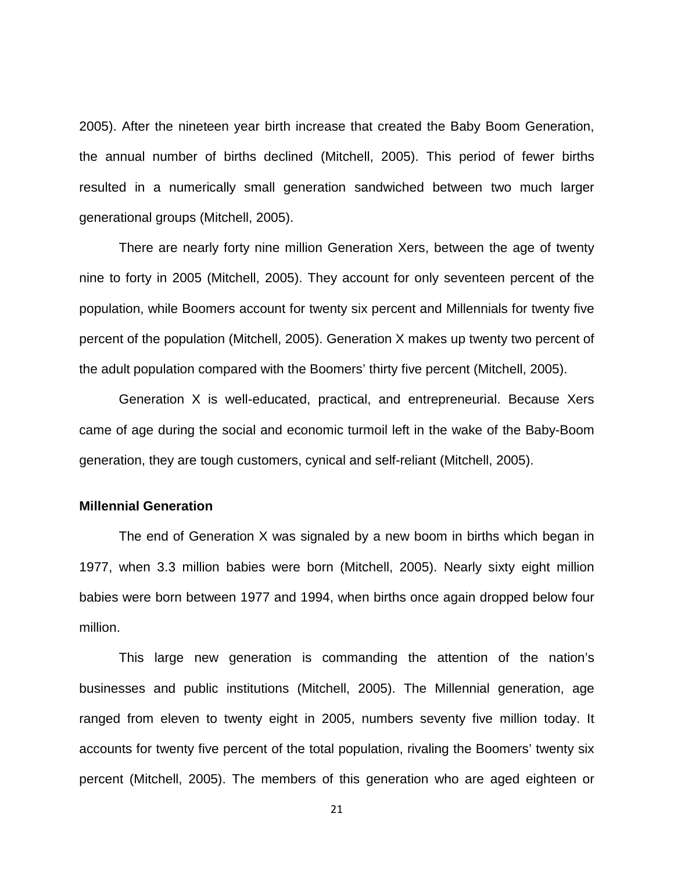2005). After the nineteen year birth increase that created the Baby Boom Generation, the annual number of births declined (Mitchell, 2005). This period of fewer births resulted in a numerically small generation sandwiched between two much larger generational groups (Mitchell, 2005).

There are nearly forty nine million Generation Xers, between the age of twenty nine to forty in 2005 (Mitchell, 2005). They account for only seventeen percent of the population, while Boomers account for twenty six percent and Millennials for twenty five percent of the population (Mitchell, 2005). Generation X makes up twenty two percent of the adult population compared with the Boomers' thirty five percent (Mitchell, 2005).

Generation X is well-educated, practical, and entrepreneurial. Because Xers came of age during the social and economic turmoil left in the wake of the Baby-Boom generation, they are tough customers, cynical and self-reliant (Mitchell, 2005).

# <span id="page-30-0"></span>**Millennial Generation**

The end of Generation X was signaled by a new boom in births which began in 1977, when 3.3 million babies were born (Mitchell, 2005). Nearly sixty eight million babies were born between 1977 and 1994, when births once again dropped below four million.

This large new generation is commanding the attention of the nation's businesses and public institutions (Mitchell, 2005). The Millennial generation, age ranged from eleven to twenty eight in 2005, numbers seventy five million today. It accounts for twenty five percent of the total population, rivaling the Boomers' twenty six percent (Mitchell, 2005). The members of this generation who are aged eighteen or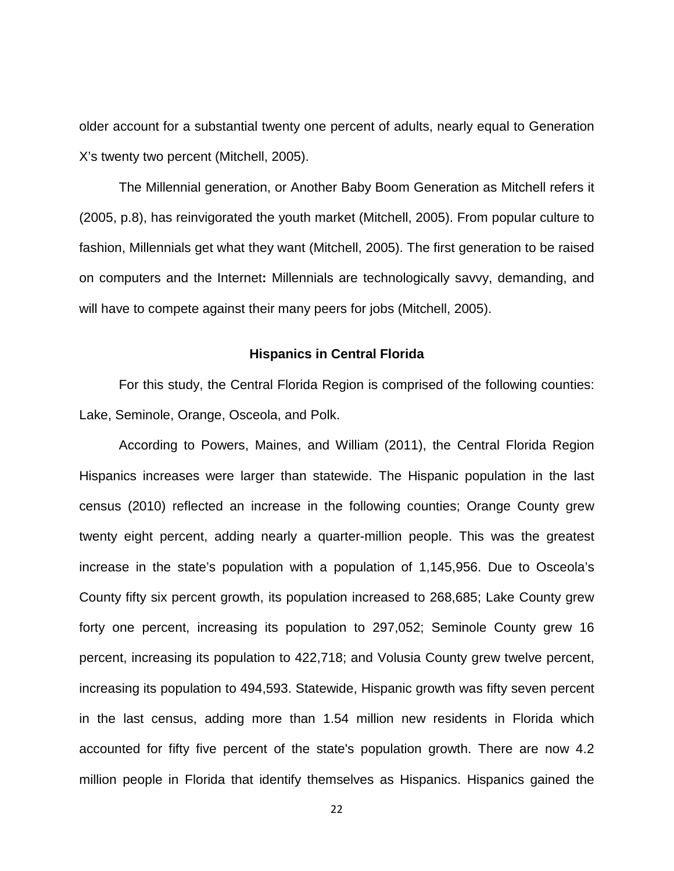older account for a substantial twenty one percent of adults, nearly equal to Generation X's twenty two percent (Mitchell, 2005).

The Millennial generation, or Another Baby Boom Generation as Mitchell refers it (2005, p.8), has reinvigorated the youth market (Mitchell, 2005). From popular culture to fashion, Millennials get what they want (Mitchell, 2005). The first generation to be raised on computers and the Internet**:** Millennials are technologically savvy, demanding, and will have to compete against their many peers for jobs (Mitchell, 2005).

#### **Hispanics in Central Florida**

<span id="page-31-0"></span>For this study, the Central Florida Region is comprised of the following counties: [Lake,](http://www.floridacountiesmap.com/lake_county.shtml) [Seminole,](http://www.floridacountiesmap.com/seminole_county.shtml) [Orange,](http://www.floridacountiesmap.com/orange_county.shtml) [Osceola,](http://www.floridacountiesmap.com/osceola_county.shtml) and Polk.

According to Powers, Maines, and William (2011), the Central Florida Region Hispanics increases were larger than statewide. The Hispanic population in the last census (2010) reflected an increase in the following counties; Orange County grew twenty eight percent, adding nearly a quarter-million people. This was the greatest increase in the state's population with a population of 1,145,956. Due to Osceola's County fifty six percent growth, its population increased to 268,685; Lake County grew forty one percent, increasing its population to 297,052; Seminole County grew 16 percent, increasing its population to 422,718; and Volusia County grew twelve percent, increasing its population to 494,593. Statewide, Hispanic growth was fifty seven percent in the last census, adding more than 1.54 million new residents in Florida which accounted for fifty five percent of the state's population growth. There are now 4.2 million people in Florida that identify themselves as Hispanics. Hispanics gained the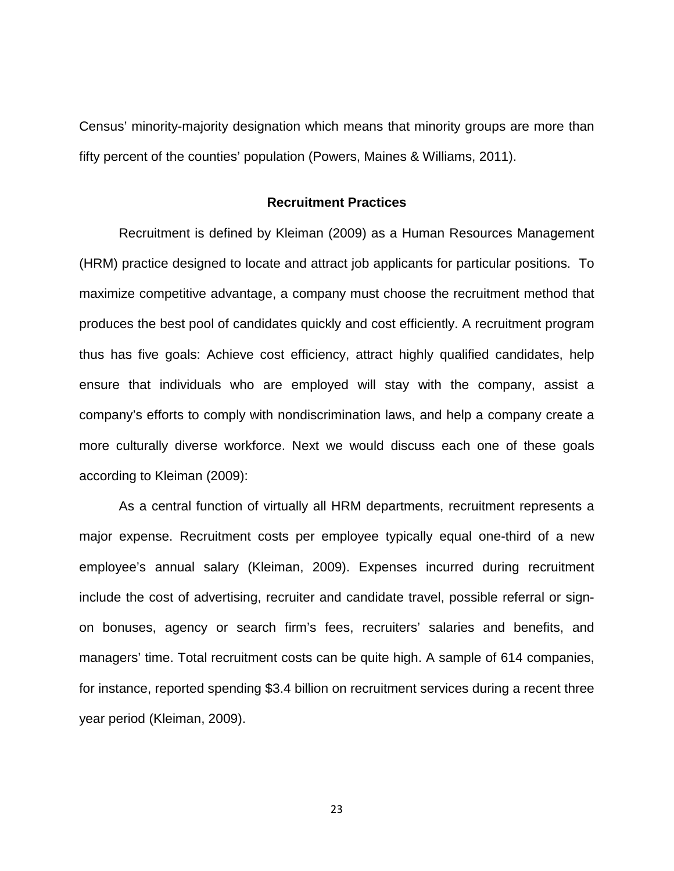Census' minority-majority designation which means that minority groups are more than fifty percent of the counties' population (Powers, Maines & Williams, 2011).

# **Recruitment Practices**

<span id="page-32-0"></span>Recruitment is defined by Kleiman (2009) as a Human Resources Management (HRM) practice designed to locate and attract job applicants for particular positions. To maximize competitive advantage, a company must choose the recruitment method that produces the best pool of candidates quickly and cost efficiently. A recruitment program thus has five goals: Achieve cost efficiency, attract highly qualified candidates, help ensure that individuals who are employed will stay with the company, assist a company's efforts to comply with nondiscrimination laws, and help a company create a more culturally diverse workforce. Next we would discuss each one of these goals according to Kleiman (2009):

As a central function of virtually all HRM departments, recruitment represents a major expense. Recruitment costs per employee typically equal one-third of a new employee's annual salary (Kleiman, 2009). Expenses incurred during recruitment include the cost of advertising, recruiter and candidate travel, possible referral or signon bonuses, agency or search firm's fees, recruiters' salaries and benefits, and managers' time. Total recruitment costs can be quite high. A sample of 614 companies, for instance, reported spending \$3.4 billion on recruitment services during a recent three year period (Kleiman, 2009).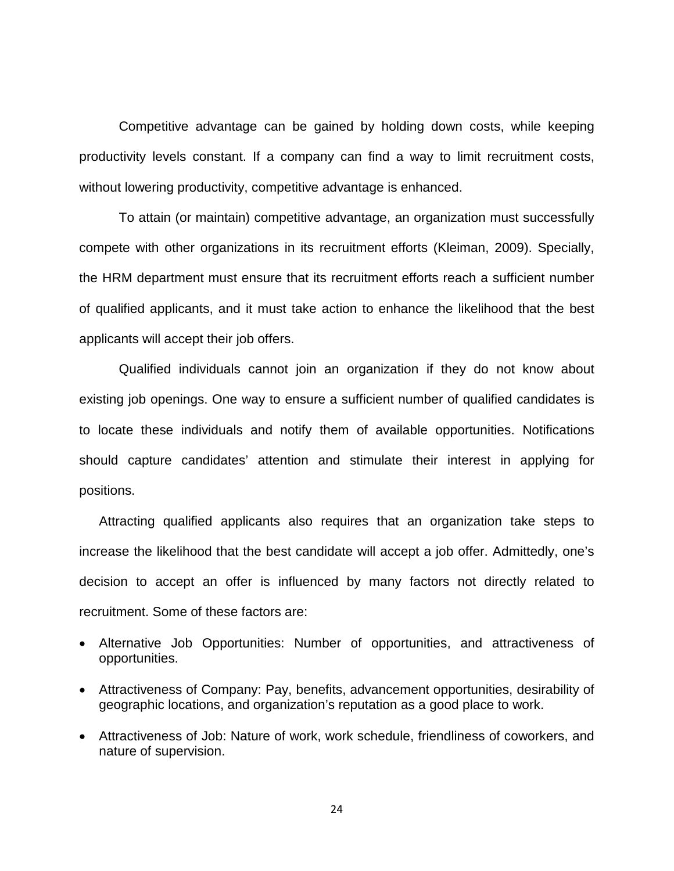Competitive advantage can be gained by holding down costs, while keeping productivity levels constant. If a company can find a way to limit recruitment costs, without lowering productivity, competitive advantage is enhanced.

To attain (or maintain) competitive advantage, an organization must successfully compete with other organizations in its recruitment efforts (Kleiman, 2009). Specially, the HRM department must ensure that its recruitment efforts reach a sufficient number of qualified applicants, and it must take action to enhance the likelihood that the best applicants will accept their job offers.

Qualified individuals cannot join an organization if they do not know about existing job openings. One way to ensure a sufficient number of qualified candidates is to locate these individuals and notify them of available opportunities. Notifications should capture candidates' attention and stimulate their interest in applying for positions.

Attracting qualified applicants also requires that an organization take steps to increase the likelihood that the best candidate will accept a job offer. Admittedly, one's decision to accept an offer is influenced by many factors not directly related to recruitment. Some of these factors are:

- Alternative Job Opportunities: Number of opportunities, and attractiveness of opportunities.
- Attractiveness of Company: Pay, benefits, advancement opportunities, desirability of geographic locations, and organization's reputation as a good place to work.
- Attractiveness of Job: Nature of work, work schedule, friendliness of coworkers, and nature of supervision.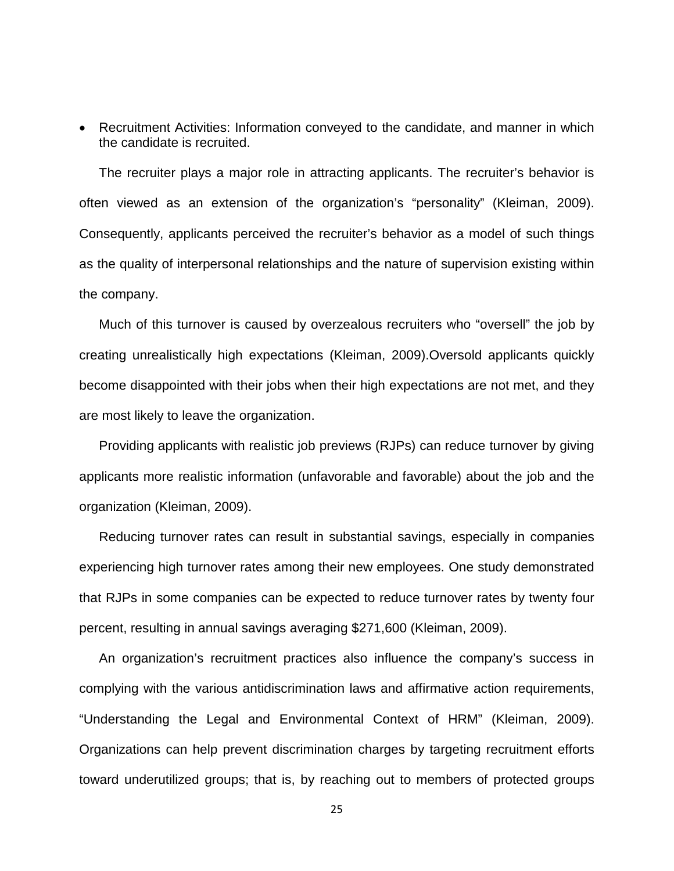• Recruitment Activities: Information conveyed to the candidate, and manner in which the candidate is recruited.

The recruiter plays a major role in attracting applicants. The recruiter's behavior is often viewed as an extension of the organization's "personality" (Kleiman, 2009). Consequently, applicants perceived the recruiter's behavior as a model of such things as the quality of interpersonal relationships and the nature of supervision existing within the company.

Much of this turnover is caused by overzealous recruiters who "oversell" the job by creating unrealistically high expectations (Kleiman, 2009).Oversold applicants quickly become disappointed with their jobs when their high expectations are not met, and they are most likely to leave the organization.

Providing applicants with realistic job previews (RJPs) can reduce turnover by giving applicants more realistic information (unfavorable and favorable) about the job and the organization (Kleiman, 2009).

Reducing turnover rates can result in substantial savings, especially in companies experiencing high turnover rates among their new employees. One study demonstrated that RJPs in some companies can be expected to reduce turnover rates by twenty four percent, resulting in annual savings averaging \$271,600 (Kleiman, 2009).

An organization's recruitment practices also influence the company's success in complying with the various antidiscrimination laws and affirmative action requirements, "Understanding the Legal and Environmental Context of HRM" (Kleiman, 2009). Organizations can help prevent discrimination charges by targeting recruitment efforts toward underutilized groups; that is, by reaching out to members of protected groups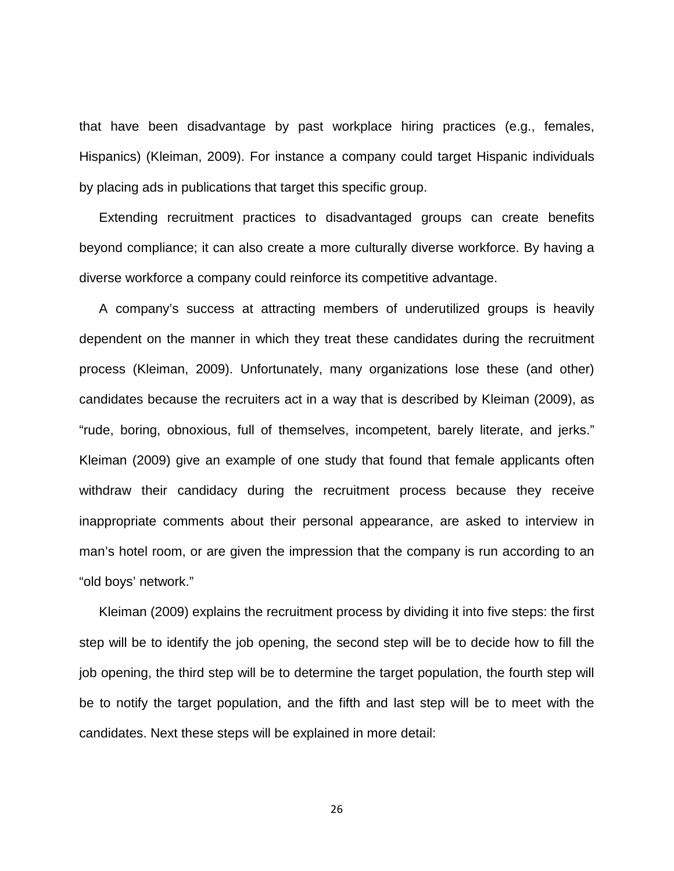that have been disadvantage by past workplace hiring practices (e.g., females, Hispanics) (Kleiman, 2009). For instance a company could target Hispanic individuals by placing ads in publications that target this specific group.

Extending recruitment practices to disadvantaged groups can create benefits beyond compliance; it can also create a more culturally diverse workforce. By having a diverse workforce a company could reinforce its competitive advantage.

A company's success at attracting members of underutilized groups is heavily dependent on the manner in which they treat these candidates during the recruitment process (Kleiman, 2009). Unfortunately, many organizations lose these (and other) candidates because the recruiters act in a way that is described by Kleiman (2009), as "rude, boring, obnoxious, full of themselves, incompetent, barely literate, and jerks." Kleiman (2009) give an example of one study that found that female applicants often withdraw their candidacy during the recruitment process because they receive inappropriate comments about their personal appearance, are asked to interview in man's hotel room, or are given the impression that the company is run according to an "old boys' network."

Kleiman (2009) explains the recruitment process by dividing it into five steps: the first step will be to identify the job opening, the second step will be to decide how to fill the job opening, the third step will be to determine the target population, the fourth step will be to notify the target population, and the fifth and last step will be to meet with the candidates. Next these steps will be explained in more detail: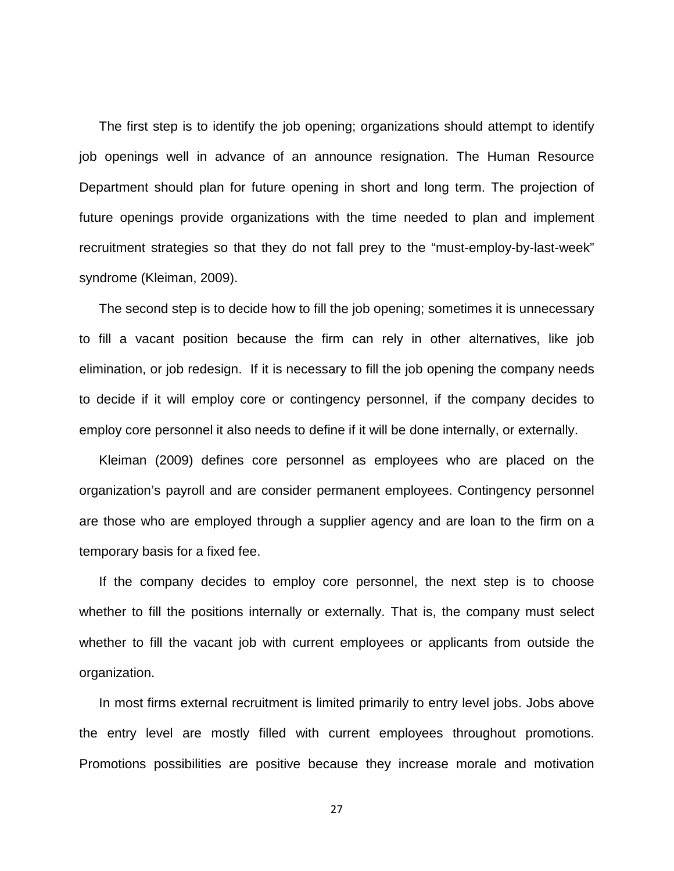The first step is to identify the job opening; organizations should attempt to identify job openings well in advance of an announce resignation. The Human Resource Department should plan for future opening in short and long term. The projection of future openings provide organizations with the time needed to plan and implement recruitment strategies so that they do not fall prey to the "must-employ-by-last-week" syndrome (Kleiman, 2009).

The second step is to decide how to fill the job opening; sometimes it is unnecessary to fill a vacant position because the firm can rely in other alternatives, like job elimination, or job redesign. If it is necessary to fill the job opening the company needs to decide if it will employ core or contingency personnel, if the company decides to employ core personnel it also needs to define if it will be done internally, or externally.

Kleiman (2009) defines core personnel as employees who are placed on the organization's payroll and are consider permanent employees. Contingency personnel are those who are employed through a supplier agency and are loan to the firm on a temporary basis for a fixed fee.

If the company decides to employ core personnel, the next step is to choose whether to fill the positions internally or externally. That is, the company must select whether to fill the vacant job with current employees or applicants from outside the organization.

In most firms external recruitment is limited primarily to entry level jobs. Jobs above the entry level are mostly filled with current employees throughout promotions. Promotions possibilities are positive because they increase morale and motivation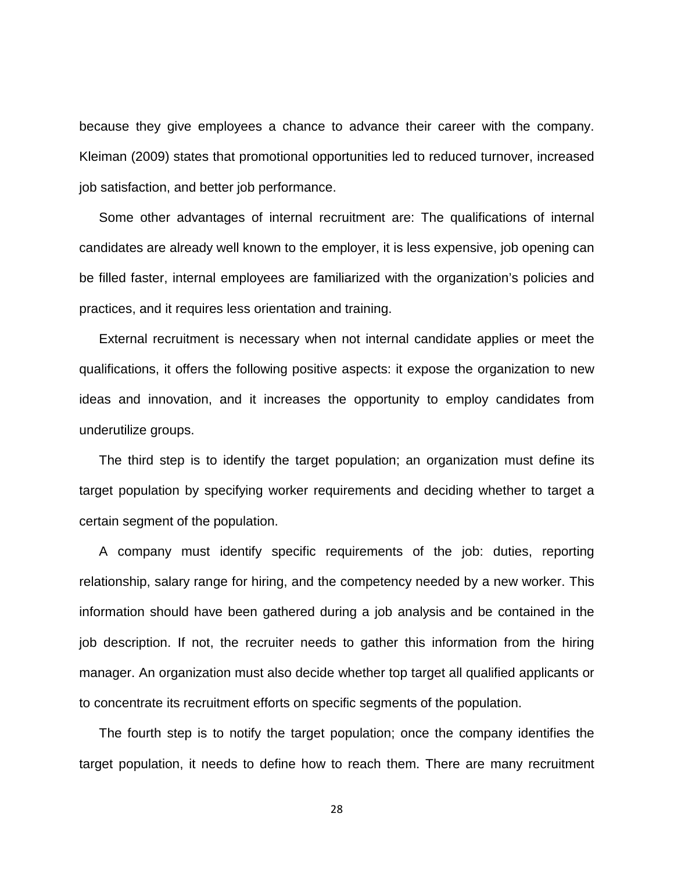because they give employees a chance to advance their career with the company. Kleiman (2009) states that promotional opportunities led to reduced turnover, increased job satisfaction, and better job performance.

Some other advantages of internal recruitment are: The qualifications of internal candidates are already well known to the employer, it is less expensive, job opening can be filled faster, internal employees are familiarized with the organization's policies and practices, and it requires less orientation and training.

External recruitment is necessary when not internal candidate applies or meet the qualifications, it offers the following positive aspects: it expose the organization to new ideas and innovation, and it increases the opportunity to employ candidates from underutilize groups.

The third step is to identify the target population; an organization must define its target population by specifying worker requirements and deciding whether to target a certain segment of the population.

A company must identify specific requirements of the job: duties, reporting relationship, salary range for hiring, and the competency needed by a new worker. This information should have been gathered during a job analysis and be contained in the job description. If not, the recruiter needs to gather this information from the hiring manager. An organization must also decide whether top target all qualified applicants or to concentrate its recruitment efforts on specific segments of the population.

The fourth step is to notify the target population; once the company identifies the target population, it needs to define how to reach them. There are many recruitment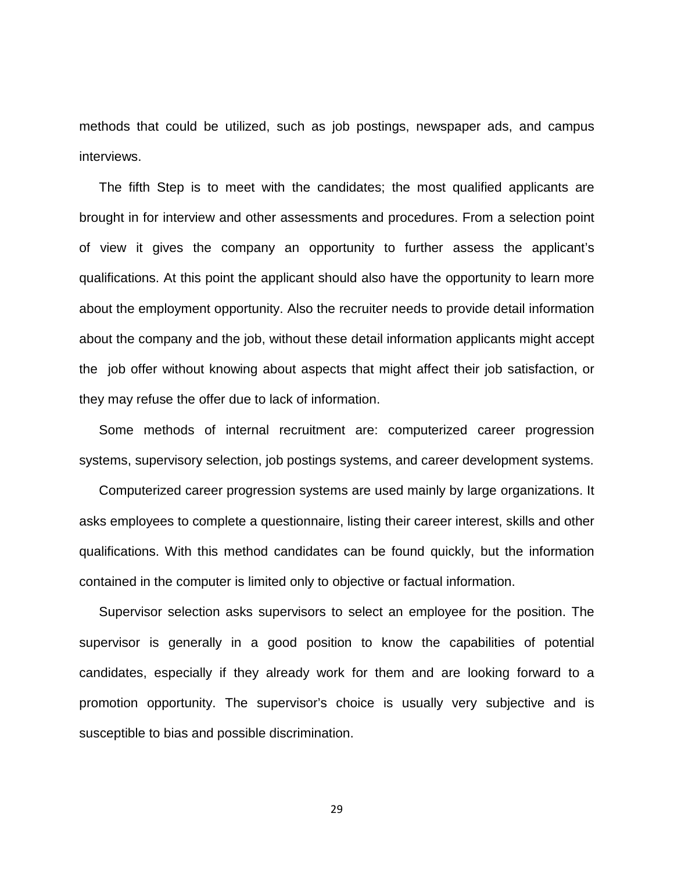methods that could be utilized, such as job postings, newspaper ads, and campus interviews.

The fifth Step is to meet with the candidates; the most qualified applicants are brought in for interview and other assessments and procedures. From a selection point of view it gives the company an opportunity to further assess the applicant's qualifications. At this point the applicant should also have the opportunity to learn more about the employment opportunity. Also the recruiter needs to provide detail information about the company and the job, without these detail information applicants might accept the job offer without knowing about aspects that might affect their job satisfaction, or they may refuse the offer due to lack of information.

Some methods of internal recruitment are: computerized career progression systems, supervisory selection, job postings systems, and career development systems.

Computerized career progression systems are used mainly by large organizations. It asks employees to complete a questionnaire, listing their career interest, skills and other qualifications. With this method candidates can be found quickly, but the information contained in the computer is limited only to objective or factual information.

Supervisor selection asks supervisors to select an employee for the position. The supervisor is generally in a good position to know the capabilities of potential candidates, especially if they already work for them and are looking forward to a promotion opportunity. The supervisor's choice is usually very subjective and is susceptible to bias and possible discrimination.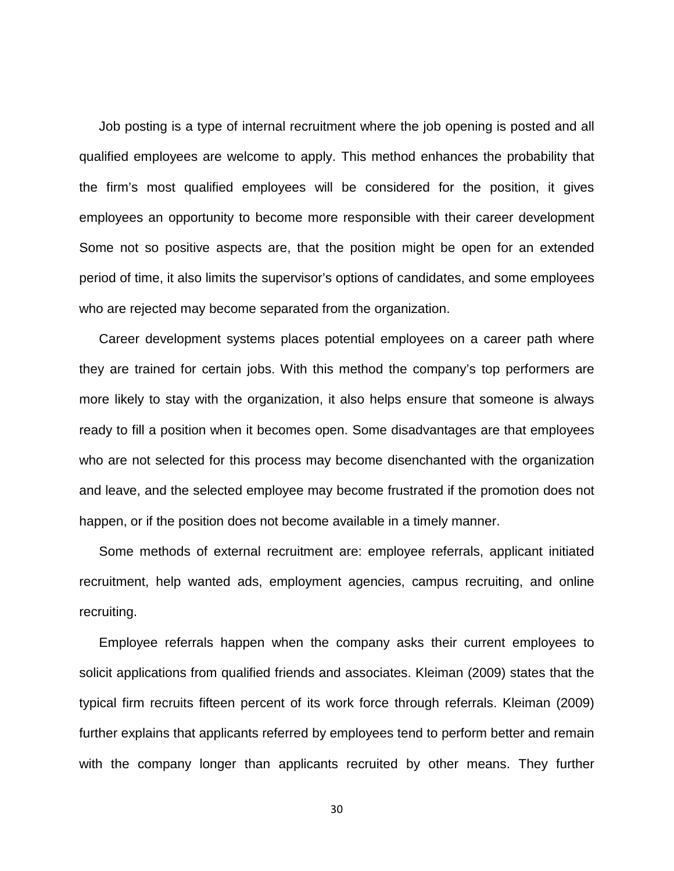Job posting is a type of internal recruitment where the job opening is posted and all qualified employees are welcome to apply. This method enhances the probability that the firm's most qualified employees will be considered for the position, it gives employees an opportunity to become more responsible with their career development Some not so positive aspects are, that the position might be open for an extended period of time, it also limits the supervisor's options of candidates, and some employees who are rejected may become separated from the organization.

Career development systems places potential employees on a career path where they are trained for certain jobs. With this method the company's top performers are more likely to stay with the organization, it also helps ensure that someone is always ready to fill a position when it becomes open. Some disadvantages are that employees who are not selected for this process may become disenchanted with the organization and leave, and the selected employee may become frustrated if the promotion does not happen, or if the position does not become available in a timely manner.

Some methods of external recruitment are: employee referrals, applicant initiated recruitment, help wanted ads, employment agencies, campus recruiting, and online recruiting.

Employee referrals happen when the company asks their current employees to solicit applications from qualified friends and associates. Kleiman (2009) states that the typical firm recruits fifteen percent of its work force through referrals. Kleiman (2009) further explains that applicants referred by employees tend to perform better and remain with the company longer than applicants recruited by other means. They further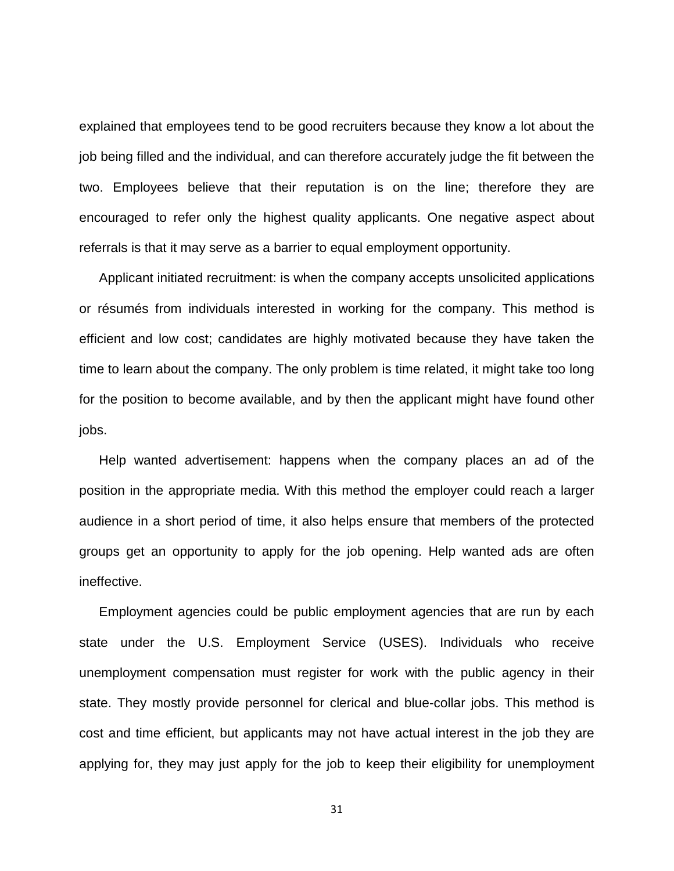explained that employees tend to be good recruiters because they know a lot about the job being filled and the individual, and can therefore accurately judge the fit between the two. Employees believe that their reputation is on the line; therefore they are encouraged to refer only the highest quality applicants. One negative aspect about referrals is that it may serve as a barrier to equal employment opportunity.

Applicant initiated recruitment: is when the company accepts unsolicited applications or résumés from individuals interested in working for the company. This method is efficient and low cost; candidates are highly motivated because they have taken the time to learn about the company. The only problem is time related, it might take too long for the position to become available, and by then the applicant might have found other jobs.

Help wanted advertisement: happens when the company places an ad of the position in the appropriate media. With this method the employer could reach a larger audience in a short period of time, it also helps ensure that members of the protected groups get an opportunity to apply for the job opening. Help wanted ads are often ineffective.

Employment agencies could be public employment agencies that are run by each state under the U.S. Employment Service (USES). Individuals who receive unemployment compensation must register for work with the public agency in their state. They mostly provide personnel for clerical and blue-collar jobs. This method is cost and time efficient, but applicants may not have actual interest in the job they are applying for, they may just apply for the job to keep their eligibility for unemployment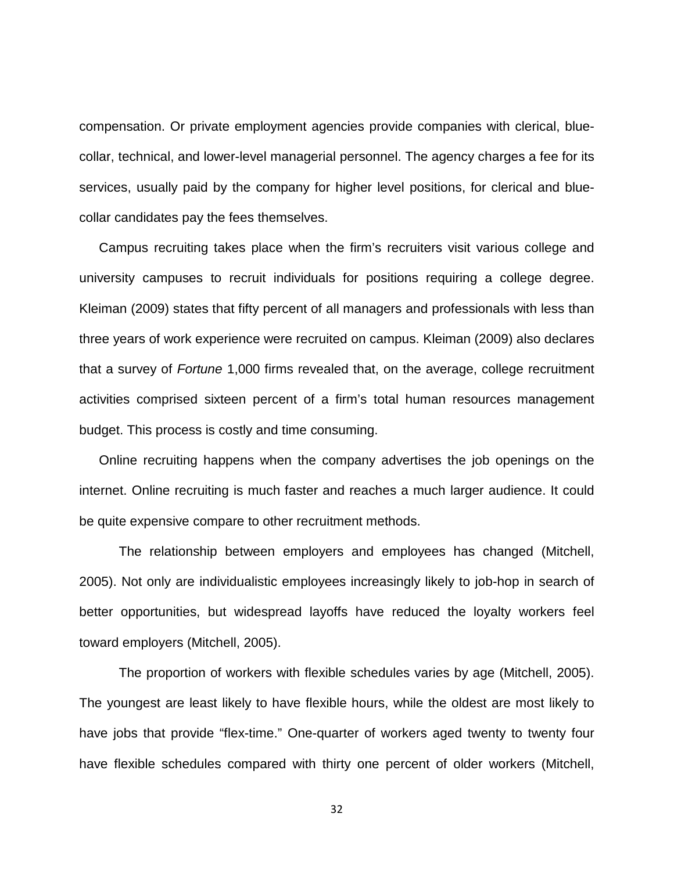compensation. Or private employment agencies provide companies with clerical, bluecollar, technical, and lower-level managerial personnel. The agency charges a fee for its services, usually paid by the company for higher level positions, for clerical and bluecollar candidates pay the fees themselves.

Campus recruiting takes place when the firm's recruiters visit various college and university campuses to recruit individuals for positions requiring a college degree. Kleiman (2009) states that fifty percent of all managers and professionals with less than three years of work experience were recruited on campus. Kleiman (2009) also declares that a survey of *Fortune* 1,000 firms revealed that, on the average, college recruitment activities comprised sixteen percent of a firm's total human resources management budget. This process is costly and time consuming.

Online recruiting happens when the company advertises the job openings on the internet. Online recruiting is much faster and reaches a much larger audience. It could be quite expensive compare to other recruitment methods.

The relationship between employers and employees has changed (Mitchell, 2005). Not only are individualistic employees increasingly likely to job-hop in search of better opportunities, but widespread layoffs have reduced the loyalty workers feel toward employers (Mitchell, 2005).

The proportion of workers with flexible schedules varies by age (Mitchell, 2005). The youngest are least likely to have flexible hours, while the oldest are most likely to have jobs that provide "flex-time." One-quarter of workers aged twenty to twenty four have flexible schedules compared with thirty one percent of older workers (Mitchell,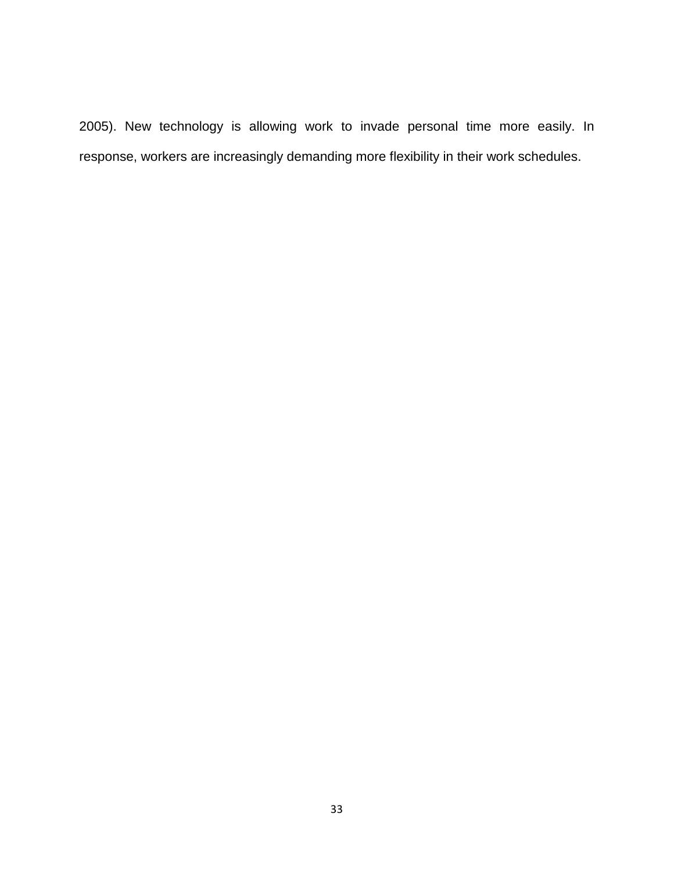2005). New technology is allowing work to invade personal time more easily. In response, workers are increasingly demanding more flexibility in their work schedules.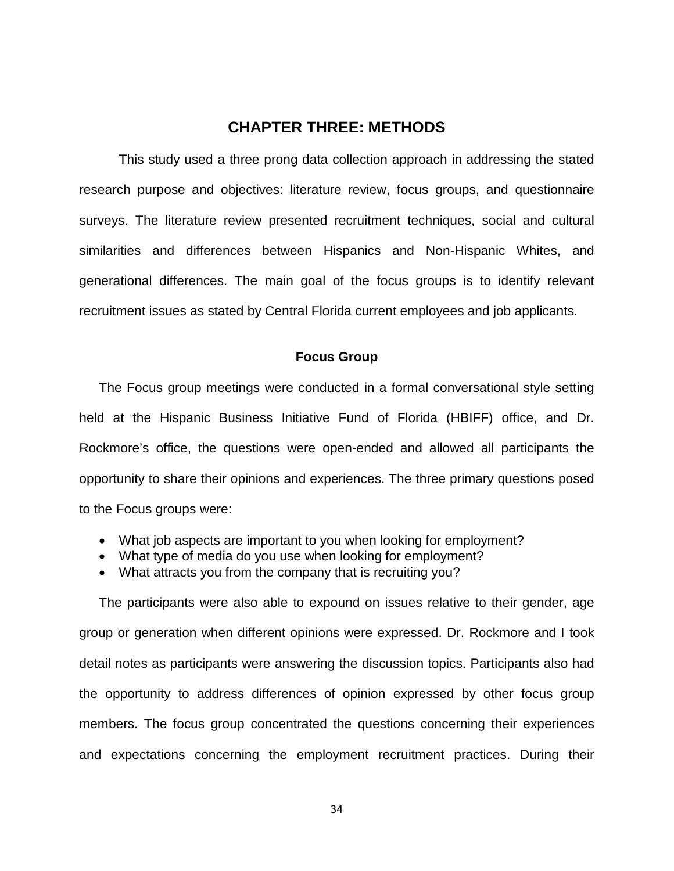# **CHAPTER THREE: METHODS**

This study used a three prong data collection approach in addressing the stated research purpose and objectives: literature review, focus groups, and questionnaire surveys. The literature review presented recruitment techniques, social and cultural similarities and differences between Hispanics and Non-Hispanic Whites, and generational differences. The main goal of the focus groups is to identify relevant recruitment issues as stated by Central Florida current employees and job applicants.

## **Focus Group**

The Focus group meetings were conducted in a formal conversational style setting held at the Hispanic Business Initiative Fund of Florida (HBIFF) office, and Dr. Rockmore's office, the questions were open-ended and allowed all participants the opportunity to share their opinions and experiences. The three primary questions posed to the Focus groups were:

- What job aspects are important to you when looking for employment?
- What type of media do you use when looking for employment?
- What attracts you from the company that is recruiting you?

The participants were also able to expound on issues relative to their gender, age group or generation when different opinions were expressed. Dr. Rockmore and I took detail notes as participants were answering the discussion topics. Participants also had the opportunity to address differences of opinion expressed by other focus group members. The focus group concentrated the questions concerning their experiences and expectations concerning the employment recruitment practices. During their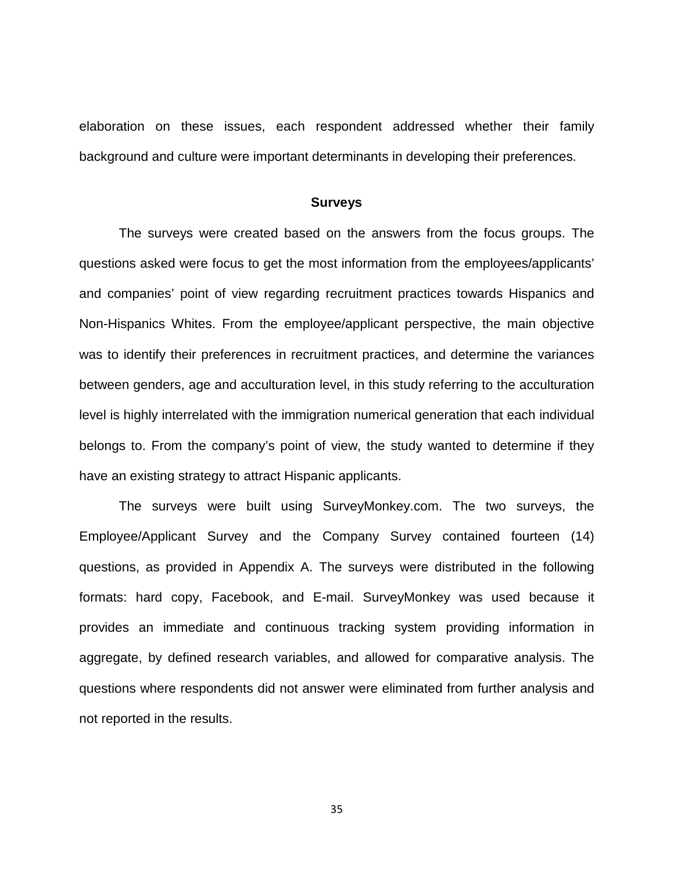elaboration on these issues, each respondent addressed whether their family background and culture were important determinants in developing their preferences.

#### **Surveys**

The surveys were created based on the answers from the focus groups. The questions asked were focus to get the most information from the employees/applicants' and companies' point of view regarding recruitment practices towards Hispanics and Non-Hispanics Whites. From the employee/applicant perspective, the main objective was to identify their preferences in recruitment practices, and determine the variances between genders, age and acculturation level, in this study referring to the acculturation level is highly interrelated with the immigration numerical generation that each individual belongs to. From the company's point of view, the study wanted to determine if they have an existing strategy to attract Hispanic applicants.

The surveys were built using SurveyMonkey.com. The two surveys, the Employee/Applicant Survey and the Company Survey contained fourteen (14) questions, as provided in Appendix A. The surveys were distributed in the following formats: hard copy, Facebook, and E-mail. SurveyMonkey was used because it provides an immediate and continuous tracking system providing information in aggregate, by defined research variables, and allowed for comparative analysis. The questions where respondents did not answer were eliminated from further analysis and not reported in the results.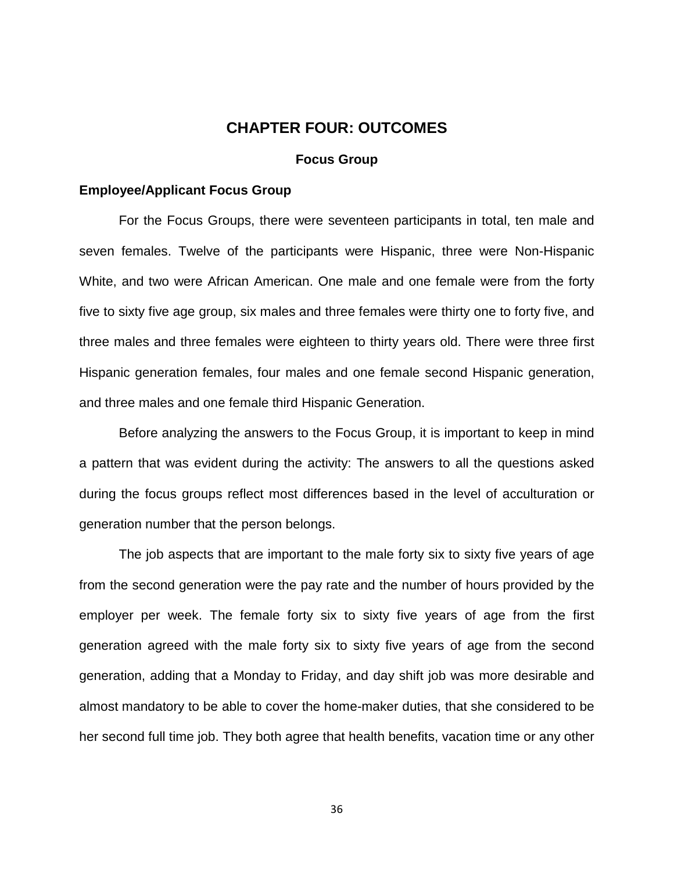# **CHAPTER FOUR: OUTCOMES**

#### **Focus Group**

#### **Employee/Applicant Focus Group**

For the Focus Groups, there were seventeen participants in total, ten male and seven females. Twelve of the participants were Hispanic, three were Non-Hispanic White, and two were African American. One male and one female were from the forty five to sixty five age group, six males and three females were thirty one to forty five, and three males and three females were eighteen to thirty years old. There were three first Hispanic generation females, four males and one female second Hispanic generation, and three males and one female third Hispanic Generation.

Before analyzing the answers to the Focus Group, it is important to keep in mind a pattern that was evident during the activity: The answers to all the questions asked during the focus groups reflect most differences based in the level of acculturation or generation number that the person belongs.

The job aspects that are important to the male forty six to sixty five years of age from the second generation were the pay rate and the number of hours provided by the employer per week. The female forty six to sixty five years of age from the first generation agreed with the male forty six to sixty five years of age from the second generation, adding that a Monday to Friday, and day shift job was more desirable and almost mandatory to be able to cover the home-maker duties, that she considered to be her second full time job. They both agree that health benefits, vacation time or any other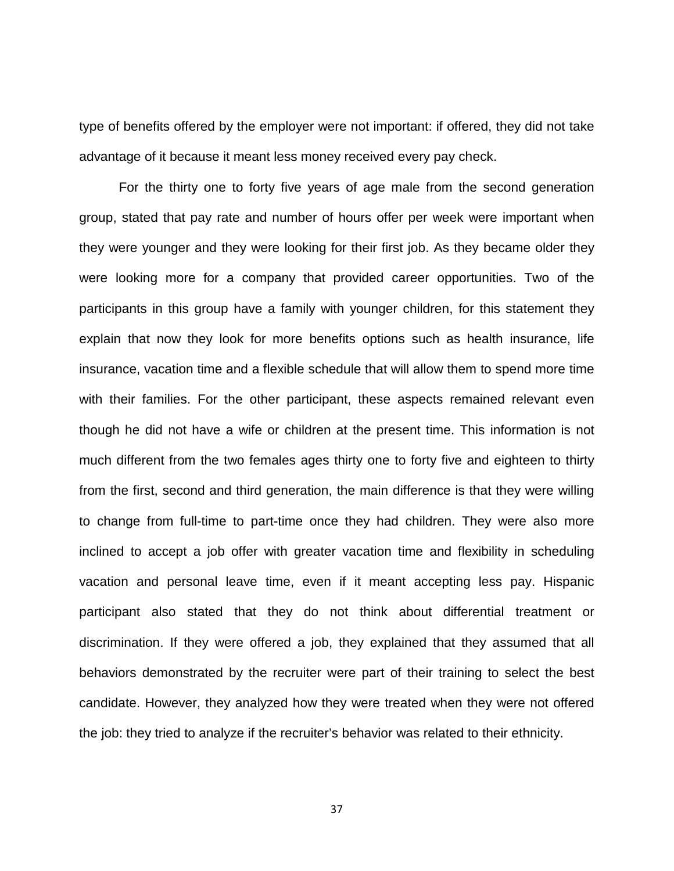type of benefits offered by the employer were not important: if offered, they did not take advantage of it because it meant less money received every pay check.

For the thirty one to forty five years of age male from the second generation group, stated that pay rate and number of hours offer per week were important when they were younger and they were looking for their first job. As they became older they were looking more for a company that provided career opportunities. Two of the participants in this group have a family with younger children, for this statement they explain that now they look for more benefits options such as health insurance, life insurance, vacation time and a flexible schedule that will allow them to spend more time with their families. For the other participant, these aspects remained relevant even though he did not have a wife or children at the present time. This information is not much different from the two females ages thirty one to forty five and eighteen to thirty from the first, second and third generation, the main difference is that they were willing to change from full-time to part-time once they had children. They were also more inclined to accept a job offer with greater vacation time and flexibility in scheduling vacation and personal leave time, even if it meant accepting less pay. Hispanic participant also stated that they do not think about differential treatment or discrimination. If they were offered a job, they explained that they assumed that all behaviors demonstrated by the recruiter were part of their training to select the best candidate. However, they analyzed how they were treated when they were not offered the job: they tried to analyze if the recruiter's behavior was related to their ethnicity.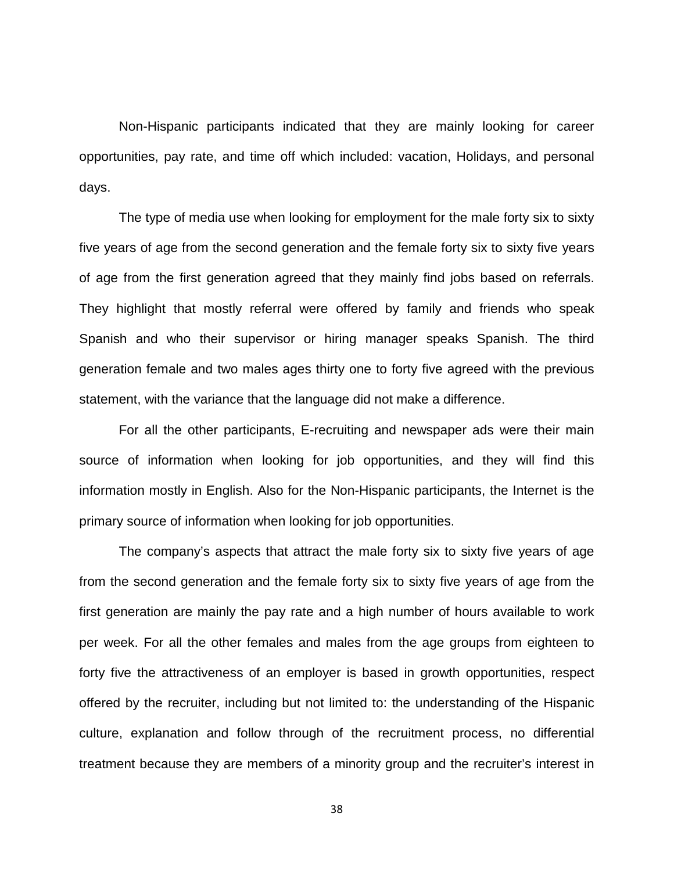Non-Hispanic participants indicated that they are mainly looking for career opportunities, pay rate, and time off which included: vacation, Holidays, and personal days.

The type of media use when looking for employment for the male forty six to sixty five years of age from the second generation and the female forty six to sixty five years of age from the first generation agreed that they mainly find jobs based on referrals. They highlight that mostly referral were offered by family and friends who speak Spanish and who their supervisor or hiring manager speaks Spanish. The third generation female and two males ages thirty one to forty five agreed with the previous statement, with the variance that the language did not make a difference.

For all the other participants, E-recruiting and newspaper ads were their main source of information when looking for job opportunities, and they will find this information mostly in English. Also for the Non-Hispanic participants, the Internet is the primary source of information when looking for job opportunities.

The company's aspects that attract the male forty six to sixty five years of age from the second generation and the female forty six to sixty five years of age from the first generation are mainly the pay rate and a high number of hours available to work per week. For all the other females and males from the age groups from eighteen to forty five the attractiveness of an employer is based in growth opportunities, respect offered by the recruiter, including but not limited to: the understanding of the Hispanic culture, explanation and follow through of the recruitment process, no differential treatment because they are members of a minority group and the recruiter's interest in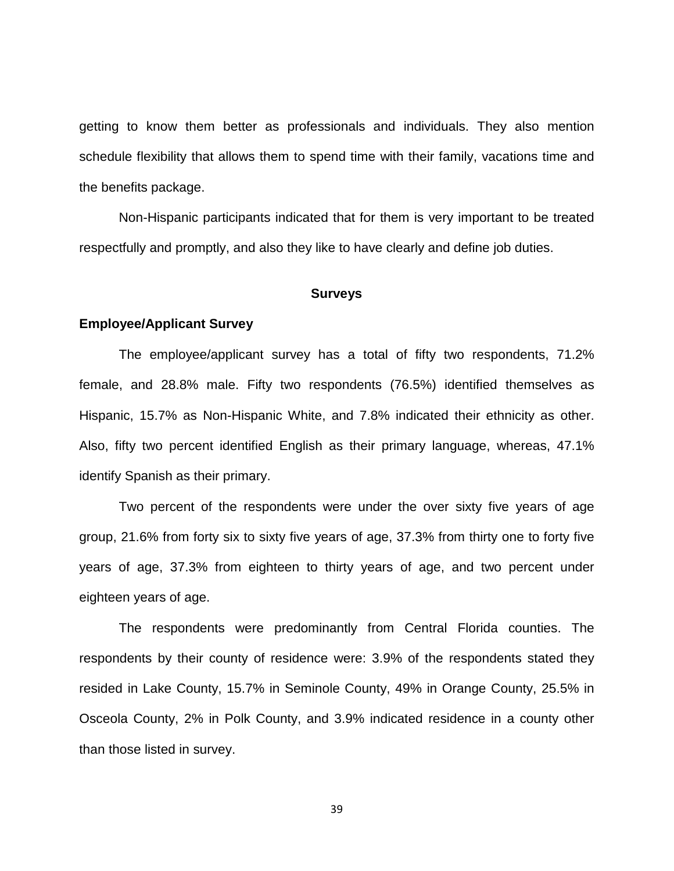getting to know them better as professionals and individuals. They also mention schedule flexibility that allows them to spend time with their family, vacations time and the benefits package.

Non-Hispanic participants indicated that for them is very important to be treated respectfully and promptly, and also they like to have clearly and define job duties.

#### **Surveys**

### **Employee/Applicant Survey**

The employee/applicant survey has a total of fifty two respondents, 71.2% female, and 28.8% male. Fifty two respondents (76.5%) identified themselves as Hispanic, 15.7% as Non-Hispanic White, and 7.8% indicated their ethnicity as other. Also, fifty two percent identified English as their primary language, whereas, 47.1% identify Spanish as their primary.

Two percent of the respondents were under the over sixty five years of age group, 21.6% from forty six to sixty five years of age, 37.3% from thirty one to forty five years of age, 37.3% from eighteen to thirty years of age, and two percent under eighteen years of age.

The respondents were predominantly from Central Florida counties. The respondents by their county of residence were: 3.9% of the respondents stated they resided in Lake County, 15.7% in Seminole County, 49% in Orange County, 25.5% in Osceola County, 2% in Polk County, and 3.9% indicated residence in a county other than those listed in survey.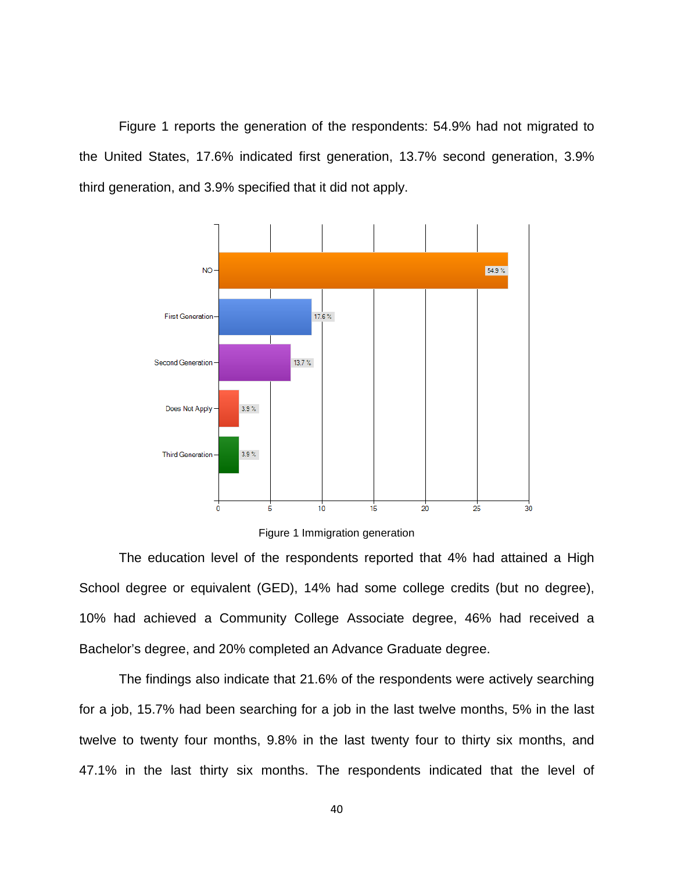Figure 1 reports the generation of the respondents: 54.9% had not migrated to the United States, 17.6% indicated first generation, 13.7% second generation, 3.9% third generation, and 3.9% specified that it did not apply.





The education level of the respondents reported that 4% had attained a High School degree or equivalent (GED), 14% had some college credits (but no degree), 10% had achieved a Community College Associate degree, 46% had received a Bachelor's degree, and 20% completed an Advance Graduate degree.

The findings also indicate that 21.6% of the respondents were actively searching for a job, 15.7% had been searching for a job in the last twelve months, 5% in the last twelve to twenty four months, 9.8% in the last twenty four to thirty six months, and 47.1% in the last thirty six months. The respondents indicated that the level of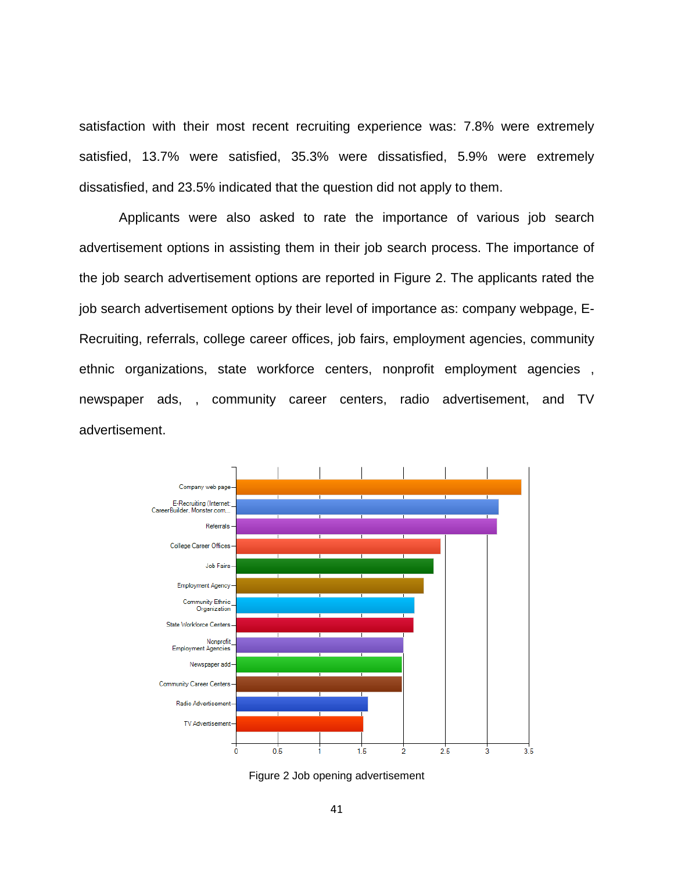satisfaction with their most recent recruiting experience was: 7.8% were extremely satisfied, 13.7% were satisfied, 35.3% were dissatisfied, 5.9% were extremely dissatisfied, and 23.5% indicated that the question did not apply to them.

Applicants were also asked to rate the importance of various job search advertisement options in assisting them in their job search process. The importance of the job search advertisement options are reported in Figure 2. The applicants rated the job search advertisement options by their level of importance as: company webpage, E-Recruiting, referrals, college career offices, job fairs, employment agencies, community ethnic organizations, state workforce centers, nonprofit employment agencies , newspaper ads, , community career centers, radio advertisement, and TV advertisement.



Figure 2 Job opening advertisement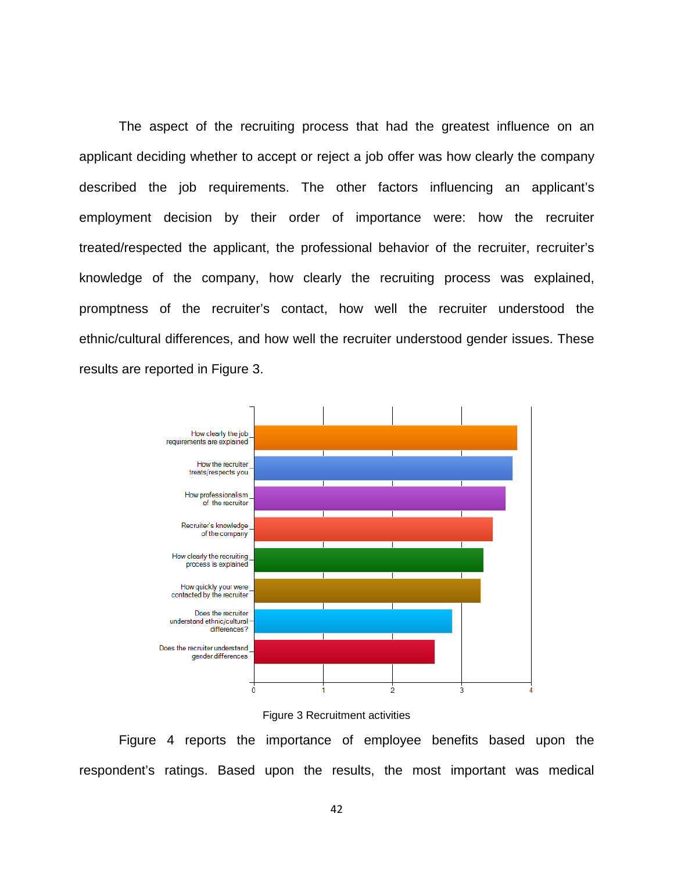The aspect of the recruiting process that had the greatest influence on an applicant deciding whether to accept or reject a job offer was how clearly the company described the job requirements. The other factors influencing an applicant's employment decision by their order of importance were: how the recruiter treated/respected the applicant, the professional behavior of the recruiter, recruiter's knowledge of the company, how clearly the recruiting process was explained, promptness of the recruiter's contact, how well the recruiter understood the ethnic/cultural differences, and how well the recruiter understood gender issues. These results are reported in Figure 3.





Figure 4 reports the importance of employee benefits based upon the respondent's ratings. Based upon the results, the most important was medical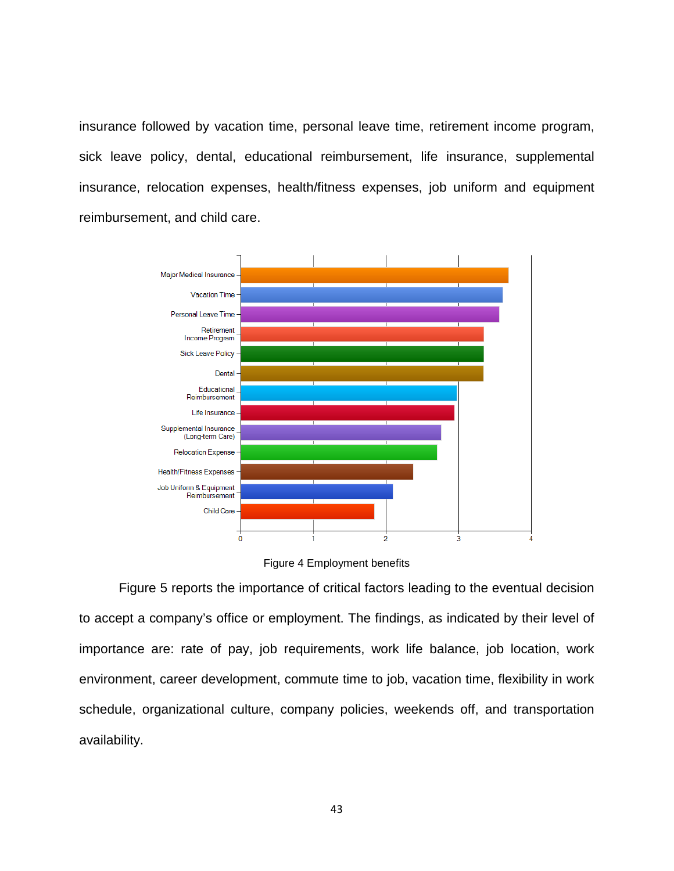insurance followed by vacation time, personal leave time, retirement income program, sick leave policy, dental, educational reimbursement, life insurance, supplemental insurance, relocation expenses, health/fitness expenses, job uniform and equipment reimbursement, and child care.





Figure 5 reports the importance of critical factors leading to the eventual decision to accept a company's office or employment. The findings, as indicated by their level of importance are: rate of pay, job requirements, work life balance, job location, work environment, career development, commute time to job, vacation time, flexibility in work schedule, organizational culture, company policies, weekends off, and transportation availability.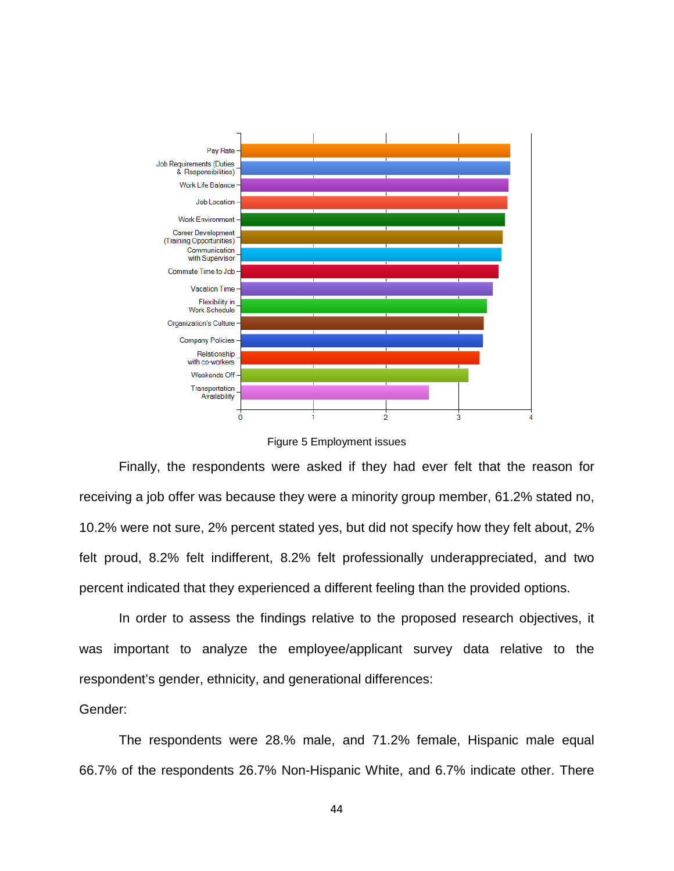



Finally, the respondents were asked if they had ever felt that the reason for receiving a job offer was because they were a minority group member, 61.2% stated no, 10.2% were not sure, 2% percent stated yes, but did not specify how they felt about, 2% felt proud, 8.2% felt indifferent, 8.2% felt professionally underappreciated, and two percent indicated that they experienced a different feeling than the provided options.

In order to assess the findings relative to the proposed research objectives, it was important to analyze the employee/applicant survey data relative to the respondent's gender, ethnicity, and generational differences:

Gender:

The respondents were 28.% male, and 71.2% female, Hispanic male equal 66.7% of the respondents 26.7% Non-Hispanic White, and 6.7% indicate other. There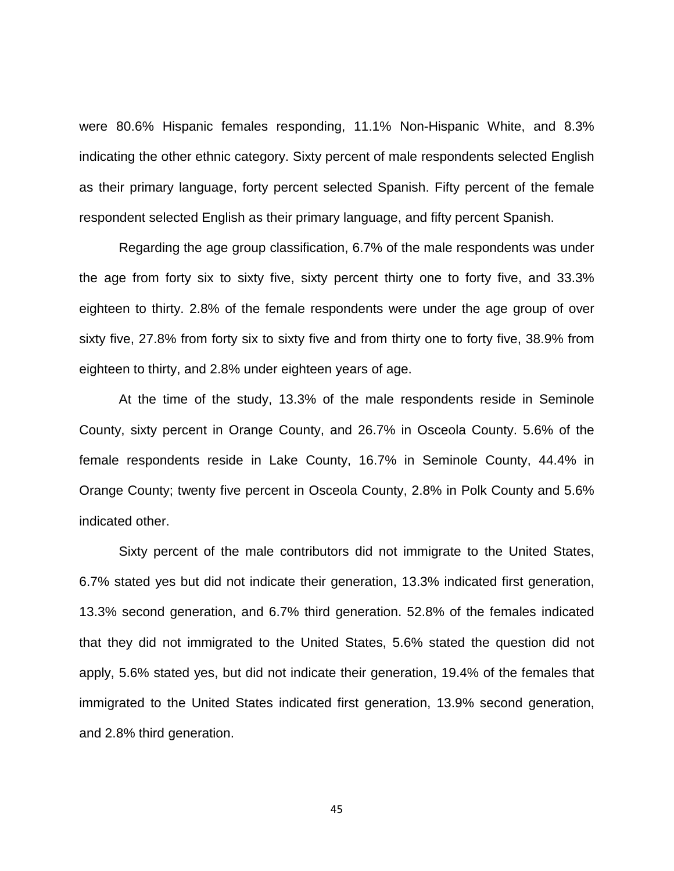were 80.6% Hispanic females responding, 11.1% Non-Hispanic White, and 8.3% indicating the other ethnic category. Sixty percent of male respondents selected English as their primary language, forty percent selected Spanish. Fifty percent of the female respondent selected English as their primary language, and fifty percent Spanish.

Regarding the age group classification, 6.7% of the male respondents was under the age from forty six to sixty five, sixty percent thirty one to forty five, and 33.3% eighteen to thirty. 2.8% of the female respondents were under the age group of over sixty five, 27.8% from forty six to sixty five and from thirty one to forty five, 38.9% from eighteen to thirty, and 2.8% under eighteen years of age.

At the time of the study, 13.3% of the male respondents reside in Seminole County, sixty percent in Orange County, and 26.7% in Osceola County. 5.6% of the female respondents reside in Lake County, 16.7% in Seminole County, 44.4% in Orange County; twenty five percent in Osceola County, 2.8% in Polk County and 5.6% indicated other.

Sixty percent of the male contributors did not immigrate to the United States, 6.7% stated yes but did not indicate their generation, 13.3% indicated first generation, 13.3% second generation, and 6.7% third generation. 52.8% of the females indicated that they did not immigrated to the United States, 5.6% stated the question did not apply, 5.6% stated yes, but did not indicate their generation, 19.4% of the females that immigrated to the United States indicated first generation, 13.9% second generation, and 2.8% third generation.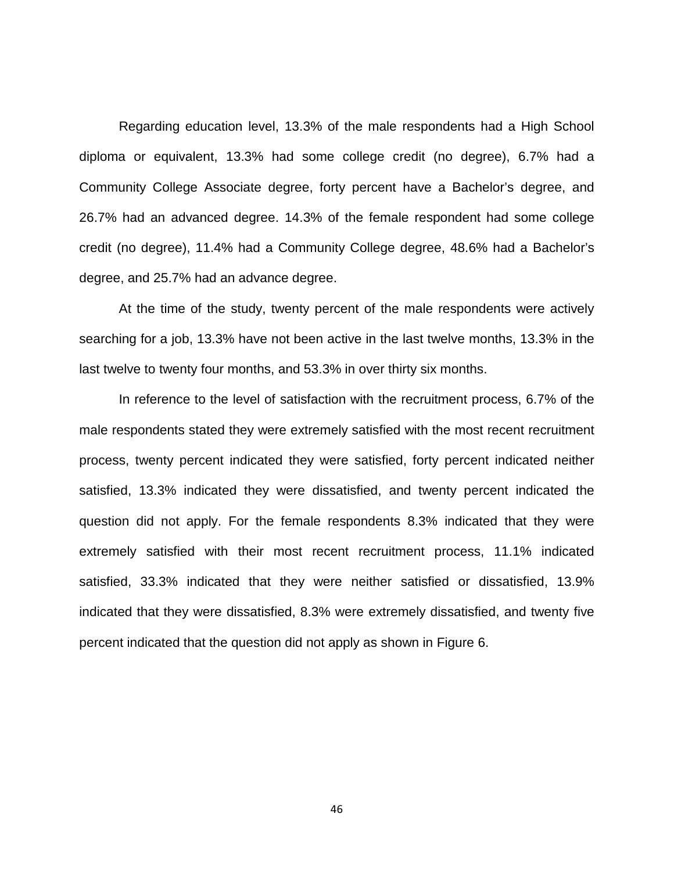Regarding education level, 13.3% of the male respondents had a High School diploma or equivalent, 13.3% had some college credit (no degree), 6.7% had a Community College Associate degree, forty percent have a Bachelor's degree, and 26.7% had an advanced degree. 14.3% of the female respondent had some college credit (no degree), 11.4% had a Community College degree, 48.6% had a Bachelor's degree, and 25.7% had an advance degree.

At the time of the study, twenty percent of the male respondents were actively searching for a job, 13.3% have not been active in the last twelve months, 13.3% in the last twelve to twenty four months, and 53.3% in over thirty six months.

In reference to the level of satisfaction with the recruitment process, 6.7% of the male respondents stated they were extremely satisfied with the most recent recruitment process, twenty percent indicated they were satisfied, forty percent indicated neither satisfied, 13.3% indicated they were dissatisfied, and twenty percent indicated the question did not apply. For the female respondents 8.3% indicated that they were extremely satisfied with their most recent recruitment process, 11.1% indicated satisfied, 33.3% indicated that they were neither satisfied or dissatisfied, 13.9% indicated that they were dissatisfied, 8.3% were extremely dissatisfied, and twenty five percent indicated that the question did not apply as shown in Figure 6.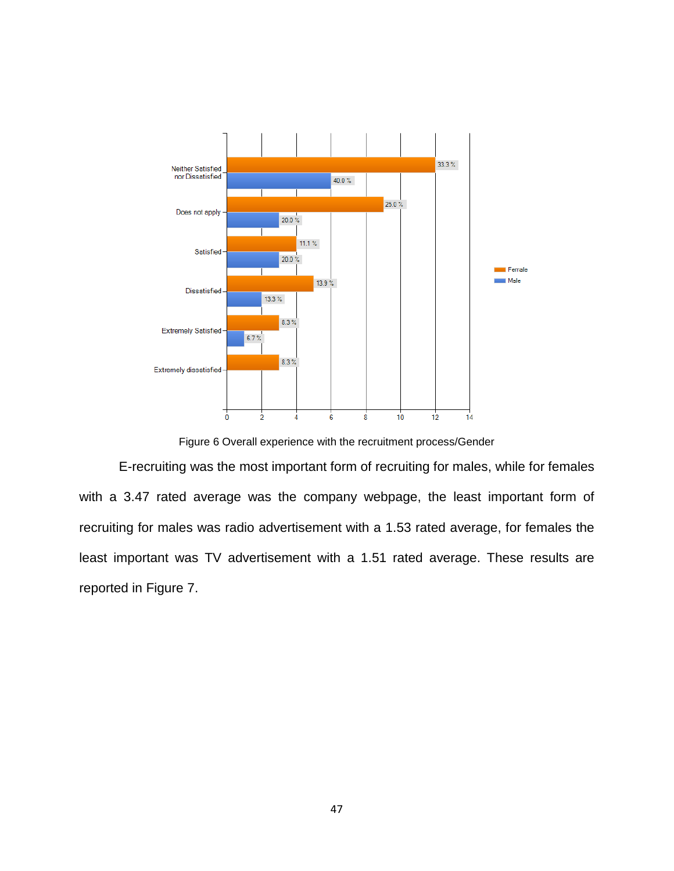

Figure 6 Overall experience with the recruitment process/Gender

E-recruiting was the most important form of recruiting for males, while for females with a 3.47 rated average was the company webpage, the least important form of recruiting for males was radio advertisement with a 1.53 rated average, for females the least important was TV advertisement with a 1.51 rated average. These results are reported in Figure 7.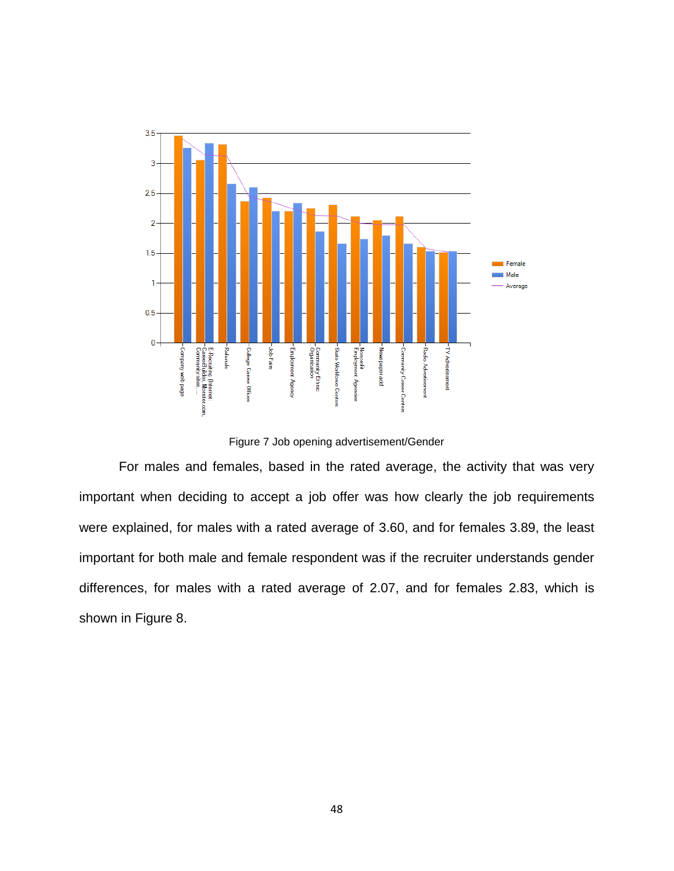

Figure 7 Job opening advertisement/Gender

For males and females, based in the rated average, the activity that was very important when deciding to accept a job offer was how clearly the job requirements were explained, for males with a rated average of 3.60, and for females 3.89, the least important for both male and female respondent was if the recruiter understands gender differences, for males with a rated average of 2.07, and for females 2.83, which is shown in Figure 8.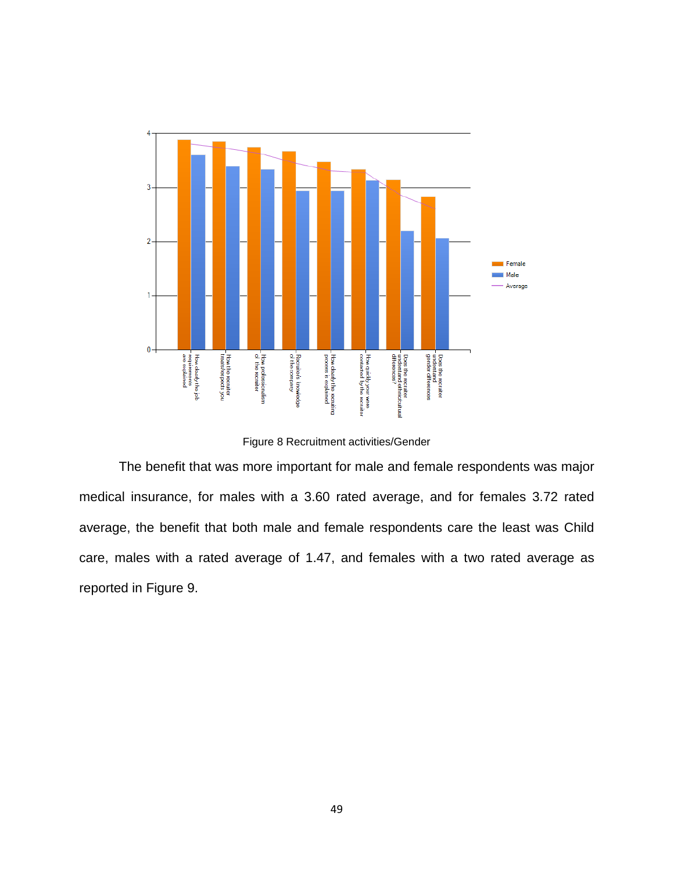

Figure 8 Recruitment activities/Gender

The benefit that was more important for male and female respondents was major medical insurance, for males with a 3.60 rated average, and for females 3.72 rated average, the benefit that both male and female respondents care the least was Child care, males with a rated average of 1.47, and females with a two rated average as reported in Figure 9.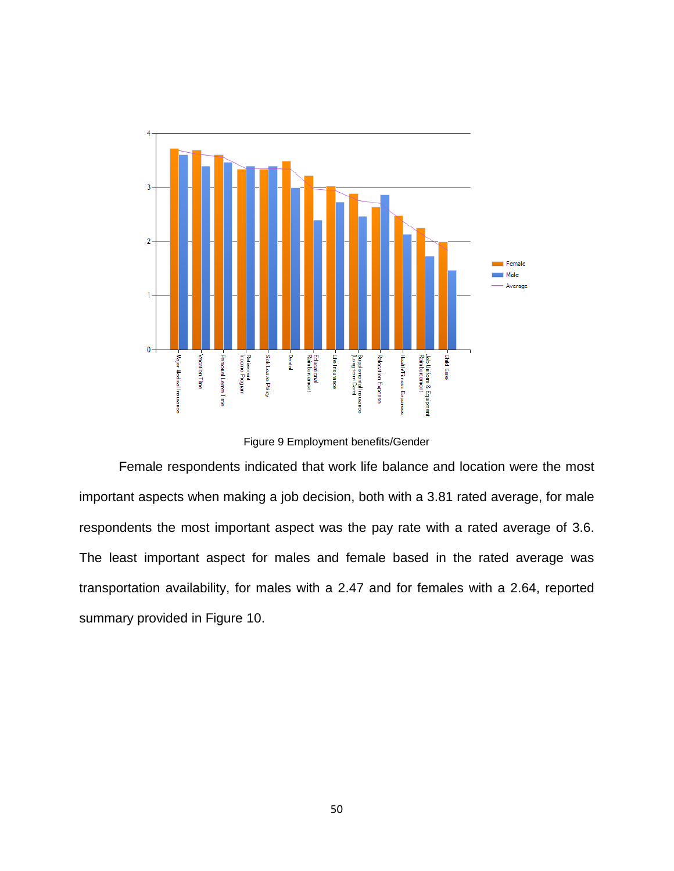

Figure 9 Employment benefits/Gender

Female respondents indicated that work life balance and location were the most important aspects when making a job decision, both with a 3.81 rated average, for male respondents the most important aspect was the pay rate with a rated average of 3.6. The least important aspect for males and female based in the rated average was transportation availability, for males with a 2.47 and for females with a 2.64, reported summary provided in Figure 10.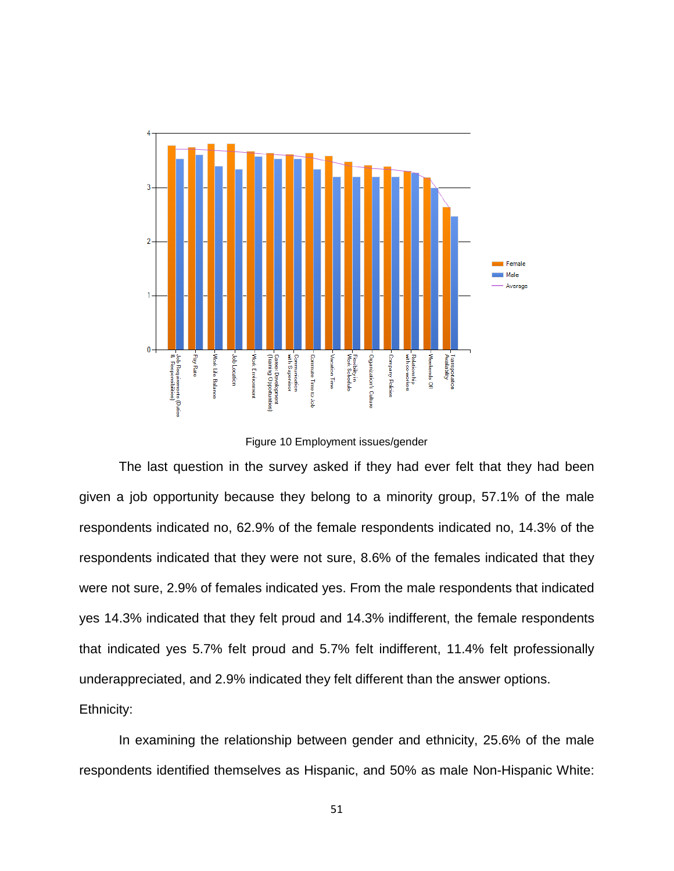

Figure 10 Employment issues/gender

The last question in the survey asked if they had ever felt that they had been given a job opportunity because they belong to a minority group, 57.1% of the male respondents indicated no, 62.9% of the female respondents indicated no, 14.3% of the respondents indicated that they were not sure, 8.6% of the females indicated that they were not sure, 2.9% of females indicated yes. From the male respondents that indicated yes 14.3% indicated that they felt proud and 14.3% indifferent, the female respondents that indicated yes 5.7% felt proud and 5.7% felt indifferent, 11.4% felt professionally underappreciated, and 2.9% indicated they felt different than the answer options. Ethnicity:

In examining the relationship between gender and ethnicity, 25.6% of the male respondents identified themselves as Hispanic, and 50% as male Non-Hispanic White: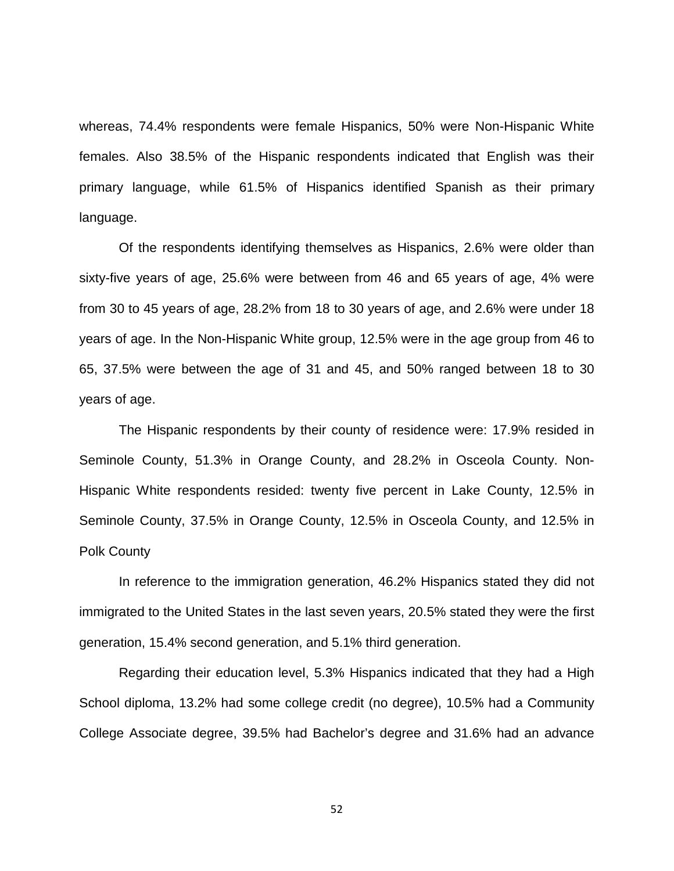whereas, 74.4% respondents were female Hispanics, 50% were Non-Hispanic White females. Also 38.5% of the Hispanic respondents indicated that English was their primary language, while 61.5% of Hispanics identified Spanish as their primary language.

Of the respondents identifying themselves as Hispanics, 2.6% were older than sixty-five years of age, 25.6% were between from 46 and 65 years of age, 4% were from 30 to 45 years of age, 28.2% from 18 to 30 years of age, and 2.6% were under 18 years of age. In the Non-Hispanic White group, 12.5% were in the age group from 46 to 65, 37.5% were between the age of 31 and 45, and 50% ranged between 18 to 30 years of age.

The Hispanic respondents by their county of residence were: 17.9% resided in Seminole County, 51.3% in Orange County, and 28.2% in Osceola County. Non-Hispanic White respondents resided: twenty five percent in Lake County, 12.5% in Seminole County, 37.5% in Orange County, 12.5% in Osceola County, and 12.5% in Polk County

In reference to the immigration generation, 46.2% Hispanics stated they did not immigrated to the United States in the last seven years, 20.5% stated they were the first generation, 15.4% second generation, and 5.1% third generation.

Regarding their education level, 5.3% Hispanics indicated that they had a High School diploma, 13.2% had some college credit (no degree), 10.5% had a Community College Associate degree, 39.5% had Bachelor's degree and 31.6% had an advance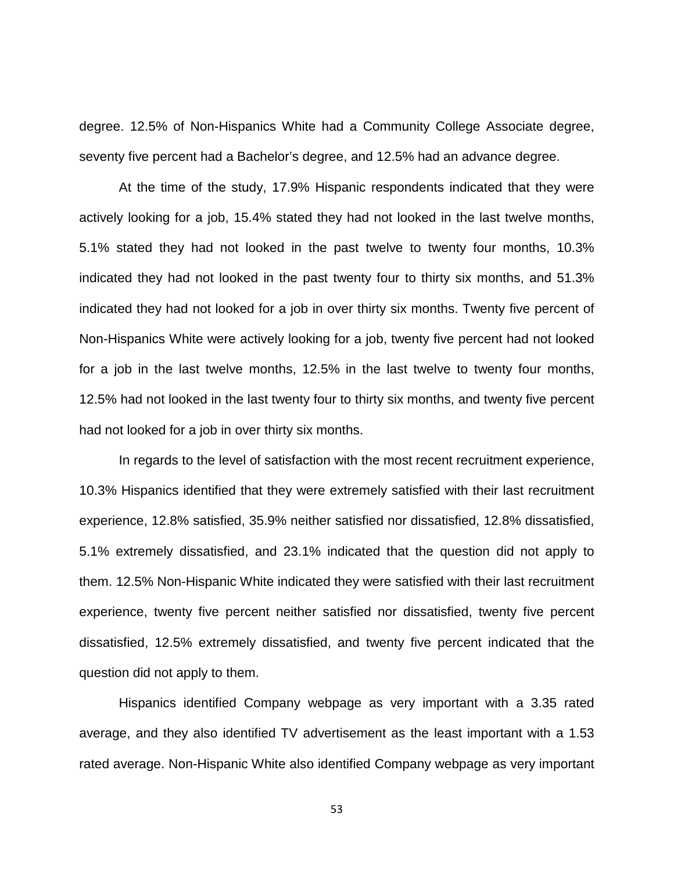degree. 12.5% of Non-Hispanics White had a Community College Associate degree, seventy five percent had a Bachelor's degree, and 12.5% had an advance degree.

At the time of the study, 17.9% Hispanic respondents indicated that they were actively looking for a job, 15.4% stated they had not looked in the last twelve months, 5.1% stated they had not looked in the past twelve to twenty four months, 10.3% indicated they had not looked in the past twenty four to thirty six months, and 51.3% indicated they had not looked for a job in over thirty six months. Twenty five percent of Non-Hispanics White were actively looking for a job, twenty five percent had not looked for a job in the last twelve months, 12.5% in the last twelve to twenty four months, 12.5% had not looked in the last twenty four to thirty six months, and twenty five percent had not looked for a job in over thirty six months.

In regards to the level of satisfaction with the most recent recruitment experience, 10.3% Hispanics identified that they were extremely satisfied with their last recruitment experience, 12.8% satisfied, 35.9% neither satisfied nor dissatisfied, 12.8% dissatisfied, 5.1% extremely dissatisfied, and 23.1% indicated that the question did not apply to them. 12.5% Non-Hispanic White indicated they were satisfied with their last recruitment experience, twenty five percent neither satisfied nor dissatisfied, twenty five percent dissatisfied, 12.5% extremely dissatisfied, and twenty five percent indicated that the question did not apply to them.

Hispanics identified Company webpage as very important with a 3.35 rated average, and they also identified TV advertisement as the least important with a 1.53 rated average. Non-Hispanic White also identified Company webpage as very important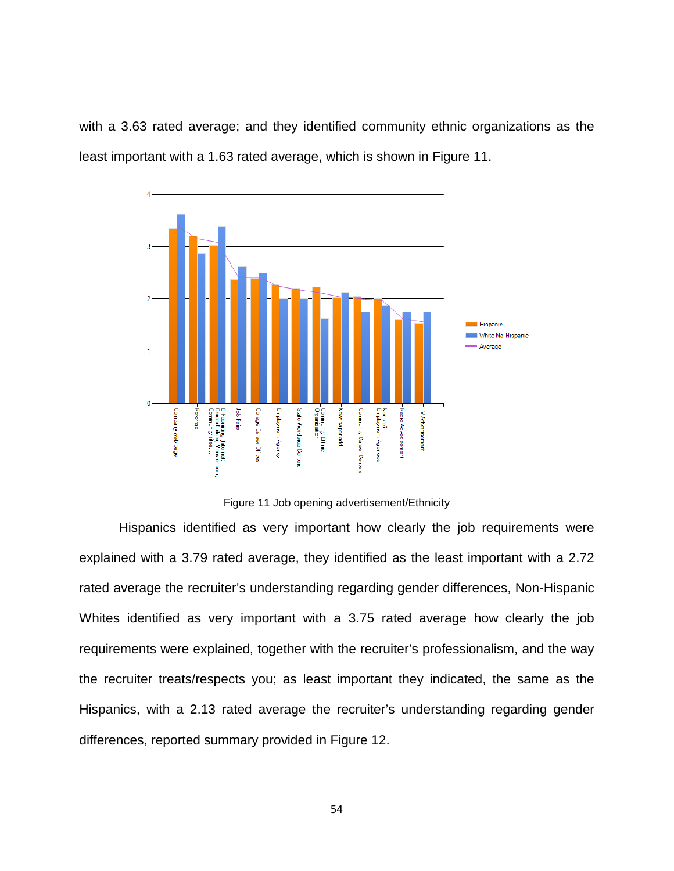with a 3.63 rated average; and they identified community ethnic organizations as the least important with a 1.63 rated average, which is shown in Figure 11.



Figure 11 Job opening advertisement/Ethnicity

Hispanics identified as very important how clearly the job requirements were explained with a 3.79 rated average, they identified as the least important with a 2.72 rated average the recruiter's understanding regarding gender differences, Non-Hispanic Whites identified as very important with a 3.75 rated average how clearly the job requirements were explained, together with the recruiter's professionalism, and the way the recruiter treats/respects you; as least important they indicated, the same as the Hispanics, with a 2.13 rated average the recruiter's understanding regarding gender differences, reported summary provided in Figure 12.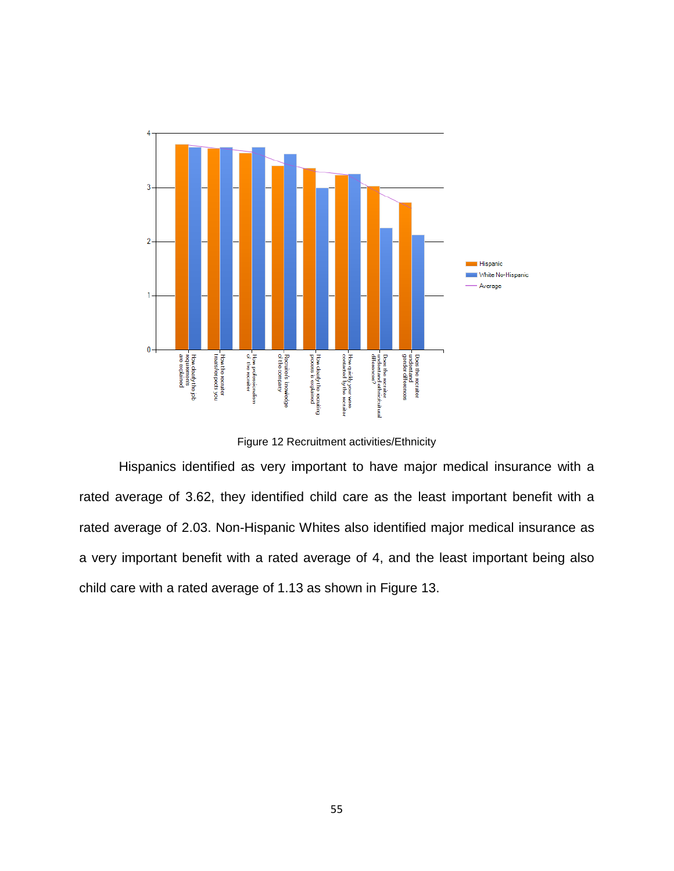

Figure 12 Recruitment activities/Ethnicity

Hispanics identified as very important to have major medical insurance with a rated average of 3.62, they identified child care as the least important benefit with a rated average of 2.03. Non-Hispanic Whites also identified major medical insurance as a very important benefit with a rated average of 4, and the least important being also child care with a rated average of 1.13 as shown in Figure 13.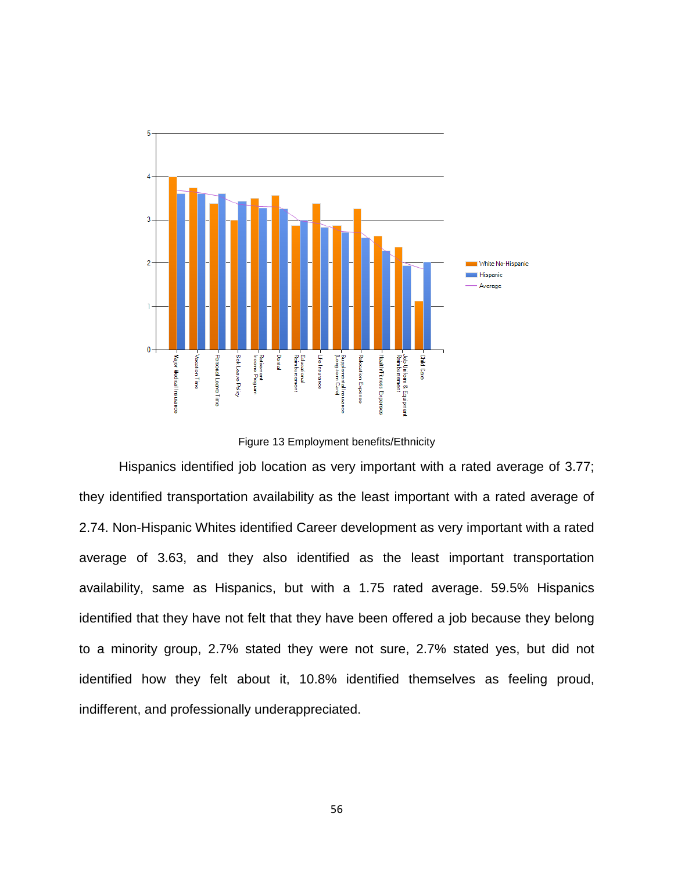

Figure 13 Employment benefits/Ethnicity

Hispanics identified job location as very important with a rated average of 3.77; they identified transportation availability as the least important with a rated average of 2.74. Non-Hispanic Whites identified Career development as very important with a rated average of 3.63, and they also identified as the least important transportation availability, same as Hispanics, but with a 1.75 rated average. 59.5% Hispanics identified that they have not felt that they have been offered a job because they belong to a minority group, 2.7% stated they were not sure, 2.7% stated yes, but did not identified how they felt about it, 10.8% identified themselves as feeling proud, indifferent, and professionally underappreciated.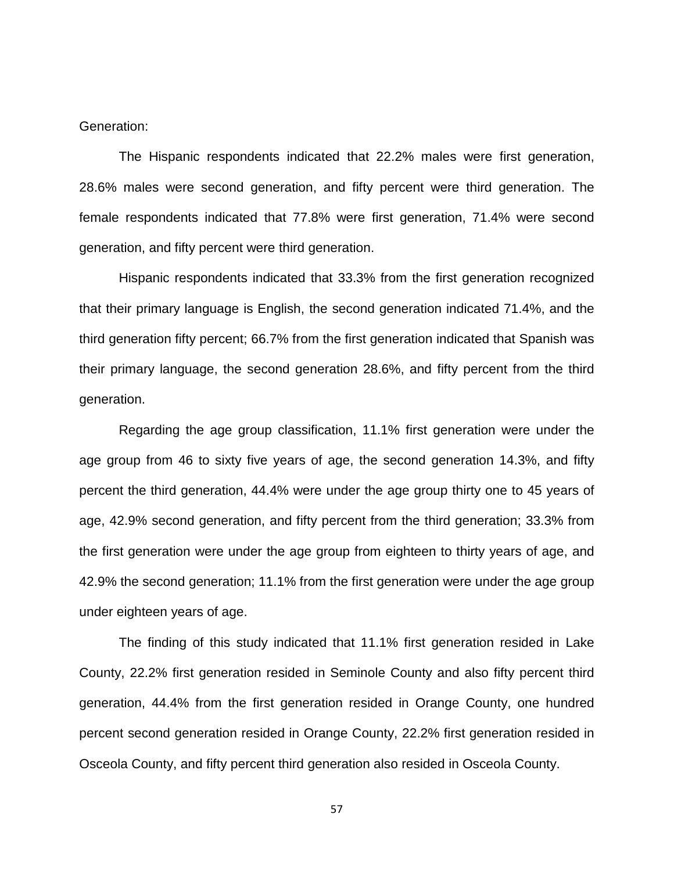Generation:

The Hispanic respondents indicated that 22.2% males were first generation, 28.6% males were second generation, and fifty percent were third generation. The female respondents indicated that 77.8% were first generation, 71.4% were second generation, and fifty percent were third generation.

Hispanic respondents indicated that 33.3% from the first generation recognized that their primary language is English, the second generation indicated 71.4%, and the third generation fifty percent; 66.7% from the first generation indicated that Spanish was their primary language, the second generation 28.6%, and fifty percent from the third generation.

Regarding the age group classification, 11.1% first generation were under the age group from 46 to sixty five years of age, the second generation 14.3%, and fifty percent the third generation, 44.4% were under the age group thirty one to 45 years of age, 42.9% second generation, and fifty percent from the third generation; 33.3% from the first generation were under the age group from eighteen to thirty years of age, and 42.9% the second generation; 11.1% from the first generation were under the age group under eighteen years of age.

The finding of this study indicated that 11.1% first generation resided in Lake County, 22.2% first generation resided in Seminole County and also fifty percent third generation, 44.4% from the first generation resided in Orange County, one hundred percent second generation resided in Orange County, 22.2% first generation resided in Osceola County, and fifty percent third generation also resided in Osceola County.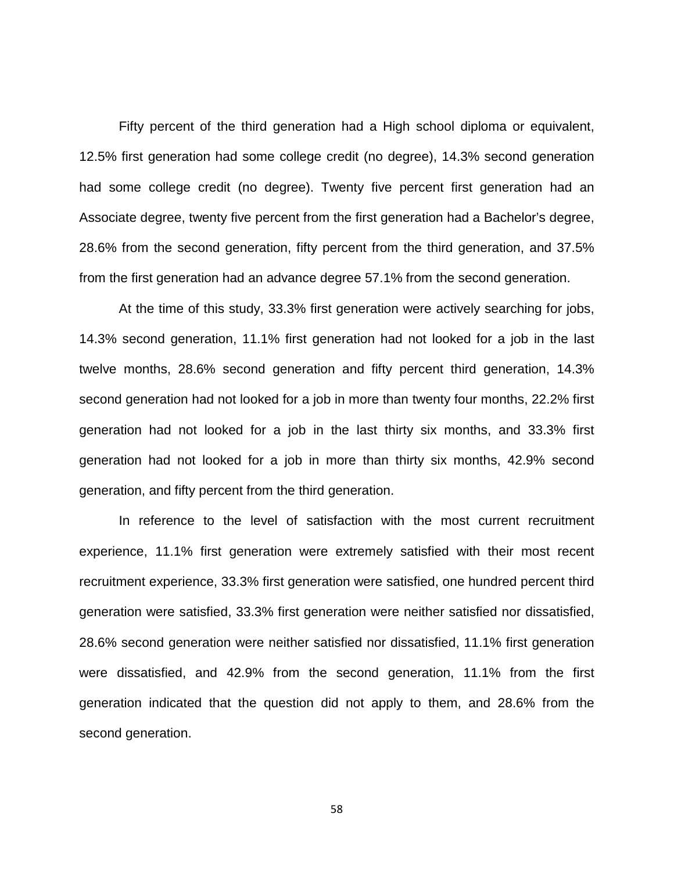Fifty percent of the third generation had a High school diploma or equivalent, 12.5% first generation had some college credit (no degree), 14.3% second generation had some college credit (no degree). Twenty five percent first generation had an Associate degree, twenty five percent from the first generation had a Bachelor's degree, 28.6% from the second generation, fifty percent from the third generation, and 37.5% from the first generation had an advance degree 57.1% from the second generation.

At the time of this study, 33.3% first generation were actively searching for jobs, 14.3% second generation, 11.1% first generation had not looked for a job in the last twelve months, 28.6% second generation and fifty percent third generation, 14.3% second generation had not looked for a job in more than twenty four months, 22.2% first generation had not looked for a job in the last thirty six months, and 33.3% first generation had not looked for a job in more than thirty six months, 42.9% second generation, and fifty percent from the third generation.

In reference to the level of satisfaction with the most current recruitment experience, 11.1% first generation were extremely satisfied with their most recent recruitment experience, 33.3% first generation were satisfied, one hundred percent third generation were satisfied, 33.3% first generation were neither satisfied nor dissatisfied, 28.6% second generation were neither satisfied nor dissatisfied, 11.1% first generation were dissatisfied, and 42.9% from the second generation, 11.1% from the first generation indicated that the question did not apply to them, and 28.6% from the second generation.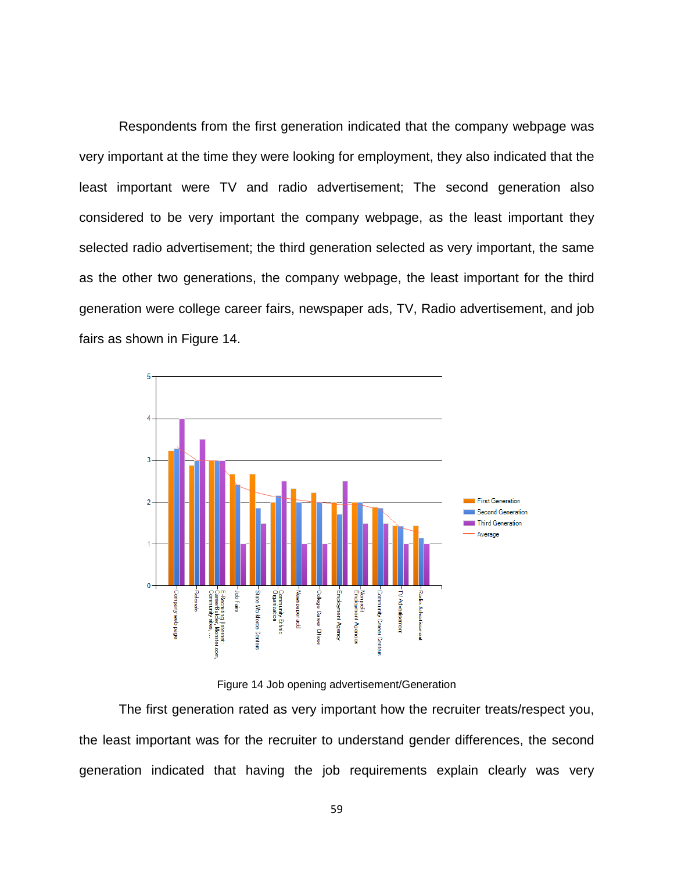Respondents from the first generation indicated that the company webpage was very important at the time they were looking for employment, they also indicated that the least important were TV and radio advertisement; The second generation also considered to be very important the company webpage, as the least important they selected radio advertisement; the third generation selected as very important, the same as the other two generations, the company webpage, the least important for the third generation were college career fairs, newspaper ads, TV, Radio advertisement, and job fairs as shown in Figure 14.



Figure 14 Job opening advertisement/Generation

The first generation rated as very important how the recruiter treats/respect you, the least important was for the recruiter to understand gender differences, the second generation indicated that having the job requirements explain clearly was very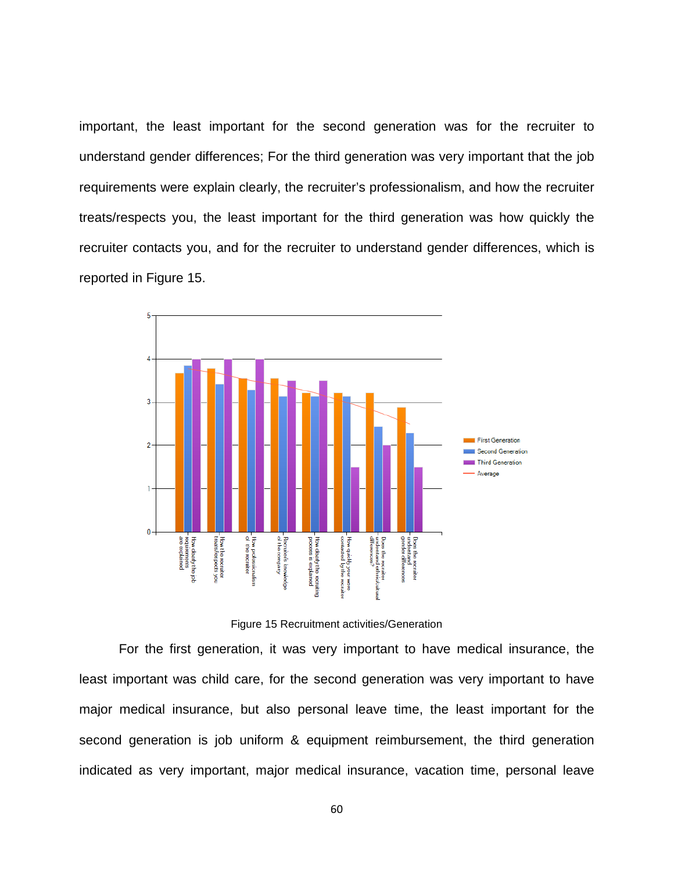important, the least important for the second generation was for the recruiter to understand gender differences; For the third generation was very important that the job requirements were explain clearly, the recruiter's professionalism, and how the recruiter treats/respects you, the least important for the third generation was how quickly the recruiter contacts you, and for the recruiter to understand gender differences, which is reported in Figure 15.



Figure 15 Recruitment activities/Generation

For the first generation, it was very important to have medical insurance, the least important was child care, for the second generation was very important to have major medical insurance, but also personal leave time, the least important for the second generation is job uniform & equipment reimbursement, the third generation indicated as very important, major medical insurance, vacation time, personal leave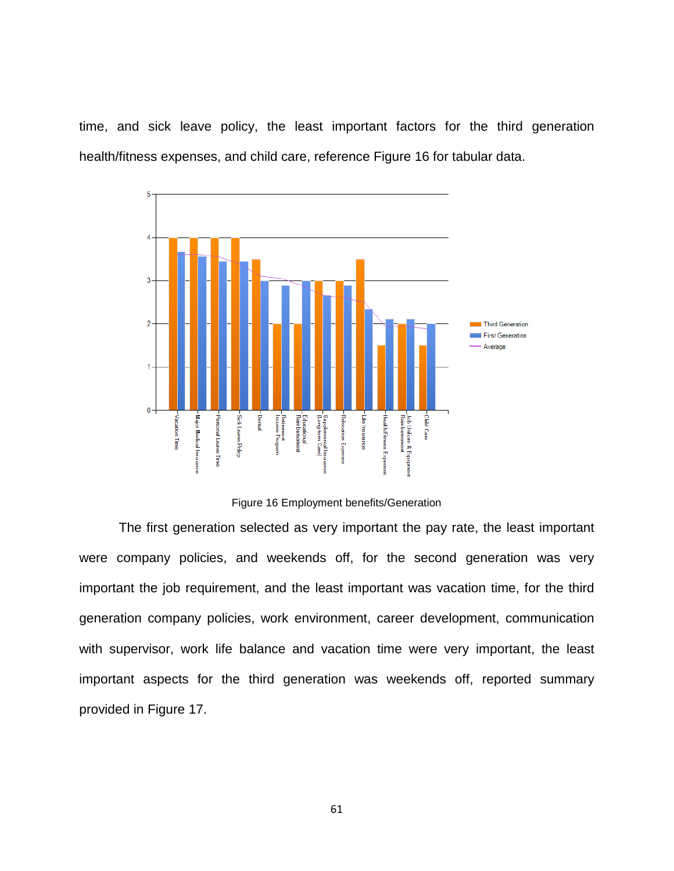time, and sick leave policy, the least important factors for the third generation health/fitness expenses, and child care, reference Figure 16 for tabular data.



Figure 16 Employment benefits/Generation

The first generation selected as very important the pay rate, the least important were company policies, and weekends off, for the second generation was very important the job requirement, and the least important was vacation time, for the third generation company policies, work environment, career development, communication with supervisor, work life balance and vacation time were very important, the least important aspects for the third generation was weekends off, reported summary provided in Figure 17.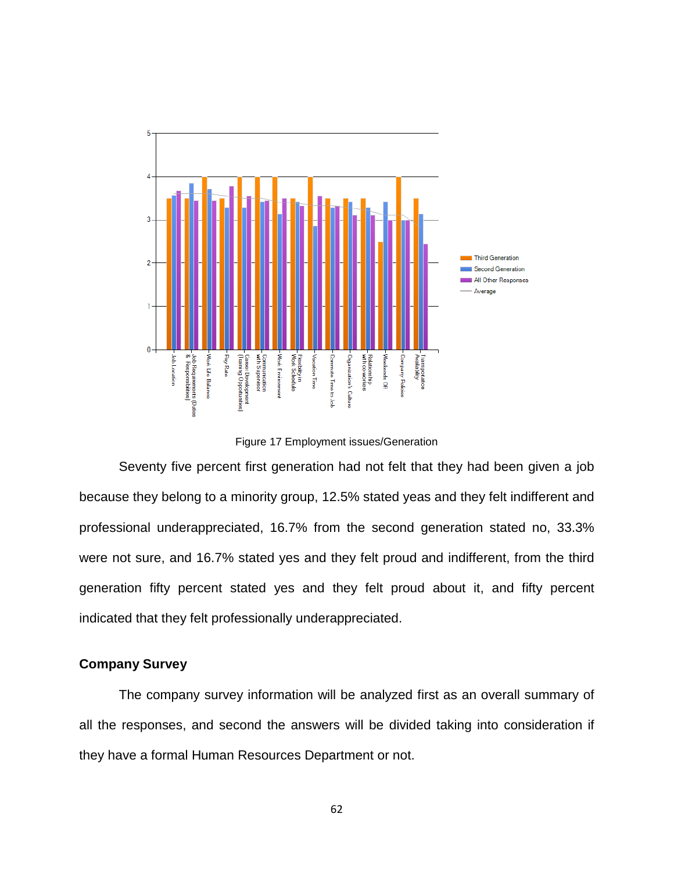

Figure 17 Employment issues/Generation

Seventy five percent first generation had not felt that they had been given a job because they belong to a minority group, 12.5% stated yeas and they felt indifferent and professional underappreciated, 16.7% from the second generation stated no, 33.3% were not sure, and 16.7% stated yes and they felt proud and indifferent, from the third generation fifty percent stated yes and they felt proud about it, and fifty percent indicated that they felt professionally underappreciated.

### **Company Survey**

The company survey information will be analyzed first as an overall summary of all the responses, and second the answers will be divided taking into consideration if they have a formal Human Resources Department or not.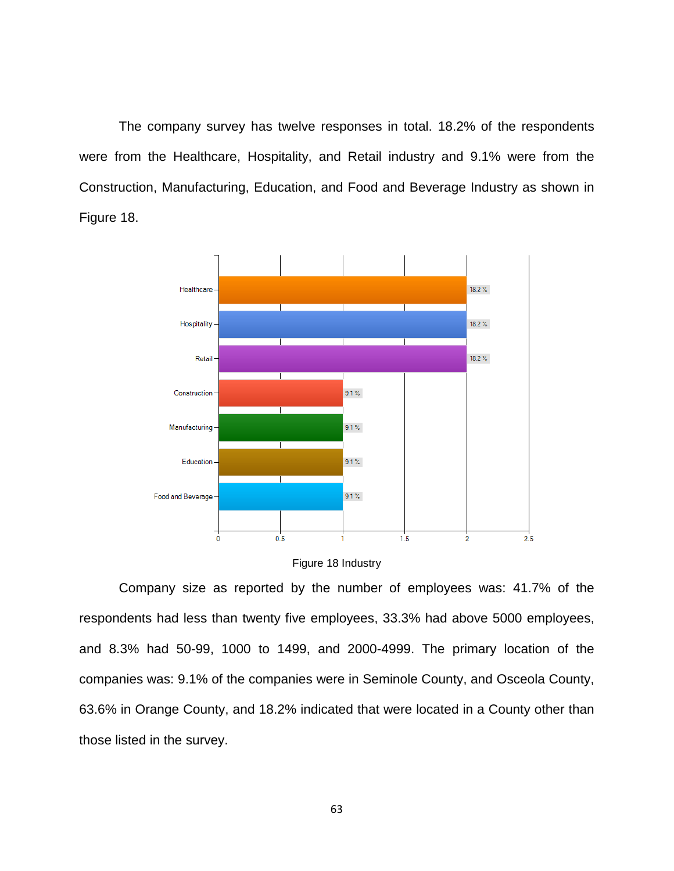The company survey has twelve responses in total. 18.2% of the respondents were from the Healthcare, Hospitality, and Retail industry and 9.1% were from the Construction, Manufacturing, Education, and Food and Beverage Industry as shown in Figure 18.





Company size as reported by the number of employees was: 41.7% of the respondents had less than twenty five employees, 33.3% had above 5000 employees, and 8.3% had 50-99, 1000 to 1499, and 2000-4999. The primary location of the companies was: 9.1% of the companies were in Seminole County, and Osceola County, 63.6% in Orange County, and 18.2% indicated that were located in a County other than those listed in the survey.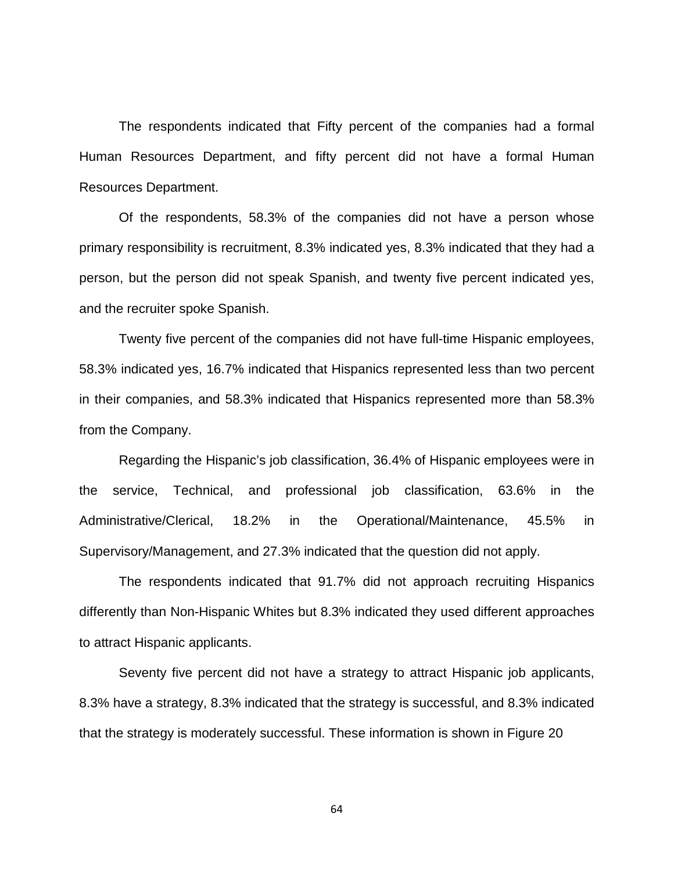The respondents indicated that Fifty percent of the companies had a formal Human Resources Department, and fifty percent did not have a formal Human Resources Department.

Of the respondents, 58.3% of the companies did not have a person whose primary responsibility is recruitment, 8.3% indicated yes, 8.3% indicated that they had a person, but the person did not speak Spanish, and twenty five percent indicated yes, and the recruiter spoke Spanish.

Twenty five percent of the companies did not have full-time Hispanic employees, 58.3% indicated yes, 16.7% indicated that Hispanics represented less than two percent in their companies, and 58.3% indicated that Hispanics represented more than 58.3% from the Company.

Regarding the Hispanic's job classification, 36.4% of Hispanic employees were in the service, Technical, and professional job classification, 63.6% in the Administrative/Clerical, 18.2% in the Operational/Maintenance, 45.5% in Supervisory/Management, and 27.3% indicated that the question did not apply.

The respondents indicated that 91.7% did not approach recruiting Hispanics differently than Non-Hispanic Whites but 8.3% indicated they used different approaches to attract Hispanic applicants.

Seventy five percent did not have a strategy to attract Hispanic job applicants, 8.3% have a strategy, 8.3% indicated that the strategy is successful, and 8.3% indicated that the strategy is moderately successful. These information is shown in Figure 20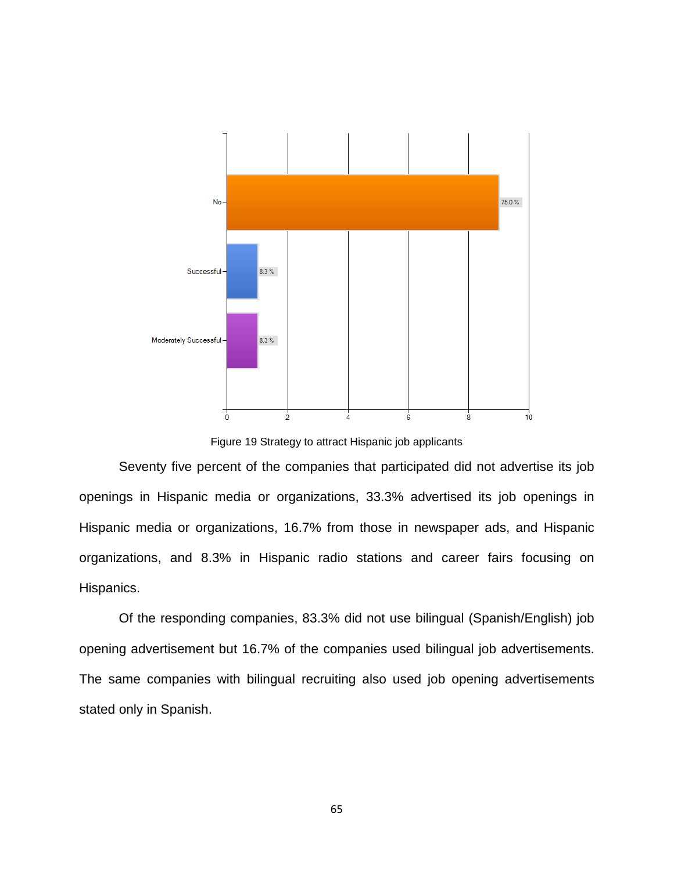

Figure 19 Strategy to attract Hispanic job applicants

Seventy five percent of the companies that participated did not advertise its job openings in Hispanic media or organizations, 33.3% advertised its job openings in Hispanic media or organizations, 16.7% from those in newspaper ads, and Hispanic organizations, and 8.3% in Hispanic radio stations and career fairs focusing on Hispanics.

Of the responding companies, 83.3% did not use bilingual (Spanish/English) job opening advertisement but 16.7% of the companies used bilingual job advertisements. The same companies with bilingual recruiting also used job opening advertisements stated only in Spanish.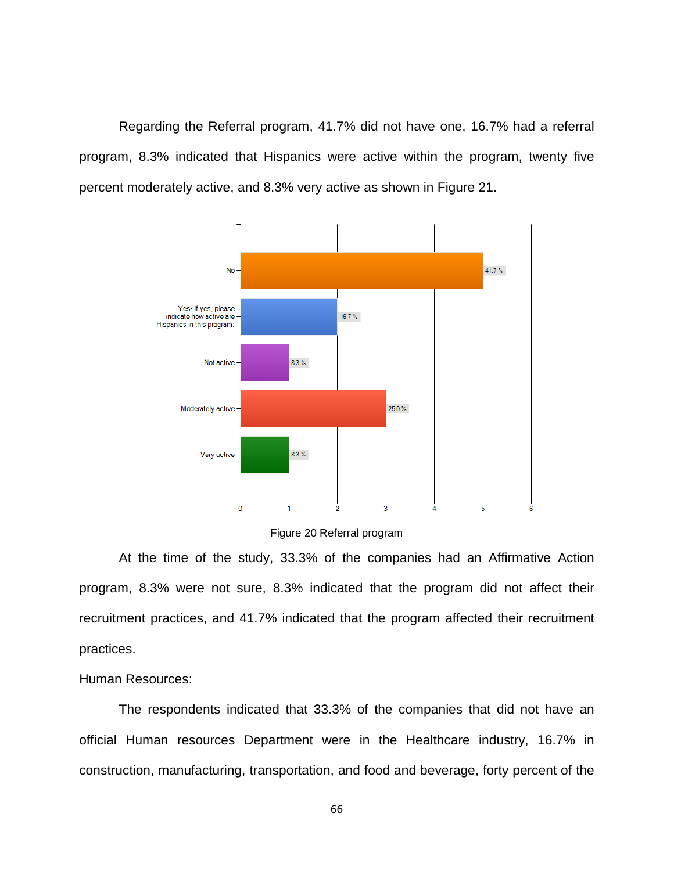Regarding the Referral program, 41.7% did not have one, 16.7% had a referral program, 8.3% indicated that Hispanics were active within the program, twenty five percent moderately active, and 8.3% very active as shown in Figure 21.





At the time of the study, 33.3% of the companies had an Affirmative Action program, 8.3% were not sure, 8.3% indicated that the program did not affect their recruitment practices, and 41.7% indicated that the program affected their recruitment practices.

#### Human Resources:

The respondents indicated that 33.3% of the companies that did not have an official Human resources Department were in the Healthcare industry, 16.7% in construction, manufacturing, transportation, and food and beverage, forty percent of the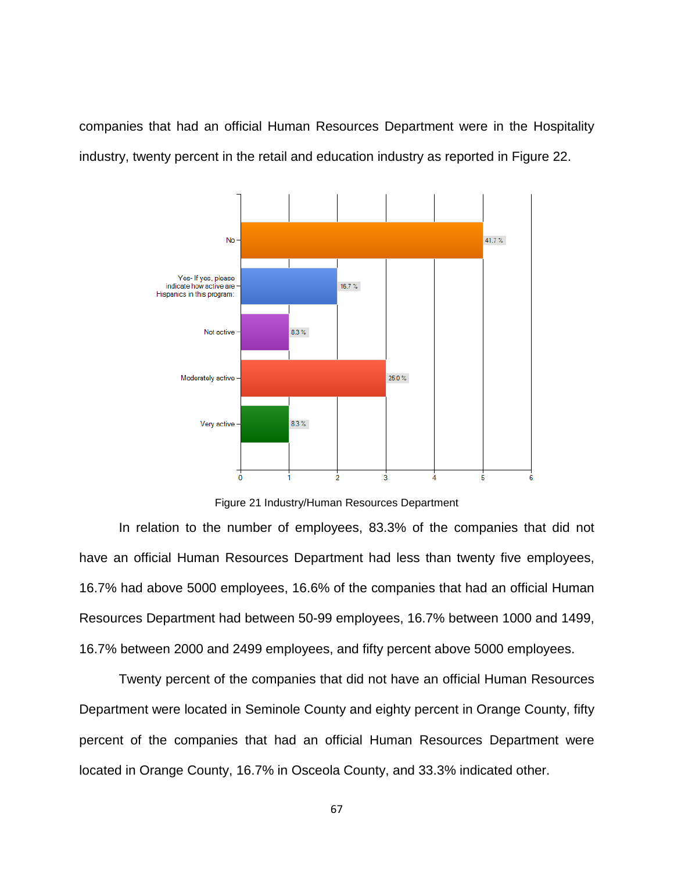companies that had an official Human Resources Department were in the Hospitality industry, twenty percent in the retail and education industry as reported in Figure 22.



Figure 21 Industry/Human Resources Department

In relation to the number of employees, 83.3% of the companies that did not have an official Human Resources Department had less than twenty five employees, 16.7% had above 5000 employees, 16.6% of the companies that had an official Human Resources Department had between 50-99 employees, 16.7% between 1000 and 1499, 16.7% between 2000 and 2499 employees, and fifty percent above 5000 employees.

Twenty percent of the companies that did not have an official Human Resources Department were located in Seminole County and eighty percent in Orange County, fifty percent of the companies that had an official Human Resources Department were located in Orange County, 16.7% in Osceola County, and 33.3% indicated other.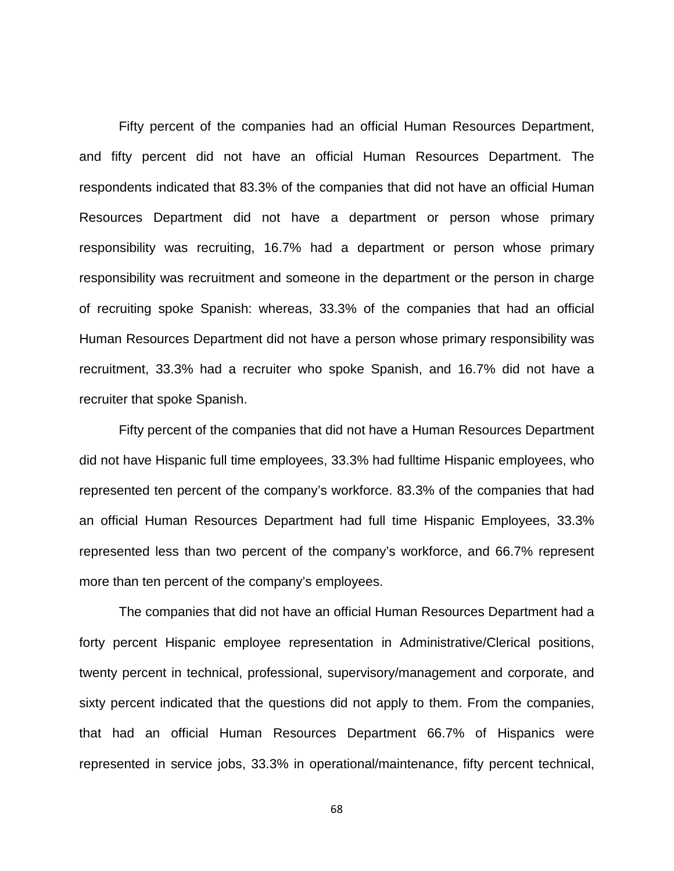Fifty percent of the companies had an official Human Resources Department, and fifty percent did not have an official Human Resources Department. The respondents indicated that 83.3% of the companies that did not have an official Human Resources Department did not have a department or person whose primary responsibility was recruiting, 16.7% had a department or person whose primary responsibility was recruitment and someone in the department or the person in charge of recruiting spoke Spanish: whereas, 33.3% of the companies that had an official Human Resources Department did not have a person whose primary responsibility was recruitment, 33.3% had a recruiter who spoke Spanish, and 16.7% did not have a recruiter that spoke Spanish.

Fifty percent of the companies that did not have a Human Resources Department did not have Hispanic full time employees, 33.3% had fulltime Hispanic employees, who represented ten percent of the company's workforce. 83.3% of the companies that had an official Human Resources Department had full time Hispanic Employees, 33.3% represented less than two percent of the company's workforce, and 66.7% represent more than ten percent of the company's employees.

The companies that did not have an official Human Resources Department had a forty percent Hispanic employee representation in Administrative/Clerical positions, twenty percent in technical, professional, supervisory/management and corporate, and sixty percent indicated that the questions did not apply to them. From the companies, that had an official Human Resources Department 66.7% of Hispanics were represented in service jobs, 33.3% in operational/maintenance, fifty percent technical,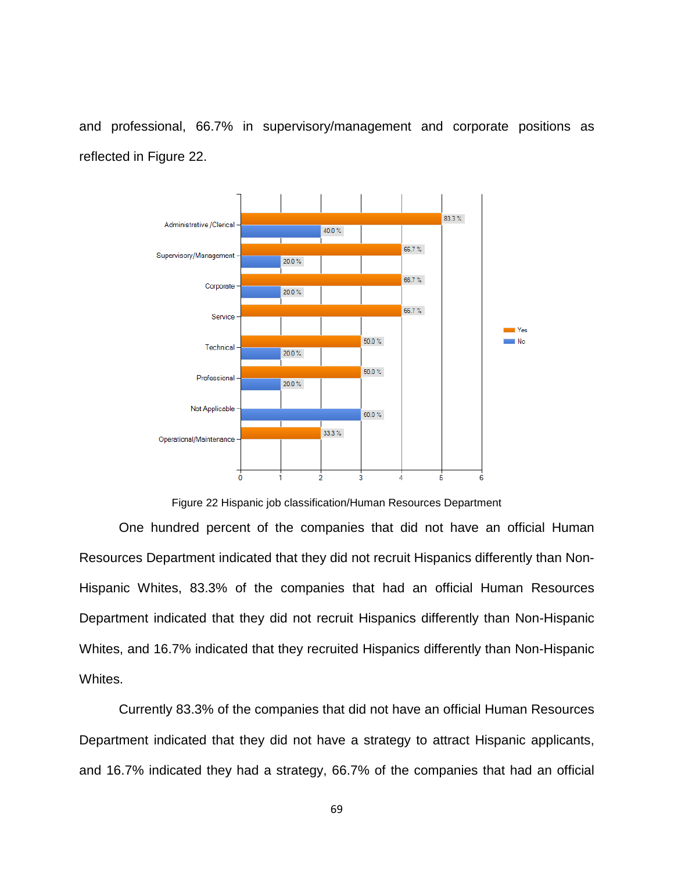and professional, 66.7% in supervisory/management and corporate positions as reflected in Figure 22.



Figure 22 Hispanic job classification/Human Resources Department

One hundred percent of the companies that did not have an official Human Resources Department indicated that they did not recruit Hispanics differently than Non-Hispanic Whites, 83.3% of the companies that had an official Human Resources Department indicated that they did not recruit Hispanics differently than Non-Hispanic Whites, and 16.7% indicated that they recruited Hispanics differently than Non-Hispanic Whites.

Currently 83.3% of the companies that did not have an official Human Resources Department indicated that they did not have a strategy to attract Hispanic applicants, and 16.7% indicated they had a strategy, 66.7% of the companies that had an official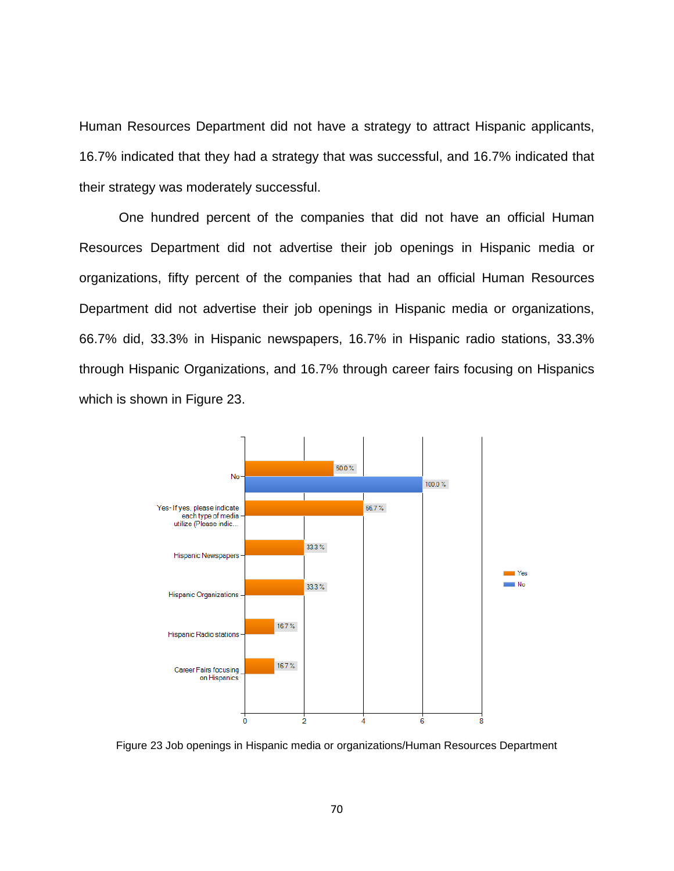Human Resources Department did not have a strategy to attract Hispanic applicants, 16.7% indicated that they had a strategy that was successful, and 16.7% indicated that their strategy was moderately successful.

One hundred percent of the companies that did not have an official Human Resources Department did not advertise their job openings in Hispanic media or organizations, fifty percent of the companies that had an official Human Resources Department did not advertise their job openings in Hispanic media or organizations, 66.7% did, 33.3% in Hispanic newspapers, 16.7% in Hispanic radio stations, 33.3% through Hispanic Organizations, and 16.7% through career fairs focusing on Hispanics which is shown in Figure 23.



Figure 23 Job openings in Hispanic media or organizations/Human Resources Department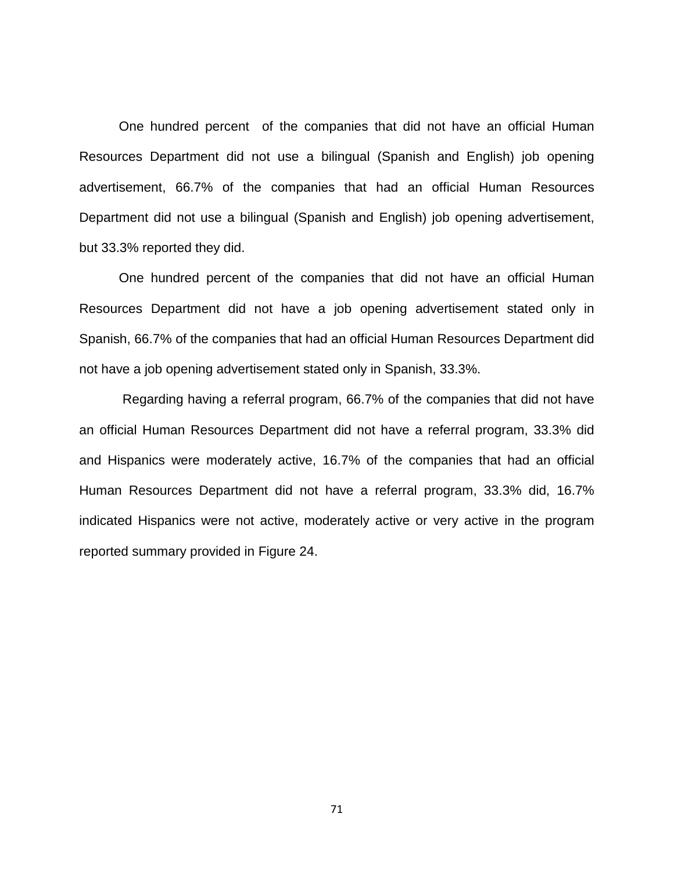One hundred percent of the companies that did not have an official Human Resources Department did not use a bilingual (Spanish and English) job opening advertisement, 66.7% of the companies that had an official Human Resources Department did not use a bilingual (Spanish and English) job opening advertisement, but 33.3% reported they did.

One hundred percent of the companies that did not have an official Human Resources Department did not have a job opening advertisement stated only in Spanish, 66.7% of the companies that had an official Human Resources Department did not have a job opening advertisement stated only in Spanish, 33.3%.

Regarding having a referral program, 66.7% of the companies that did not have an official Human Resources Department did not have a referral program, 33.3% did and Hispanics were moderately active, 16.7% of the companies that had an official Human Resources Department did not have a referral program, 33.3% did, 16.7% indicated Hispanics were not active, moderately active or very active in the program reported summary provided in Figure 24.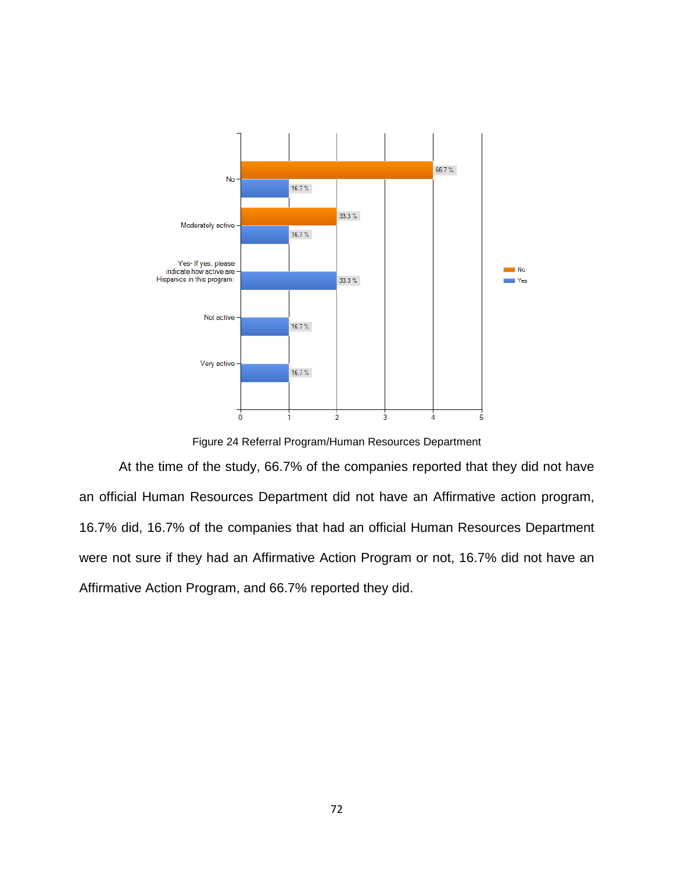

Figure 24 Referral Program/Human Resources Department

At the time of the study, 66.7% of the companies reported that they did not have an official Human Resources Department did not have an Affirmative action program, 16.7% did, 16.7% of the companies that had an official Human Resources Department were not sure if they had an Affirmative Action Program or not, 16.7% did not have an Affirmative Action Program, and 66.7% reported they did.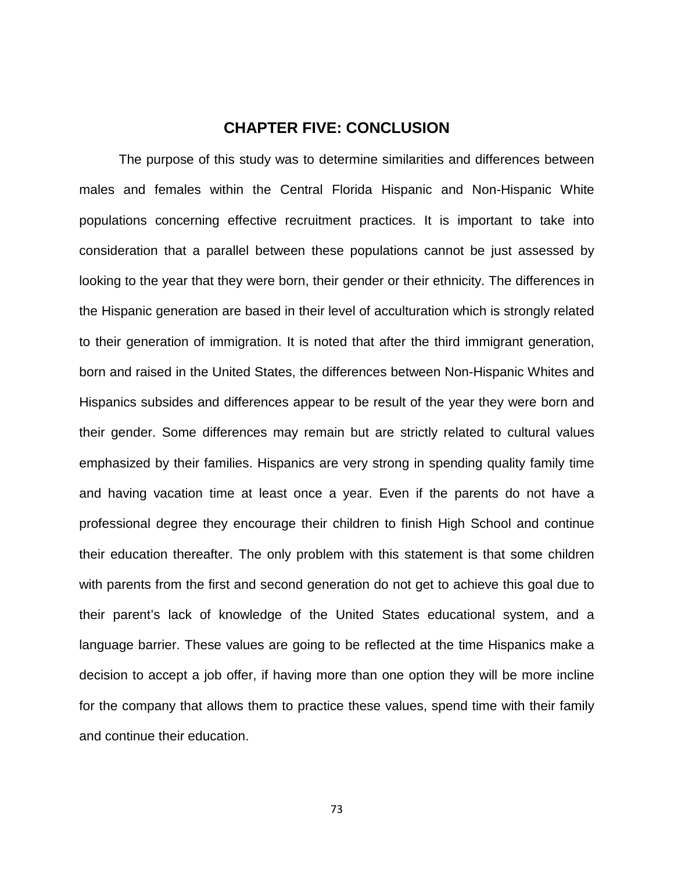#### **CHAPTER FIVE: CONCLUSION**

The purpose of this study was to determine similarities and differences between males and females within the Central Florida Hispanic and Non-Hispanic White populations concerning effective recruitment practices. It is important to take into consideration that a parallel between these populations cannot be just assessed by looking to the year that they were born, their gender or their ethnicity. The differences in the Hispanic generation are based in their level of acculturation which is strongly related to their generation of immigration. It is noted that after the third immigrant generation, born and raised in the United States, the differences between Non-Hispanic Whites and Hispanics subsides and differences appear to be result of the year they were born and their gender. Some differences may remain but are strictly related to cultural values emphasized by their families. Hispanics are very strong in spending quality family time and having vacation time at least once a year. Even if the parents do not have a professional degree they encourage their children to finish High School and continue their education thereafter. The only problem with this statement is that some children with parents from the first and second generation do not get to achieve this goal due to their parent's lack of knowledge of the United States educational system, and a language barrier. These values are going to be reflected at the time Hispanics make a decision to accept a job offer, if having more than one option they will be more incline for the company that allows them to practice these values, spend time with their family and continue their education.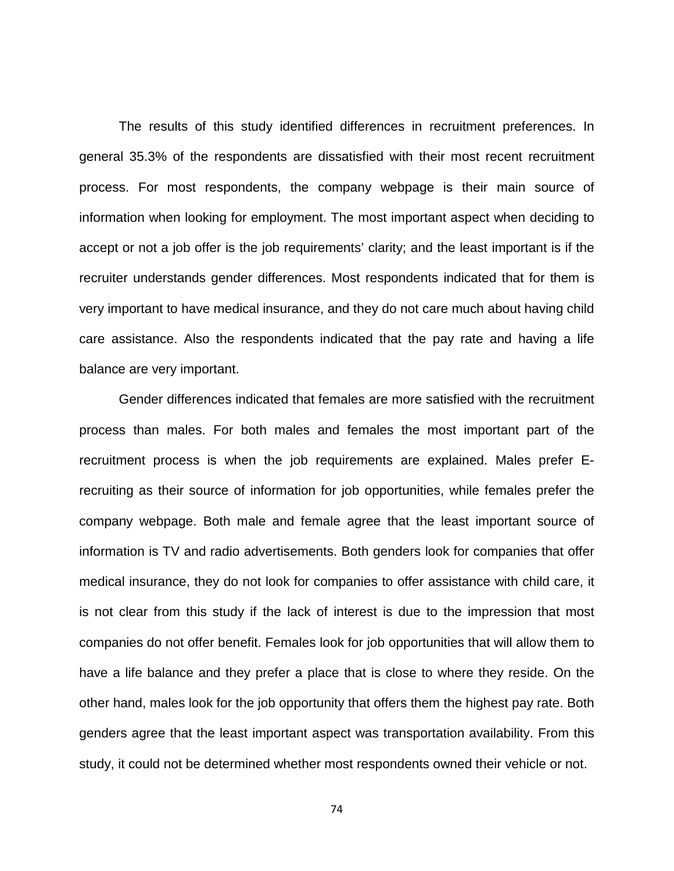The results of this study identified differences in recruitment preferences. In general 35.3% of the respondents are dissatisfied with their most recent recruitment process. For most respondents, the company webpage is their main source of information when looking for employment. The most important aspect when deciding to accept or not a job offer is the job requirements' clarity; and the least important is if the recruiter understands gender differences. Most respondents indicated that for them is very important to have medical insurance, and they do not care much about having child care assistance. Also the respondents indicated that the pay rate and having a life balance are very important.

Gender differences indicated that females are more satisfied with the recruitment process than males. For both males and females the most important part of the recruitment process is when the job requirements are explained. Males prefer Erecruiting as their source of information for job opportunities, while females prefer the company webpage. Both male and female agree that the least important source of information is TV and radio advertisements. Both genders look for companies that offer medical insurance, they do not look for companies to offer assistance with child care, it is not clear from this study if the lack of interest is due to the impression that most companies do not offer benefit. Females look for job opportunities that will allow them to have a life balance and they prefer a place that is close to where they reside. On the other hand, males look for the job opportunity that offers them the highest pay rate. Both genders agree that the least important aspect was transportation availability. From this study, it could not be determined whether most respondents owned their vehicle or not.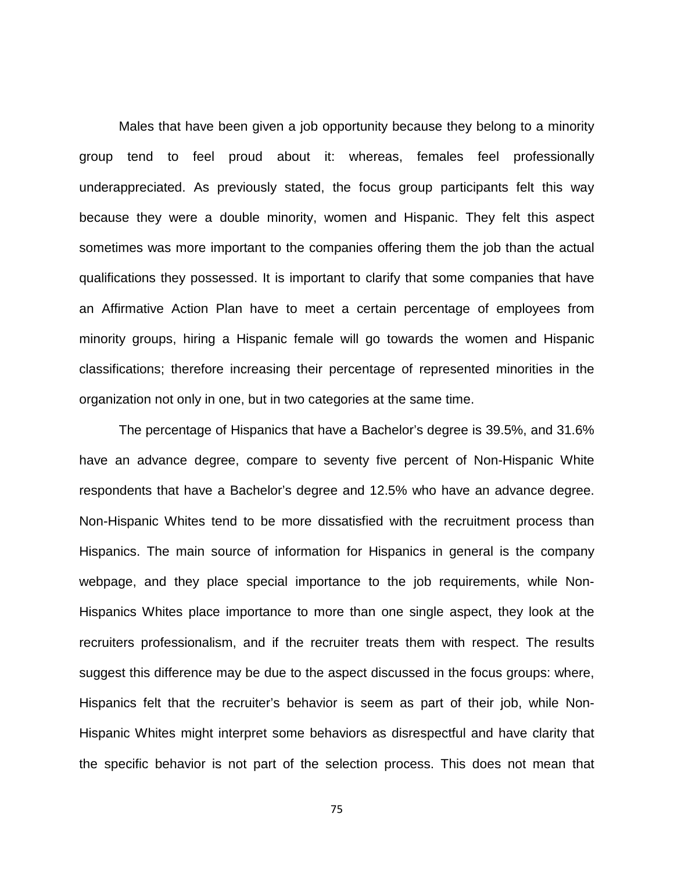Males that have been given a job opportunity because they belong to a minority group tend to feel proud about it: whereas, females feel professionally underappreciated. As previously stated, the focus group participants felt this way because they were a double minority, women and Hispanic. They felt this aspect sometimes was more important to the companies offering them the job than the actual qualifications they possessed. It is important to clarify that some companies that have an Affirmative Action Plan have to meet a certain percentage of employees from minority groups, hiring a Hispanic female will go towards the women and Hispanic classifications; therefore increasing their percentage of represented minorities in the organization not only in one, but in two categories at the same time.

The percentage of Hispanics that have a Bachelor's degree is 39.5%, and 31.6% have an advance degree, compare to seventy five percent of Non-Hispanic White respondents that have a Bachelor's degree and 12.5% who have an advance degree. Non-Hispanic Whites tend to be more dissatisfied with the recruitment process than Hispanics. The main source of information for Hispanics in general is the company webpage, and they place special importance to the job requirements, while Non-Hispanics Whites place importance to more than one single aspect, they look at the recruiters professionalism, and if the recruiter treats them with respect. The results suggest this difference may be due to the aspect discussed in the focus groups: where, Hispanics felt that the recruiter's behavior is seem as part of their job, while Non-Hispanic Whites might interpret some behaviors as disrespectful and have clarity that the specific behavior is not part of the selection process. This does not mean that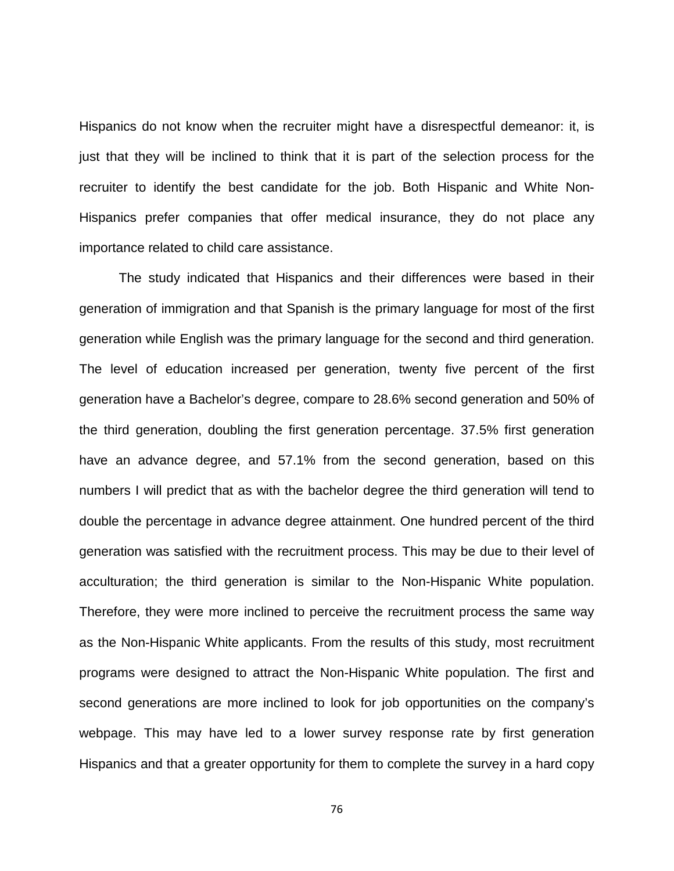Hispanics do not know when the recruiter might have a disrespectful demeanor: it, is just that they will be inclined to think that it is part of the selection process for the recruiter to identify the best candidate for the job. Both Hispanic and White Non-Hispanics prefer companies that offer medical insurance, they do not place any importance related to child care assistance.

The study indicated that Hispanics and their differences were based in their generation of immigration and that Spanish is the primary language for most of the first generation while English was the primary language for the second and third generation. The level of education increased per generation, twenty five percent of the first generation have a Bachelor's degree, compare to 28.6% second generation and 50% of the third generation, doubling the first generation percentage. 37.5% first generation have an advance degree, and 57.1% from the second generation, based on this numbers I will predict that as with the bachelor degree the third generation will tend to double the percentage in advance degree attainment. One hundred percent of the third generation was satisfied with the recruitment process. This may be due to their level of acculturation; the third generation is similar to the Non-Hispanic White population. Therefore, they were more inclined to perceive the recruitment process the same way as the Non-Hispanic White applicants. From the results of this study, most recruitment programs were designed to attract the Non-Hispanic White population. The first and second generations are more inclined to look for job opportunities on the company's webpage. This may have led to a lower survey response rate by first generation Hispanics and that a greater opportunity for them to complete the survey in a hard copy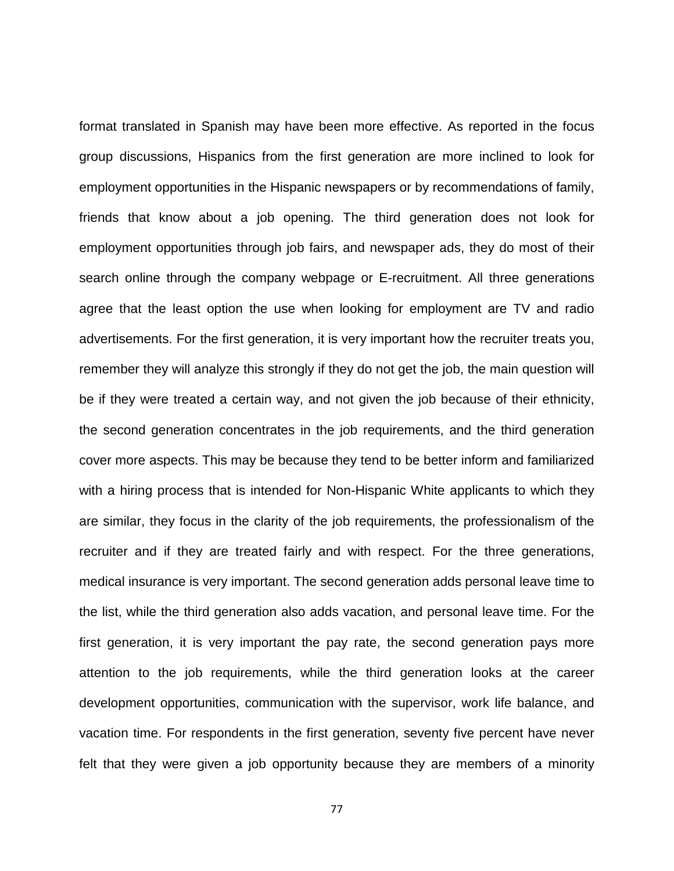format translated in Spanish may have been more effective. As reported in the focus group discussions, Hispanics from the first generation are more inclined to look for employment opportunities in the Hispanic newspapers or by recommendations of family, friends that know about a job opening. The third generation does not look for employment opportunities through job fairs, and newspaper ads, they do most of their search online through the company webpage or E-recruitment. All three generations agree that the least option the use when looking for employment are TV and radio advertisements. For the first generation, it is very important how the recruiter treats you, remember they will analyze this strongly if they do not get the job, the main question will be if they were treated a certain way, and not given the job because of their ethnicity, the second generation concentrates in the job requirements, and the third generation cover more aspects. This may be because they tend to be better inform and familiarized with a hiring process that is intended for Non-Hispanic White applicants to which they are similar, they focus in the clarity of the job requirements, the professionalism of the recruiter and if they are treated fairly and with respect. For the three generations, medical insurance is very important. The second generation adds personal leave time to the list, while the third generation also adds vacation, and personal leave time. For the first generation, it is very important the pay rate, the second generation pays more attention to the job requirements, while the third generation looks at the career development opportunities, communication with the supervisor, work life balance, and vacation time. For respondents in the first generation, seventy five percent have never felt that they were given a job opportunity because they are members of a minority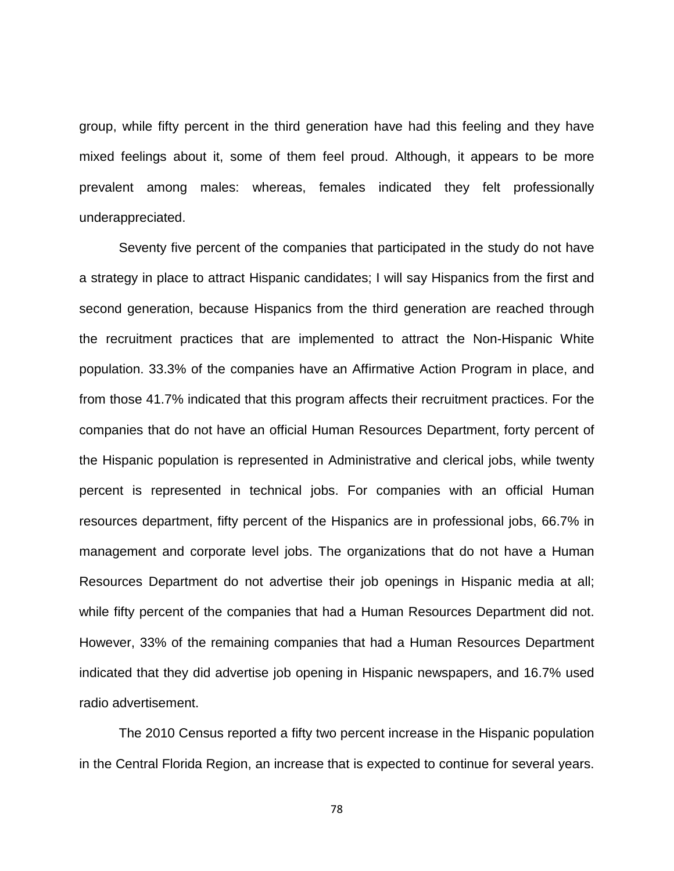group, while fifty percent in the third generation have had this feeling and they have mixed feelings about it, some of them feel proud. Although, it appears to be more prevalent among males: whereas, females indicated they felt professionally underappreciated.

Seventy five percent of the companies that participated in the study do not have a strategy in place to attract Hispanic candidates; I will say Hispanics from the first and second generation, because Hispanics from the third generation are reached through the recruitment practices that are implemented to attract the Non-Hispanic White population. 33.3% of the companies have an Affirmative Action Program in place, and from those 41.7% indicated that this program affects their recruitment practices. For the companies that do not have an official Human Resources Department, forty percent of the Hispanic population is represented in Administrative and clerical jobs, while twenty percent is represented in technical jobs. For companies with an official Human resources department, fifty percent of the Hispanics are in professional jobs, 66.7% in management and corporate level jobs. The organizations that do not have a Human Resources Department do not advertise their job openings in Hispanic media at all; while fifty percent of the companies that had a Human Resources Department did not. However, 33% of the remaining companies that had a Human Resources Department indicated that they did advertise job opening in Hispanic newspapers, and 16.7% used radio advertisement.

The 2010 Census reported a fifty two percent increase in the Hispanic population in the Central Florida Region, an increase that is expected to continue for several years.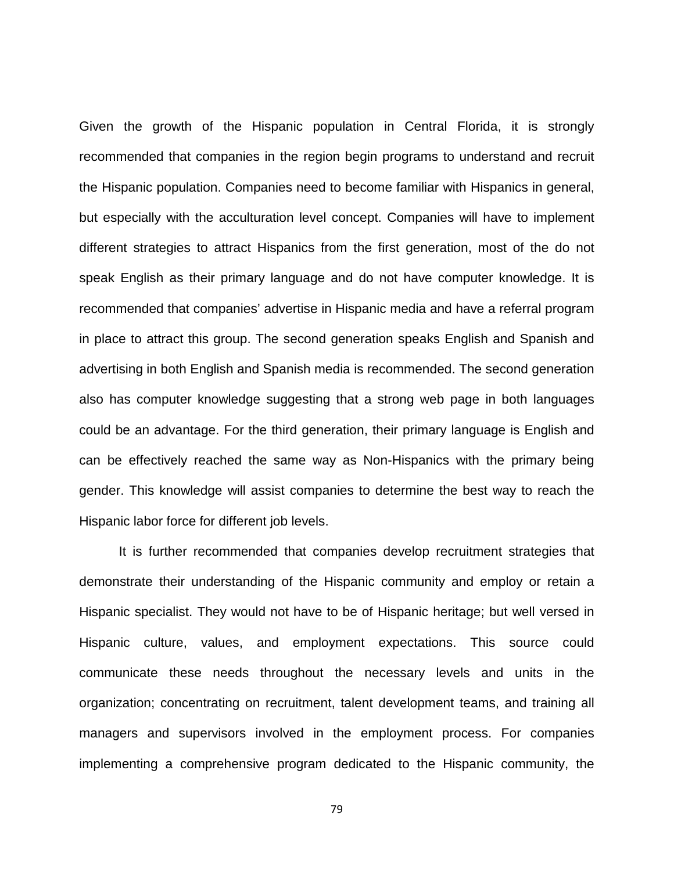Given the growth of the Hispanic population in Central Florida, it is strongly recommended that companies in the region begin programs to understand and recruit the Hispanic population. Companies need to become familiar with Hispanics in general, but especially with the acculturation level concept. Companies will have to implement different strategies to attract Hispanics from the first generation, most of the do not speak English as their primary language and do not have computer knowledge. It is recommended that companies' advertise in Hispanic media and have a referral program in place to attract this group. The second generation speaks English and Spanish and advertising in both English and Spanish media is recommended. The second generation also has computer knowledge suggesting that a strong web page in both languages could be an advantage. For the third generation, their primary language is English and can be effectively reached the same way as Non-Hispanics with the primary being gender. This knowledge will assist companies to determine the best way to reach the Hispanic labor force for different job levels.

It is further recommended that companies develop recruitment strategies that demonstrate their understanding of the Hispanic community and employ or retain a Hispanic specialist. They would not have to be of Hispanic heritage; but well versed in Hispanic culture, values, and employment expectations. This source could communicate these needs throughout the necessary levels and units in the organization; concentrating on recruitment, talent development teams, and training all managers and supervisors involved in the employment process. For companies implementing a comprehensive program dedicated to the Hispanic community, the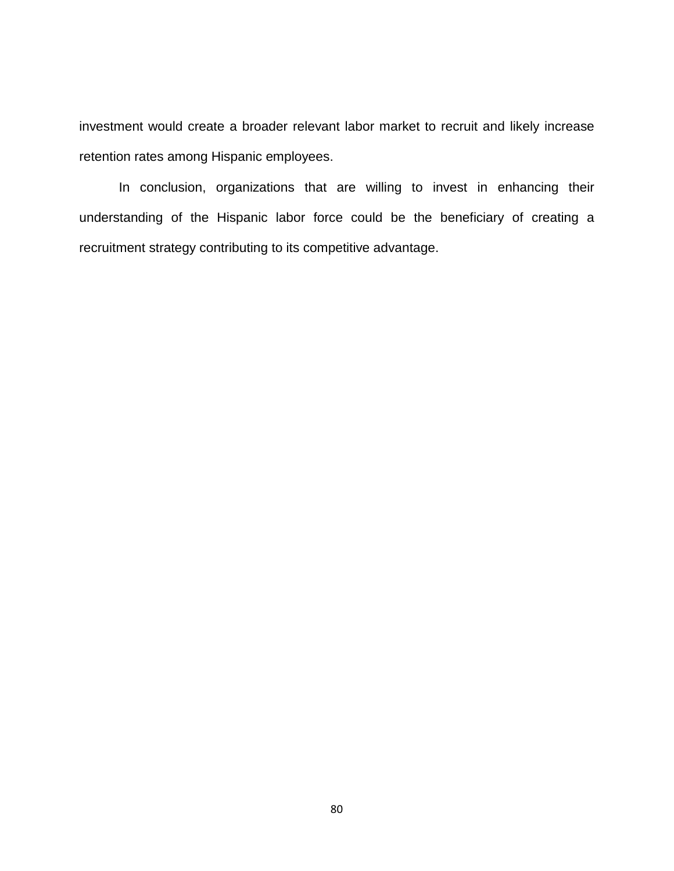investment would create a broader relevant labor market to recruit and likely increase retention rates among Hispanic employees.

In conclusion, organizations that are willing to invest in enhancing their understanding of the Hispanic labor force could be the beneficiary of creating a recruitment strategy contributing to its competitive advantage.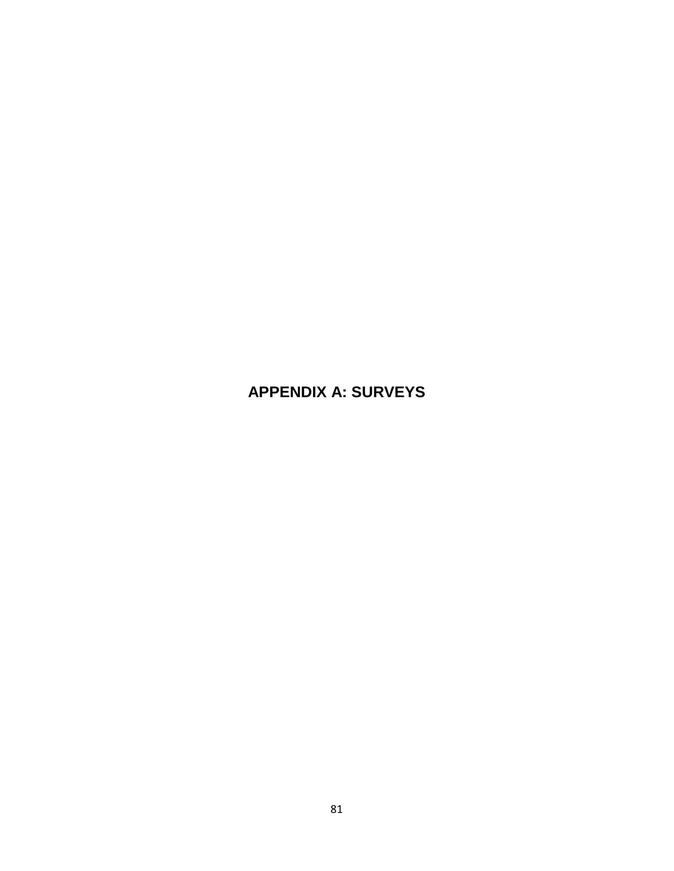# **APPENDIX A: SURVEYS**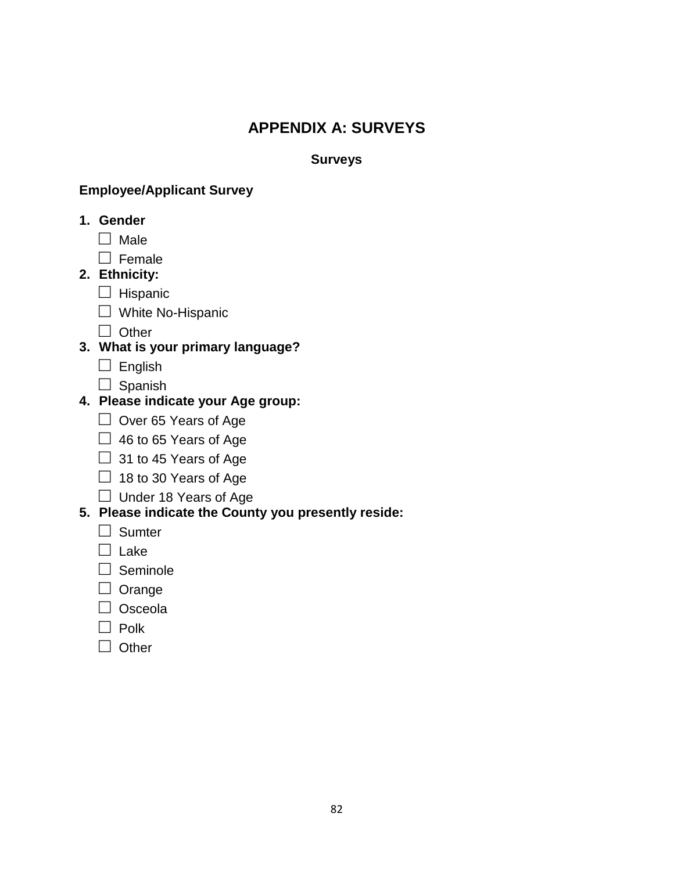# **APPENDIX A: SURVEYS**

#### **Surveys**

#### **Employee/Applicant Survey**

- **1. Gender**
	- □ Male
	- $\Box$  Female
- **2. Ethnicity:**
	- □ Hispanic
	- □ White No-Hispanic
	- □ Other

## **3. What is your primary language?**

- $\Box$  English
- $\square$  Spanish
- **4. Please indicate your Age group:** 
	- □ Over 65 Years of Age
	- $\Box$  46 to 65 Years of Age
	- $\Box$  31 to 45 Years of Age
	- $\Box$  18 to 30 Years of Age
	- □ Under 18 Years of Age

### **5. Please indicate the County you presently reside:**

- □ Sumter
- □ Lake
- □ Seminole
- □ Orange
- □ Osceola
- $\Box$  Polk
- □ Other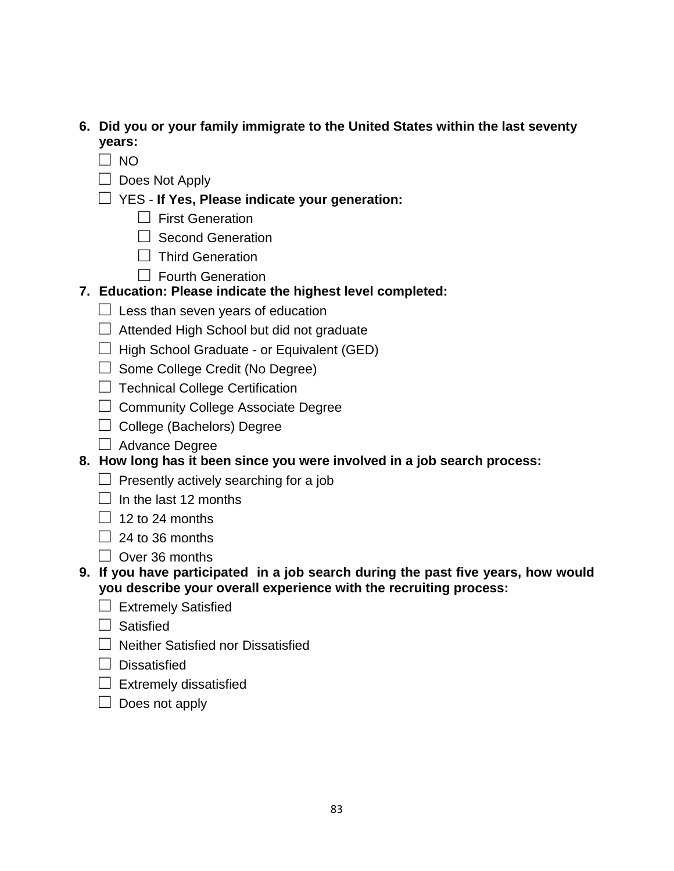- **6. Did you or your family immigrate to the United States within the last seventy years:**
	- $\Box$  NO
	- □ Does Not Apply
	- □ YES **If Yes, Please indicate your generation:**
		- $\Box$  First Generation
		- $\Box$  Second Generation
		- □ Third Generation
		- □ Fourth Generation

#### **7. Education: Please indicate the highest level completed:**

- $\Box$  Less than seven years of education
- □ Attended High School but did not graduate
- $\Box$  High School Graduate or Equivalent (GED)
- $\Box$  Some College Credit (No Degree)
- $\Box$  Technical College Certification
- $\Box$  Community College Associate Degree
- □ College (Bachelors) Degree
- $\Box$  Advance Degree
- **8. How long has it been since you were involved in a job search process:**
	- $\Box$  Presently actively searching for a job
	- $\Box$  In the last 12 months
	- $\Box$  12 to 24 months
	- $\Box$  24 to 36 months
	- $\Box$  Over 36 months
- **9. If you have participated in a job search during the past five years, how would you describe your overall experience with the recruiting process:**
	- $\Box$  Extremely Satisfied
	- $\Box$  Satisfied
	- $\Box$  Neither Satisfied nor Dissatisfied
	- $\Box$  Dissatisfied
	- $\Box$  Extremely dissatisfied
	- $\Box$  Does not apply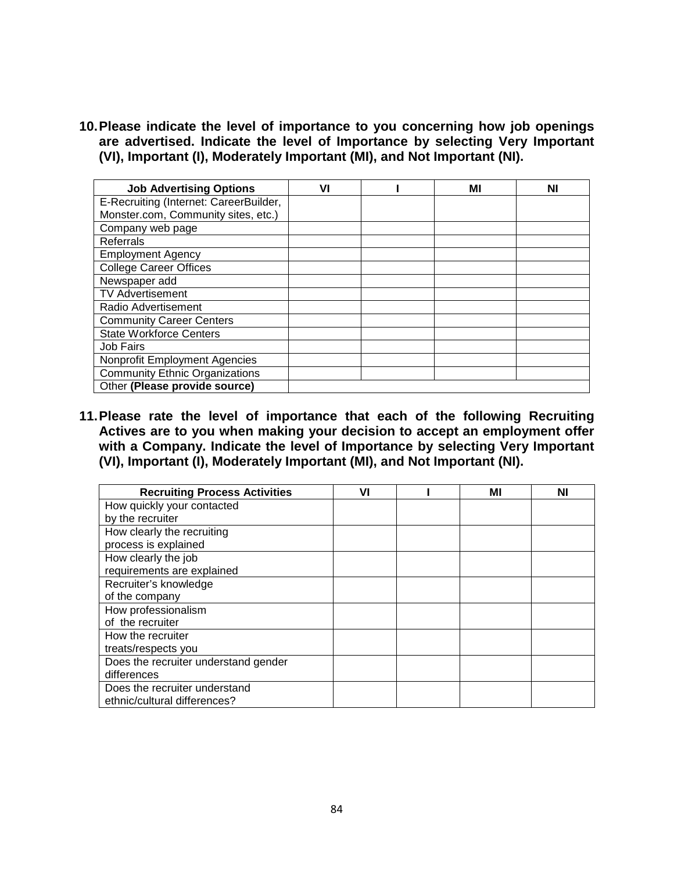**10.Please indicate the level of importance to you concerning how job openings are advertised. Indicate the level of Importance by selecting Very Important (VI), Important (I), Moderately Important (MI), and Not Important (NI).**

| <b>Job Advertising Options</b>         | VI | МΙ | Νl |
|----------------------------------------|----|----|----|
| E-Recruiting (Internet: CareerBuilder, |    |    |    |
| Monster.com, Community sites, etc.)    |    |    |    |
| Company web page                       |    |    |    |
| Referrals                              |    |    |    |
| <b>Employment Agency</b>               |    |    |    |
| <b>College Career Offices</b>          |    |    |    |
| Newspaper add                          |    |    |    |
| <b>TV Advertisement</b>                |    |    |    |
| Radio Advertisement                    |    |    |    |
| <b>Community Career Centers</b>        |    |    |    |
| <b>State Workforce Centers</b>         |    |    |    |
| Job Fairs                              |    |    |    |
| Nonprofit Employment Agencies          |    |    |    |
| <b>Community Ethnic Organizations</b>  |    |    |    |
| Other (Please provide source)          |    |    |    |

**11.Please rate the level of importance that each of the following Recruiting Actives are to you when making your decision to accept an employment offer with a Company. Indicate the level of Importance by selecting Very Important (VI), Important (I), Moderately Important (MI), and Not Important (NI).**

| <b>Recruiting Process Activities</b> | VI | ΜI | NI |
|--------------------------------------|----|----|----|
| How quickly your contacted           |    |    |    |
| by the recruiter                     |    |    |    |
| How clearly the recruiting           |    |    |    |
| process is explained                 |    |    |    |
| How clearly the job                  |    |    |    |
| requirements are explained           |    |    |    |
| Recruiter's knowledge                |    |    |    |
| of the company                       |    |    |    |
| How professionalism                  |    |    |    |
| of the recruiter                     |    |    |    |
| How the recruiter                    |    |    |    |
| treats/respects you                  |    |    |    |
| Does the recruiter understand gender |    |    |    |
| differences                          |    |    |    |
| Does the recruiter understand        |    |    |    |
| ethnic/cultural differences?         |    |    |    |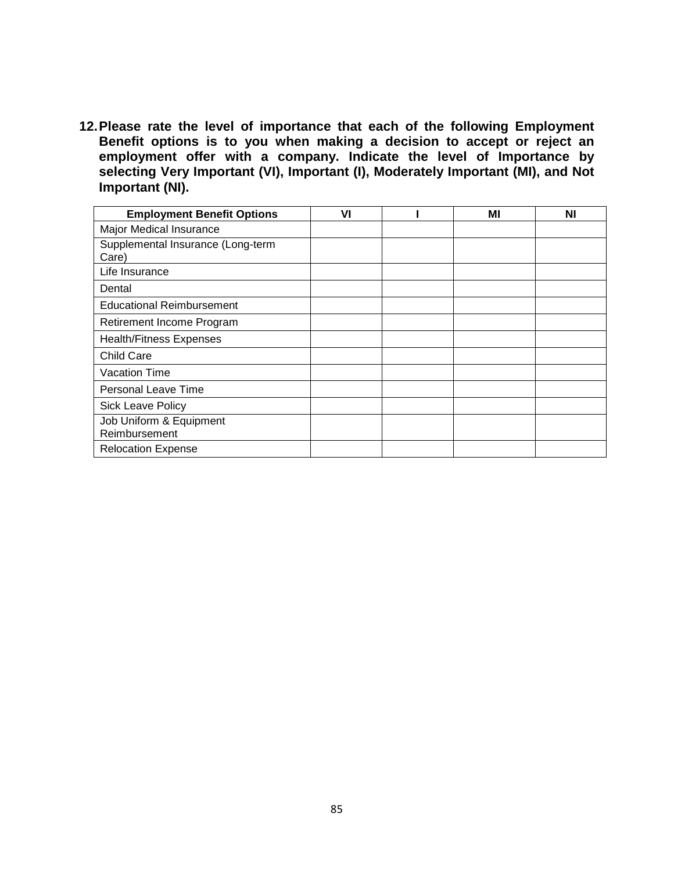**12.Please rate the level of importance that each of the following Employment Benefit options is to you when making a decision to accept or reject an employment offer with a company. Indicate the level of Importance by selecting Very Important (VI), Important (I), Moderately Important (MI), and Not Important (NI).**

| <b>Employment Benefit Options</b>          | VI | ΜI | ΝI |
|--------------------------------------------|----|----|----|
| Major Medical Insurance                    |    |    |    |
| Supplemental Insurance (Long-term<br>Care) |    |    |    |
| Life Insurance                             |    |    |    |
| Dental                                     |    |    |    |
| <b>Educational Reimbursement</b>           |    |    |    |
| Retirement Income Program                  |    |    |    |
| <b>Health/Fitness Expenses</b>             |    |    |    |
| <b>Child Care</b>                          |    |    |    |
| <b>Vacation Time</b>                       |    |    |    |
| Personal Leave Time                        |    |    |    |
| <b>Sick Leave Policy</b>                   |    |    |    |
| Job Uniform & Equipment<br>Reimbursement   |    |    |    |
| <b>Relocation Expense</b>                  |    |    |    |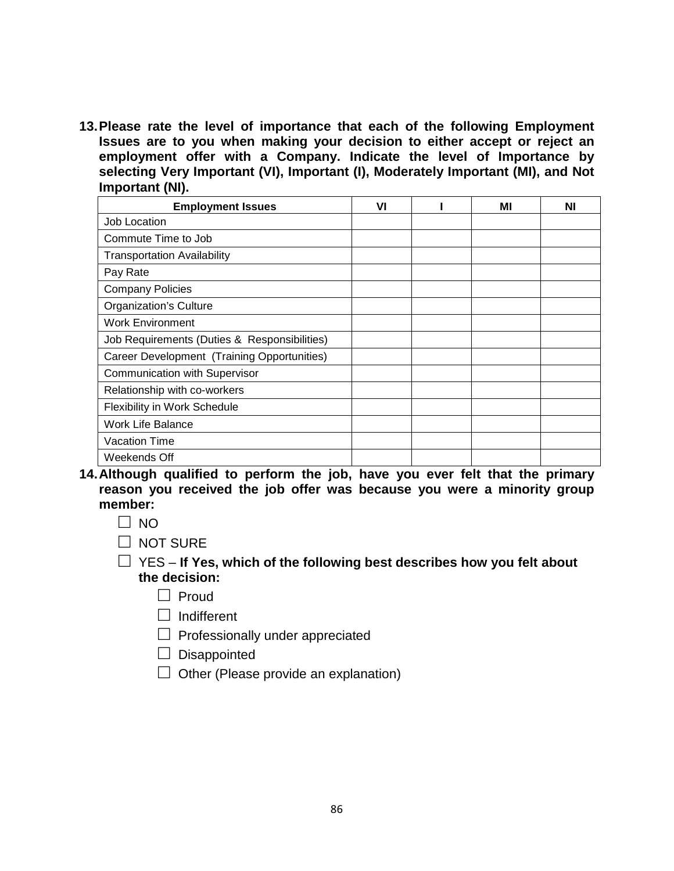**13.Please rate the level of importance that each of the following Employment Issues are to you when making your decision to either accept or reject an employment offer with a Company. Indicate the level of Importance by selecting Very Important (VI), Important (I), Moderately Important (MI), and Not Important (NI).**

| <b>Employment Issues</b>                     | VI | ΜI | ΝI |
|----------------------------------------------|----|----|----|
| Job Location                                 |    |    |    |
| Commute Time to Job                          |    |    |    |
| <b>Transportation Availability</b>           |    |    |    |
| Pay Rate                                     |    |    |    |
| <b>Company Policies</b>                      |    |    |    |
| <b>Organization's Culture</b>                |    |    |    |
| <b>Work Environment</b>                      |    |    |    |
| Job Requirements (Duties & Responsibilities) |    |    |    |
| Career Development (Training Opportunities)  |    |    |    |
| <b>Communication with Supervisor</b>         |    |    |    |
| Relationship with co-workers                 |    |    |    |
| Flexibility in Work Schedule                 |    |    |    |
| <b>Work Life Balance</b>                     |    |    |    |
| <b>Vacation Time</b>                         |    |    |    |
| Weekends Off                                 |    |    |    |

- **14.Although qualified to perform the job, have you ever felt that the primary reason you received the job offer was because you were a minority group member:**
	- □ NO
	- □ NOT SURE
	- □ YES **If Yes, which of the following best describes how you felt about the decision:**
		- $\Box$  Proud
		- □ Indifferent
		- $\Box$  Professionally under appreciated
		- □ Disappointed
		- $\Box$  Other (Please provide an explanation)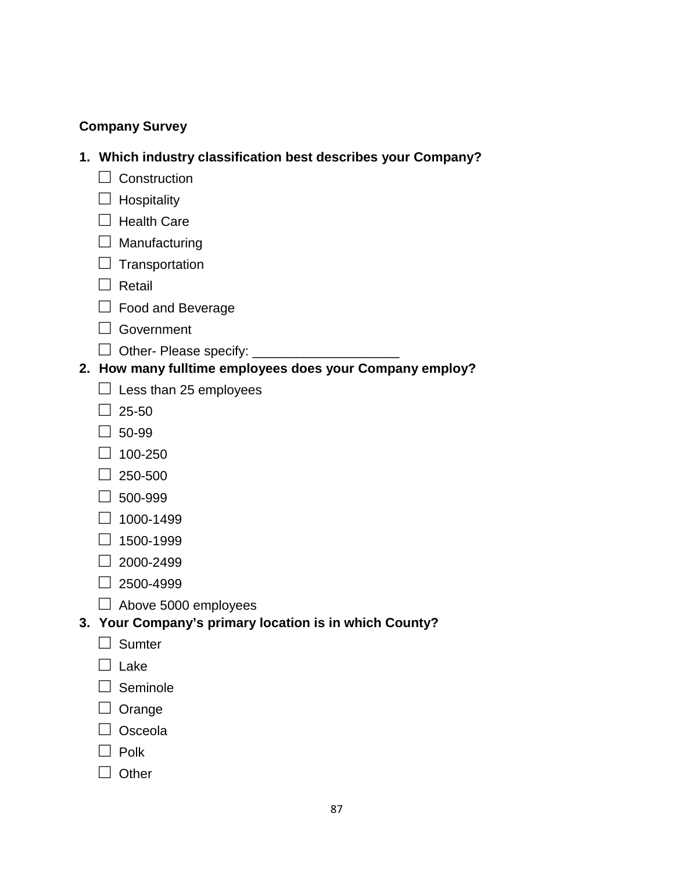#### **Company Survey**

- **1. Which industry classification best describes your Company?**
	- $\Box$  Construction
	- $\Box$  Hospitality
	- $\square$  Health Care
	- $\Box$  Manufacturing
	- $\Box$  Transportation
	- □ Retail
	- □ Food and Beverage
	- □ Government
	- $\Box$  Other- Please specify:

#### **2. How many fulltime employees does your Company employ?**

- $\Box$  Less than 25 employees
- $\Box$  25-50
- □ 50-99
- $\Box$  100-250
- $\Box$  250-500
- $\Box$  500-999
- $\Box$  1000-1499
- $\Box$  1500-1999
- $\Box$  2000-2499
- $\Box$  2500-4999
- □ Above 5000 employees

#### **3. Your Company's primary location is in which County?**

- □ Sumter
- □ Lake
- □ Seminole
- □ Orange
- □ Osceola
- $\Box$  Polk
- □ Other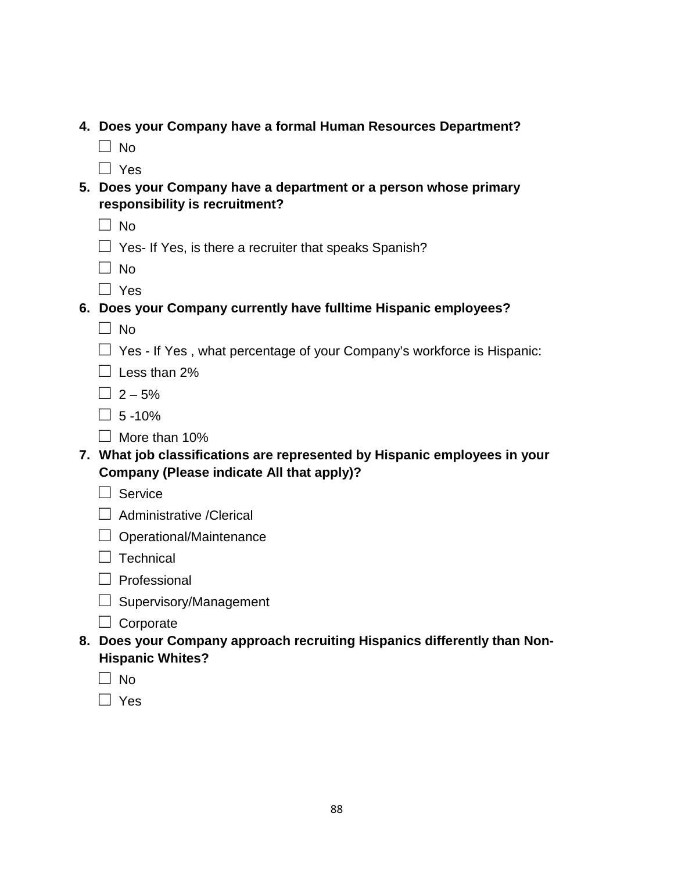- **4. Does your Company have a formal Human Resources Department?**
	- $\Box$  No
	- $\Box$  Yes
- **5. Does your Company have a department or a person whose primary responsibility is recruitment?**
	- □ No
	- $\Box$  Yes- If Yes, is there a recruiter that speaks Spanish?
	- $\Box$  No
	- □ Yes
- **6. Does your Company currently have fulltime Hispanic employees?**
	- $\Box$  No
	- $\Box$  Yes If Yes, what percentage of your Company's workforce is Hispanic:
	- $\Box$  Less than 2%
	- $\Box$  2 5%
	- $\Box$  5 -10%
	- $\Box$  More than 10%
- **7. What job classifications are represented by Hispanic employees in your Company (Please indicate All that apply)?**
	- □ Service
	- $\Box$  Administrative / Clerical
	- $\Box$  Operational/Maintenance
	- $\square$  Technical
	- $\Box$  Professional
	- □ Supervisory/Management
	- $\Box$  Corporate
- **8. Does your Company approach recruiting Hispanics differently than Non-Hispanic Whites?**
	- $\Box$  No
	- $\Box$  Yes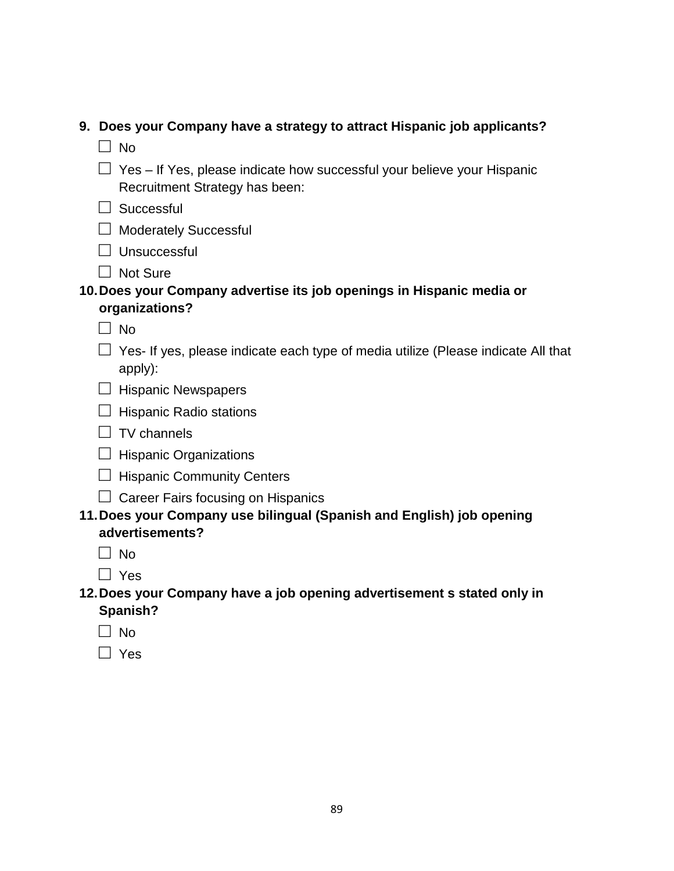|  |  |  | 9. Does your Company have a strategy to attract Hispanic job applicants? |  |  |
|--|--|--|--------------------------------------------------------------------------|--|--|
|--|--|--|--------------------------------------------------------------------------|--|--|

 $\Box$  No

- $\Box$  Yes If Yes, please indicate how successful your believe your Hispanic Recruitment Strategy has been:
- $\Box$  Successful
- □ Moderately Successful
- $\Box$  Unsuccessful
- □ Not Sure
- **10.Does your Company advertise its job openings in Hispanic media or organizations?**
	- □ No
	- $\Box$  Yes- If yes, please indicate each type of media utilize (Please indicate All that apply):
	- $\Box$  Hispanic Newspapers
	- $\Box$  Hispanic Radio stations
	- $\Box$  TV channels
	- $\Box$  Hispanic Organizations
	- $\Box$  Hispanic Community Centers
	- $\Box$  Career Fairs focusing on Hispanics
- **11.Does your Company use bilingual (Spanish and English) job opening advertisements?**
	- $\Box$  No
	- □ Yes
- **12.Does your Company have a job opening advertisement s stated only in Spanish?**
	- $\Box$  No
	- □ Yes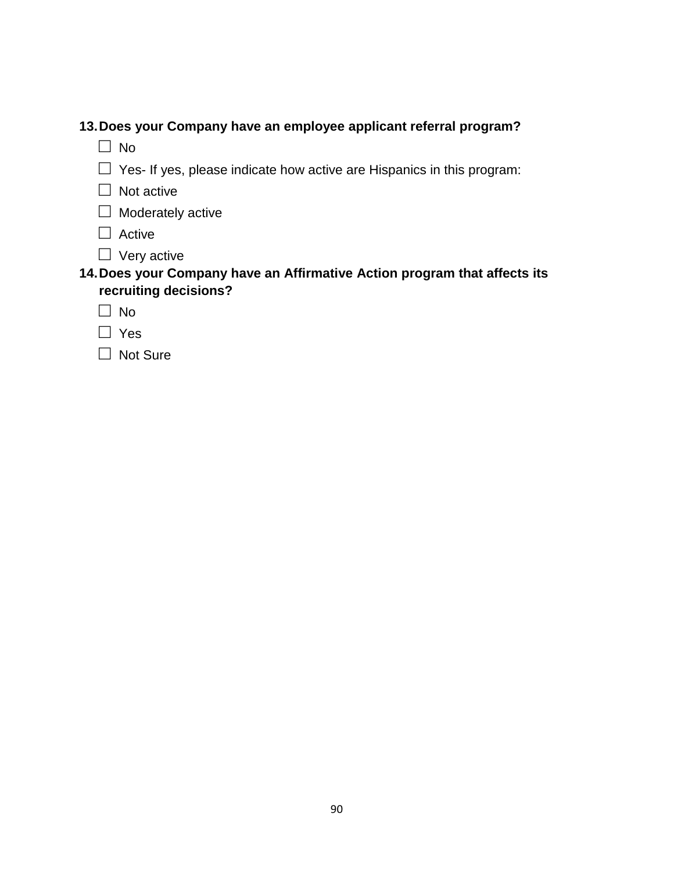#### **13.Does your Company have an employee applicant referral program?**

- □ No
- $\Box$  Yes- If yes, please indicate how active are Hispanics in this program:
- □ Not active
- □ Moderately active
- □ Active
- □ Very active

#### **14.Does your Company have an Affirmative Action program that affects its recruiting decisions?**

- □ No
- □ Yes
- □ Not Sure